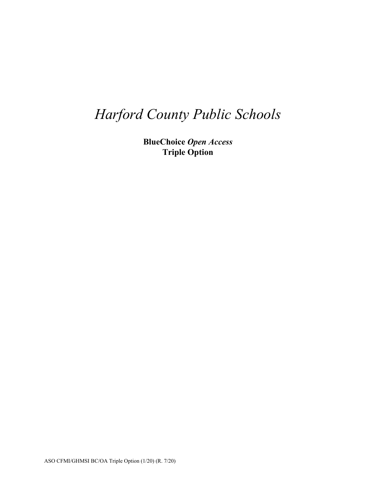# *Harford County Public Schools*

**BlueChoice** *Open Access* **Triple Option**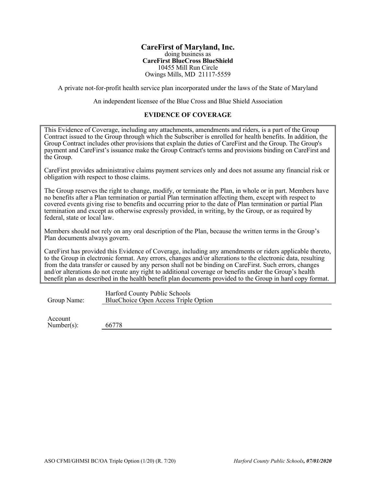#### **CareFirst of Maryland, Inc.** doing business as **CareFirst BlueCross BlueShield**  10455 Mill Run Circle Owings Mills, MD 21117-5559

A private not-for-profit health service plan incorporated under the laws of the State of Maryland

An independent licensee of the Blue Cross and Blue Shield Association

### **EVIDENCE OF COVERAGE**

This Evidence of Coverage, including any attachments, amendments and riders, is a part of the Group Contract issued to the Group through which the Subscriber is enrolled for health benefits. In addition, the Group Contract includes other provisions that explain the duties of CareFirst and the Group. The Group's payment and CareFirst's issuance make the Group Contract's terms and provisions binding on CareFirst and the Group.

CareFirst provides administrative claims payment services only and does not assume any financial risk or obligation with respect to those claims.

The Group reserves the right to change, modify, or terminate the Plan, in whole or in part. Members have no benefits after a Plan termination or partial Plan termination affecting them, except with respect to covered events giving rise to benefits and occurring prior to the date of Plan termination or partial Plan termination and except as otherwise expressly provided, in writing, by the Group, or as required by federal, state or local law.

Members should not rely on any oral description of the Plan, because the written terms in the Group's Plan documents always govern.

CareFirst has provided this Evidence of Coverage, including any amendments or riders applicable thereto, to the Group in electronic format. Any errors, changes and/or alterations to the electronic data, resulting from the data transfer or caused by any person shall not be binding on CareFirst. Such errors, changes and/or alterations do not create any right to additional coverage or benefits under the Group's health benefit plan as described in the health benefit plan documents provided to the Group in hard copy format.

Group Name: Harford County Public Schools BlueChoice Open Access Triple Option

Account

Number(s): 66778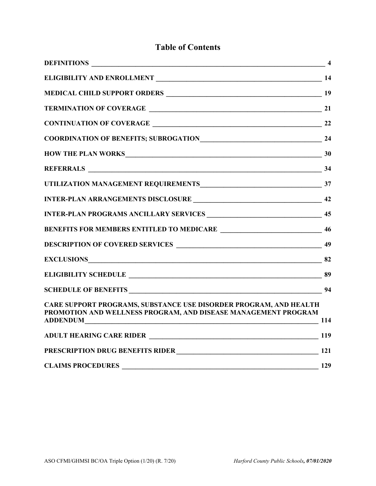## **Table of Contents**

| $\overline{\phantom{a}}$ 4              |
|-----------------------------------------|
|                                         |
|                                         |
|                                         |
|                                         |
|                                         |
| HOW THE PLAN WORKS 30                   |
|                                         |
|                                         |
|                                         |
|                                         |
|                                         |
|                                         |
|                                         |
|                                         |
|                                         |
| $\frac{114}{2}$                         |
|                                         |
| PRESCRIPTION DRUG BENEFITS RIDER<br>121 |
|                                         |
|                                         |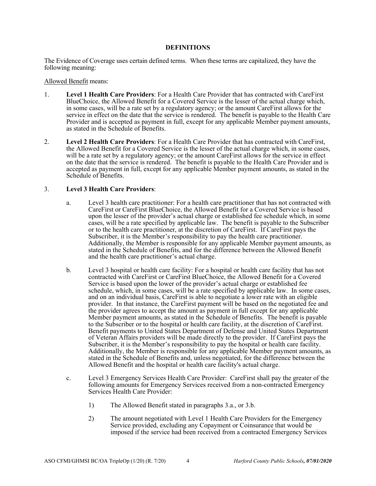#### **DEFINITIONS**

The Evidence of Coverage uses certain defined terms. When these terms are capitalized, they have the following meaning:

#### Allowed Benefit means:

- 1. **Level 1 Health Care Providers**: For a Health Care Provider that has contracted with CareFirst BlueChoice, the Allowed Benefit for a Covered Service is the lesser of the actual charge which, in some cases, will be a rate set by a regulatory agency; or the amount CareFirst allows for the service in effect on the date that the service is rendered. The benefit is payable to the Health Care Provider and is accepted as payment in full, except for any applicable Member payment amounts, as stated in the Schedule of Benefits.
- 2. **Level 2 Health Care Providers**: For a Health Care Provider that has contracted with CareFirst, the Allowed Benefit for a Covered Service is the lesser of the actual charge which, in some cases, will be a rate set by a regulatory agency; or the amount CareFirst allows for the service in effect on the date that the service is rendered. The benefit is payable to the Health Care Provider and is accepted as payment in full, except for any applicable Member payment amounts, as stated in the Schedule of Benefits.

#### 3. **Level 3 Health Care Providers**:

- a. Level 3 health care practitioner: For a health care practitioner that has not contracted with CareFirst or CareFirst BlueChoice, the Allowed Benefit for a Covered Service is based upon the lesser of the provider's actual charge or established fee schedule which, in some cases, will be a rate specified by applicable law. The benefit is payable to the Subscriber or to the health care practitioner, at the discretion of CareFirst. If CareFirst pays the Subscriber, it is the Member's responsibility to pay the health care practitioner. Additionally, the Member is responsible for any applicable Member payment amounts, as stated in the Schedule of Benefits, and for the difference between the Allowed Benefit and the health care practitioner's actual charge.
- b. Level 3 hospital or health care facility: For a hospital or health care facility that has not contracted with CareFirst or CareFirst BlueChoice, the Allowed Benefit for a Covered Service is based upon the lower of the provider's actual charge or established fee schedule, which, in some cases, will be a rate specified by applicable law. In some cases, and on an individual basis, CareFirst is able to negotiate a lower rate with an eligible provider. In that instance, the CareFirst payment will be based on the negotiated fee and the provider agrees to accept the amount as payment in full except for any applicable Member payment amounts, as stated in the Schedule of Benefits. The benefit is payable to the Subscriber or to the hospital or health care facility, at the discretion of CareFirst. Benefit payments to United States Department of Defense and United States Department of Veteran Affairs providers will be made directly to the provider. If CareFirst pays the Subscriber, it is the Member's responsibility to pay the hospital or health care facility. Additionally, the Member is responsible for any applicable Member payment amounts, as stated in the Schedule of Benefits and, unless negotiated, for the difference between the Allowed Benefit and the hospital or health care facility's actual charge.
- c. Level 3 Emergency Services Health Care Provider: CareFirst shall pay the greater of the following amounts for Emergency Services received from a non-contracted Emergency Services Health Care Provider:
	- 1) The Allowed Benefit stated in paragraphs 3.a., or 3.b.
	- 2) The amount negotiated with Level 1 Health Care Providers for the Emergency Service provided, excluding any Copayment or Coinsurance that would be imposed if the service had been received from a contracted Emergency Services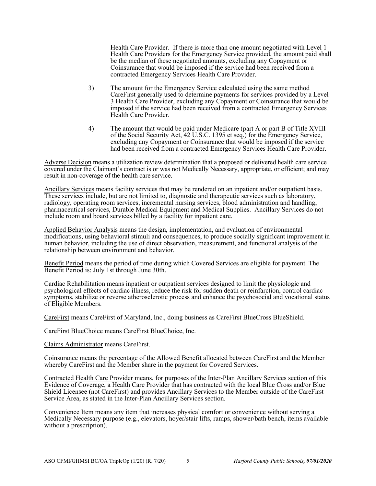Health Care Provider. If there is more than one amount negotiated with Level 1 Health Care Providers for the Emergency Service provided, the amount paid shall be the median of these negotiated amounts, excluding any Copayment or Coinsurance that would be imposed if the service had been received from a contracted Emergency Services Health Care Provider.

- 3) The amount for the Emergency Service calculated using the same method CareFirst generally used to determine payments for services provided by a Level 3 Health Care Provider, excluding any Copayment or Coinsurance that would be imposed if the service had been received from a contracted Emergency Services Health Care Provider.
- 4) The amount that would be paid under Medicare (part A or part B of Title XVIII of the Social Security Act, 42 U.S.C. 1395 et seq.) for the Emergency Service, excluding any Copayment or Coinsurance that would be imposed if the service had been received from a contracted Emergency Services Health Care Provider.

Adverse Decision means a utilization review determination that a proposed or delivered health care service covered under the Claimant's contract is or was not Medically Necessary, appropriate, or efficient; and may result in non-coverage of the health care service.

Ancillary Services means facility services that may be rendered on an inpatient and/or outpatient basis. These services include, but are not limited to, diagnostic and therapeutic services such as laboratory, radiology, operating room services, incremental nursing services, blood administration and handling, pharmaceutical services, Durable Medical Equipment and Medical Supplies. Ancillary Services do not include room and board services billed by a facility for inpatient care.

Applied Behavior Analysis means the design, implementation, and evaluation of environmental modifications, using behavioral stimuli and consequences, to produce socially significant improvement in human behavior, including the use of direct observation, measurement, and functional analysis of the relationship between environment and behavior.

Benefit Period means the period of time during which Covered Services are eligible for payment. The Benefit Period is: July 1st through June 30th.

Cardiac Rehabilitation means inpatient or outpatient services designed to limit the physiologic and psychological effects of cardiac illness, reduce the risk for sudden death or reinfarction, control cardiac symptoms, stabilize or reverse atherosclerotic process and enhance the psychosocial and vocational status of Eligible Members.

CareFirst means CareFirst of Maryland, Inc., doing business as CareFirst BlueCross BlueShield.

CareFirst BlueChoice means CareFirst BlueChoice, Inc.

Claims Administrator means CareFirst.

Coinsurance means the percentage of the Allowed Benefit allocated between CareFirst and the Member whereby CareFirst and the Member share in the payment for Covered Services.

Contracted Health Care Provider means, for purposes of the Inter-Plan Ancillary Services section of this Evidence of Coverage, a Health Care Provider that has contracted with the local Blue Cross and/or Blue Shield Licensee (not CareFirst) and provides Ancillary Services to the Member outside of the CareFirst Service Area, as stated in the Inter-Plan Ancillary Services section.

Convenience Item means any item that increases physical comfort or convenience without serving a Medically Necessary purpose (e.g., elevators, hoyer/stair lifts, ramps, shower/bath bench, items available without a prescription).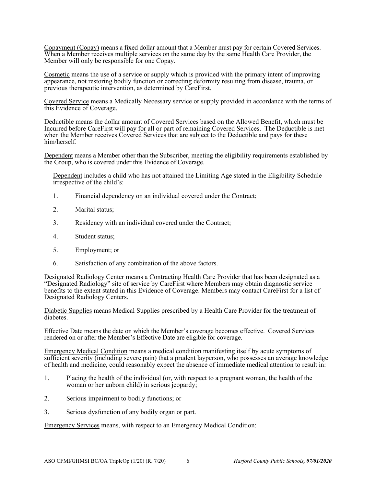Copayment (Copay) means a fixed dollar amount that a Member must pay for certain Covered Services. When a Member receives multiple services on the same day by the same Health Care Provider, the Member will only be responsible for one Copay.

Cosmetic means the use of a service or supply which is provided with the primary intent of improving appearance, not restoring bodily function or correcting deformity resulting from disease, trauma, or previous therapeutic intervention, as determined by CareFirst.

Covered Service means a Medically Necessary service or supply provided in accordance with the terms of this Evidence of Coverage.

Deductible means the dollar amount of Covered Services based on the Allowed Benefit, which must be Incurred before CareFirst will pay for all or part of remaining Covered Services. The Deductible is met when the Member receives Covered Services that are subject to the Deductible and pays for these him/herself.

Dependent means a Member other than the Subscriber, meeting the eligibility requirements established by the Group, who is covered under this Evidence of Coverage.

Dependent includes a child who has not attained the Limiting Age stated in the Eligibility Schedule irrespective of the child's:

- 1. Financial dependency on an individual covered under the Contract;
- 2. Marital status;
- 3. Residency with an individual covered under the Contract;
- 4. Student status;
- 5. Employment; or
- 6. Satisfaction of any combination of the above factors.

Designated Radiology Center means a Contracting Health Care Provider that has been designated as a "Designated Radiology" site of service by CareFirst where Members may obtain diagnostic service benefits to the extent stated in this Evidence of Coverage. Members may contact CareFirst for a list of Designated Radiology Centers.

Diabetic Supplies means Medical Supplies prescribed by a Health Care Provider for the treatment of diabetes.

Effective Date means the date on which the Member's coverage becomes effective. Covered Services rendered on or after the Member's Effective Date are eligible for coverage.

Emergency Medical Condition means a medical condition manifesting itself by acute symptoms of sufficient severity (including severe pain) that a prudent layperson, who possesses an average knowledge of health and medicine, could reasonably expect the absence of immediate medical attention to result in:

- 1. Placing the health of the individual (or, with respect to a pregnant woman, the health of the woman or her unborn child) in serious jeopardy;
- 2. Serious impairment to bodily functions; or
- 3. Serious dysfunction of any bodily organ or part.

Emergency Services means, with respect to an Emergency Medical Condition: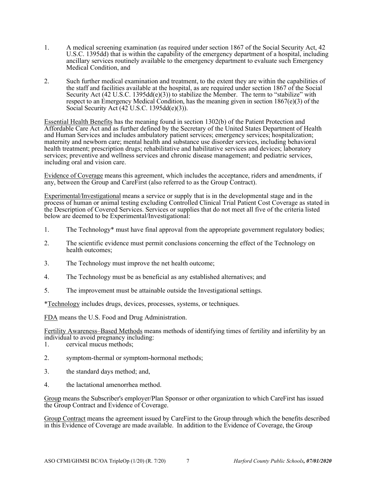- 1. A medical screening examination (as required under section 1867 of the Social Security Act, 42 U.S.C. 1395dd) that is within the capability of the emergency department of a hospital, including ancillary services routinely available to the emergency department to evaluate such Emergency Medical Condition, and
- 2. Such further medical examination and treatment, to the extent they are within the capabilities of the staff and facilities available at the hospital, as are required under section 1867 of the Social Security Act (42 U.S.C. 1395dd(e)(3)) to stabilize the Member. The term to "stabilize" with respect to an Emergency Medical Condition, has the meaning given in section  $1867(e)(3)$  of the Social Security Act (42 U.S.C. 1395dd(e)(3)).

Essential Health Benefits has the meaning found in section 1302(b) of the Patient Protection and Affordable Care Act and as further defined by the Secretary of the United States Department of Health and Human Services and includes ambulatory patient services; emergency services; hospitalization; maternity and newborn care; mental health and substance use disorder services, including behavioral health treatment; prescription drugs; rehabilitative and habilitative services and devices; laboratory services; preventive and wellness services and chronic disease management; and pediatric services, including oral and vision care.

Evidence of Coverage means this agreement, which includes the acceptance, riders and amendments, if any, between the Group and CareFirst (also referred to as the Group Contract).

Experimental/Investigational means a service or supply that is in the developmental stage and in the process of human or animal testing excluding Controlled Clinical Trial Patient Cost Coverage as stated in the Description of Covered Services. Services or supplies that do not meet all five of the criteria listed below are deemed to be Experimental/Investigational:

- 1. The Technology\* must have final approval from the appropriate government regulatory bodies;
- 2. The scientific evidence must permit conclusions concerning the effect of the Technology on health outcomes;
- 3. The Technology must improve the net health outcome;
- 4. The Technology must be as beneficial as any established alternatives; and
- 5. The improvement must be attainable outside the Investigational settings.

\*Technology includes drugs, devices, processes, systems, or techniques.

FDA means the U.S. Food and Drug Administration.

Fertility Awareness–Based Methods means methods of identifying times of fertility and infertility by an individual to avoid pregnancy including:<br>1. cervical mucus methods:

- cervical mucus methods;
- 2. symptom-thermal or symptom-hormonal methods;
- 3. the standard days method; and,
- 4. the lactational amenorrhea method.

Group means the Subscriber's employer/Plan Sponsor or other organization to which CareFirst has issued the Group Contract and Evidence of Coverage.

Group Contract means the agreement issued by CareFirst to the Group through which the benefits described in this Evidence of Coverage are made available. In addition to the Evidence of Coverage, the Group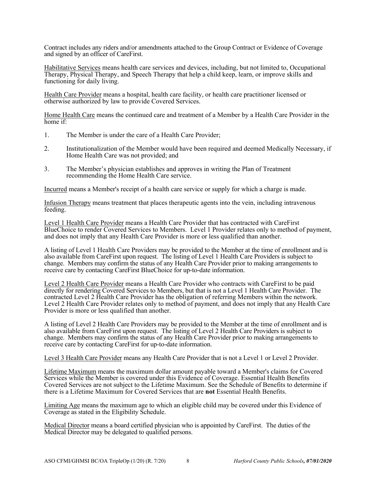Contract includes any riders and/or amendments attached to the Group Contract or Evidence of Coverage and signed by an officer of CareFirst.

Habilitative Services means health care services and devices, including, but not limited to, Occupational Therapy, Physical Therapy, and Speech Therapy that help a child keep, learn, or improve skills and functioning for daily living.

Health Care Provider means a hospital, health care facility, or health care practitioner licensed or otherwise authorized by law to provide Covered Services.

Home Health Care means the continued care and treatment of a Member by a Health Care Provider in the home if:

- 1. The Member is under the care of a Health Care Provider;
- 2. Institutionalization of the Member would have been required and deemed Medically Necessary, if Home Health Care was not provided; and
- 3. The Member's physician establishes and approves in writing the Plan of Treatment recommending the Home Health Care service.

Incurred means a Member's receipt of a health care service or supply for which a charge is made.

Infusion Therapy means treatment that places therapeutic agents into the vein, including intravenous feeding.

Level 1 Health Care Provider means a Health Care Provider that has contracted with CareFirst BlueChoice to render Covered Services to Members. Level 1 Provider relates only to method of payment, and does not imply that any Health Care Provider is more or less qualified than another.

A listing of Level 1 Health Care Providers may be provided to the Member at the time of enrollment and is also available from CareFirst upon request. The listing of Level 1 Health Care Providers is subject to change. Members may confirm the status of any Health Care Provider prior to making arrangements to receive care by contacting CareFirst BlueChoice for up-to-date information.

Level 2 Health Care Provider means a Health Care Provider who contracts with CareFirst to be paid directly for rendering Covered Services to Members, but that is not a Level 1 Health Care Provider. The contracted Level 2 Health Care Provider has the obligation of referring Members within the network. Level 2 Health Care Provider relates only to method of payment, and does not imply that any Health Care Provider is more or less qualified than another.

A listing of Level 2 Health Care Providers may be provided to the Member at the time of enrollment and is also available from CareFirst upon request. The listing of Level 2 Health Care Providers is subject to change. Members may confirm the status of any Health Care Provider prior to making arrangements to receive care by contacting CareFirst for up-to-date information.

Level 3 Health Care Provider means any Health Care Provider that is not a Level 1 or Level 2 Provider.

Lifetime Maximum means the maximum dollar amount payable toward a Member's claims for Covered Services while the Member is covered under this Evidence of Coverage. Essential Health Benefits Covered Services are not subject to the Lifetime Maximum. See the Schedule of Benefits to determine if there is a Lifetime Maximum for Covered Services that are **not** Essential Health Benefits.

Limiting Age means the maximum age to which an eligible child may be covered under this Evidence of Coverage as stated in the Eligibility Schedule.

Medical Director means a board certified physician who is appointed by CareFirst. The duties of the Medical Director may be delegated to qualified persons.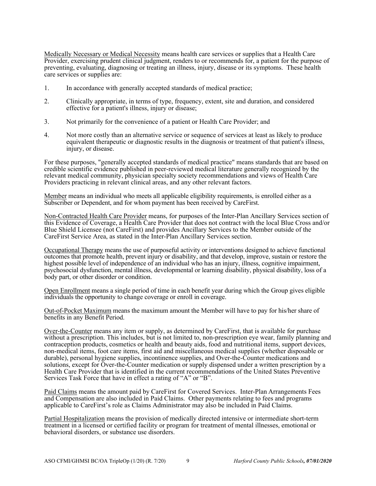Medically Necessary or Medical Necessity means health care services or supplies that a Health Care Provider, exercising prudent clinical judgment, renders to or recommends for, a patient for the purpose of preventing, evaluating, diagnosing or treating an illness, injury, disease or its symptoms. These health care services or supplies are:

- 1. In accordance with generally accepted standards of medical practice;
- 2. Clinically appropriate, in terms of type, frequency, extent, site and duration, and considered effective for a patient's illness, injury or disease;
- 3. Not primarily for the convenience of a patient or Health Care Provider; and
- 4. Not more costly than an alternative service or sequence of services at least as likely to produce equivalent therapeutic or diagnostic results in the diagnosis or treatment of that patient's illness, injury, or disease.

For these purposes, "generally accepted standards of medical practice" means standards that are based on credible scientific evidence published in peer-reviewed medical literature generally recognized by the relevant medical community, physician specialty society recommendations and views of Health Care Providers practicing in relevant clinical areas, and any other relevant factors.

Member means an individual who meets all applicable eligibility requirements, is enrolled either as a Subscriber or Dependent, and for whom payment has been received by CareFirst.

Non-Contracted Health Care Provider means, for purposes of the Inter-Plan Ancillary Services section of this Evidence of Coverage, a Health Care Provider that does not contract with the local Blue Cross and/or Blue Shield Licensee (not CareFirst) and provides Ancillary Services to the Member outside of the CareFirst Service Area, as stated in the Inter-Plan Ancillary Services section.

Occupational Therapy means the use of purposeful activity or interventions designed to achieve functional outcomes that promote health, prevent injury or disability, and that develop, improve, sustain or restore the highest possible level of independence of an individual who has an injury, illness, cognitive impairment, psychosocial dysfunction, mental illness, developmental or learning disability, physical disability, loss of a body part, or other disorder or condition.

Open Enrollment means a single period of time in each benefit year during which the Group gives eligible individuals the opportunity to change coverage or enroll in coverage.

Out-of-Pocket Maximum means the maximum amount the Member will have to pay for his/her share of benefits in any Benefit Period.

Over-the-Counter means any item or supply, as determined by CareFirst, that is available for purchase without a prescription. This includes, but is not limited to, non-prescription eye wear, family planning and contraception products, cosmetics or health and beauty aids, food and nutritional items, support devices, non-medical items, foot care items, first aid and miscellaneous medical supplies (whether disposable or durable), personal hygiene supplies, incontinence supplies, and Over-the-Counter medications and solutions, except for Over-the-Counter medication or supply dispensed under a written prescription by a Health Care Provider that is identified in the current recommendations of the United States Preventive Services Task Force that have in effect a rating of "A" or "B".

Paid Claims means the amount paid by CareFirst for Covered Services. Inter-Plan Arrangements Fees and Compensation are also included in Paid Claims. Other payments relating to fees and programs applicable to CareFirst's role as Claims Administrator may also be included in Paid Claims.

Partial Hospitalization means the provision of medically directed intensive or intermediate short-term treatment in a licensed or certified facility or program for treatment of mental illnesses, emotional or behavioral disorders, or substance use disorders.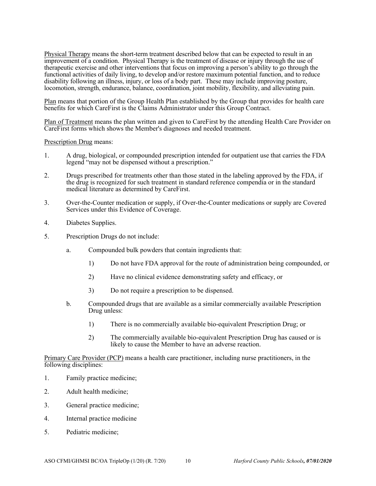Physical Therapy means the short-term treatment described below that can be expected to result in an improvement of a condition. Physical Therapy is the treatment of disease or injury through the use of therapeutic exercise and other interventions that focus on improving a person's ability to go through the functional activities of daily living, to develop and/or restore maximum potential function, and to reduce disability following an illness, injury, or loss of a body part. These may include improving posture, locomotion, strength, endurance, balance, coordination, joint mobility, flexibility, and alleviating pain.

Plan means that portion of the Group Health Plan established by the Group that provides for health care benefits for which CareFirst is the Claims Administrator under this Group Contract.

Plan of Treatment means the plan written and given to CareFirst by the attending Health Care Provider on CareFirst forms which shows the Member's diagnoses and needed treatment.

Prescription Drug means:

- 1. A drug, biological, or compounded prescription intended for outpatient use that carries the FDA legend "may not be dispensed without a prescription."
- 2. Drugs prescribed for treatments other than those stated in the labeling approved by the FDA, if the drug is recognized for such treatment in standard reference compendia or in the standard medical literature as determined by CareFirst.
- 3. Over-the-Counter medication or supply, if Over-the-Counter medications or supply are Covered Services under this Evidence of Coverage.
- 4. Diabetes Supplies.
- 5. Prescription Drugs do not include:
	- a. Compounded bulk powders that contain ingredients that:
		- 1) Do not have FDA approval for the route of administration being compounded, or
		- 2) Have no clinical evidence demonstrating safety and efficacy, or
		- 3) Do not require a prescription to be dispensed.
	- b. Compounded drugs that are available as a similar commercially available Prescription Drug unless:
		- 1) There is no commercially available bio-equivalent Prescription Drug; or
		- 2) The commercially available bio-equivalent Prescription Drug has caused or is likely to cause the Member to have an adverse reaction.

Primary Care Provider (PCP) means a health care practitioner, including nurse practitioners, in the following disciplines:

- 1. Family practice medicine;
- 2. Adult health medicine;
- 3. General practice medicine;
- 4. Internal practice medicine
- 5. Pediatric medicine;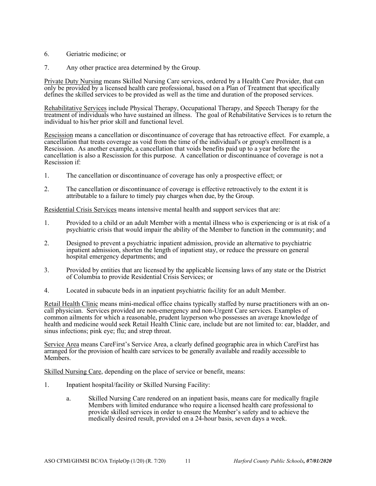- 6. Geriatric medicine; or
- 7. Any other practice area determined by the Group.

Private Duty Nursing means Skilled Nursing Care services, ordered by a Health Care Provider, that can only be provided by a licensed health care professional, based on a Plan of Treatment that specifically defines the skilled services to be provided as well as the time and duration of the proposed services.

Rehabilitative Services include Physical Therapy, Occupational Therapy, and Speech Therapy for the treatment of individuals who have sustained an illness. The goal of Rehabilitative Services is to return the individual to his/her prior skill and functional level.

Rescission means a cancellation or discontinuance of coverage that has retroactive effect. For example, a cancellation that treats coverage as void from the time of the individual's or group's enrollment is a Rescission. As another example, a cancellation that voids benefits paid up to a year before the cancellation is also a Rescission for this purpose. A cancellation or discontinuance of coverage is not a Rescission if:

- 1. The cancellation or discontinuance of coverage has only a prospective effect; or
- 2. The cancellation or discontinuance of coverage is effective retroactively to the extent it is attributable to a failure to timely pay charges when due, by the Group.

Residential Crisis Services means intensive mental health and support services that are:

- 1. Provided to a child or an adult Member with a mental illness who is experiencing or is at risk of a psychiatric crisis that would impair the ability of the Member to function in the community; and
- 2. Designed to prevent a psychiatric inpatient admission, provide an alternative to psychiatric inpatient admission, shorten the length of inpatient stay, or reduce the pressure on general hospital emergency departments; and
- 3. Provided by entities that are licensed by the applicable licensing laws of any state or the District of Columbia to provide Residential Crisis Services; or
- 4. Located in subacute beds in an inpatient psychiatric facility for an adult Member.

Retail Health Clinic means mini-medical office chains typically staffed by nurse practitioners with an oncall physician. Services provided are non-emergency and non-Urgent Care services. Examples of common ailments for which a reasonable, prudent layperson who possesses an average knowledge of health and medicine would seek Retail Health Clinic care, include but are not limited to: ear, bladder, and sinus infections; pink eye; flu; and strep throat.

Service Area means CareFirst's Service Area, a clearly defined geographic area in which CareFirst has arranged for the provision of health care services to be generally available and readily accessible to Members.

Skilled Nursing Care, depending on the place of service or benefit, means:

- 1. Inpatient hospital/facility or Skilled Nursing Facility:
	- a. Skilled Nursing Care rendered on an inpatient basis, means care for medically fragile Members with limited endurance who require a licensed health care professional to provide skilled services in order to ensure the Member's safety and to achieve the medically desired result, provided on a 24-hour basis, seven days a week.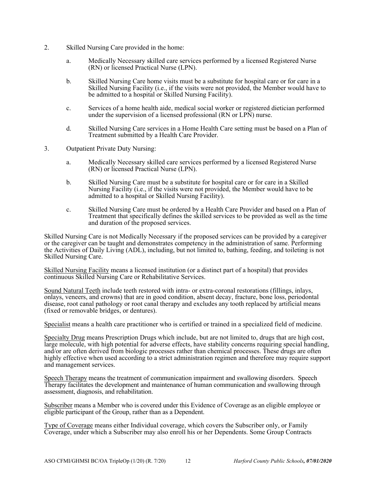- 2. Skilled Nursing Care provided in the home:
	- a. Medically Necessary skilled care services performed by a licensed Registered Nurse (RN) or licensed Practical Nurse (LPN).
	- b. Skilled Nursing Care home visits must be a substitute for hospital care or for care in a Skilled Nursing Facility (i.e., if the visits were not provided, the Member would have to be admitted to a hospital or Skilled Nursing Facility).
	- c. Services of a home health aide, medical social worker or registered dietician performed under the supervision of a licensed professional (RN or LPN) nurse.
	- d. Skilled Nursing Care services in a Home Health Care setting must be based on a Plan of Treatment submitted by a Health Care Provider.
- 3. Outpatient Private Duty Nursing:
	- a. Medically Necessary skilled care services performed by a licensed Registered Nurse (RN) or licensed Practical Nurse (LPN).
	- b. Skilled Nursing Care must be a substitute for hospital care or for care in a Skilled Nursing Facility (i.e., if the visits were not provided, the Member would have to be admitted to a hospital or Skilled Nursing Facility).
	- c. Skilled Nursing Care must be ordered by a Health Care Provider and based on a Plan of Treatment that specifically defines the skilled services to be provided as well as the time and duration of the proposed services.

Skilled Nursing Care is not Medically Necessary if the proposed services can be provided by a caregiver or the caregiver can be taught and demonstrates competency in the administration of same. Performing the Activities of Daily Living (ADL), including, but not limited to, bathing, feeding, and toileting is not Skilled Nursing Care.

Skilled Nursing Facility means a licensed institution (or a distinct part of a hospital) that provides continuous Skilled Nursing Care or Rehabilitative Services.

Sound Natural Teeth include teeth restored with intra- or extra-coronal restorations (fillings, inlays, onlays, veneers, and crowns) that are in good condition, absent decay, fracture, bone loss, periodontal disease, root canal pathology or root canal therapy and excludes any tooth replaced by artificial means (fixed or removable bridges, or dentures).

Specialist means a health care practitioner who is certified or trained in a specialized field of medicine.

Specialty Drug means Prescription Drugs which include, but are not limited to, drugs that are high cost, large molecule, with high potential for adverse effects, have stability concerns requiring special handling, and/or are often derived from biologic processes rather than chemical processes. These drugs are often highly effective when used according to a strict administration regimen and therefore may require support and management services.

Speech Therapy means the treatment of communication impairment and swallowing disorders. Speech Therapy facilitates the development and maintenance of human communication and swallowing through assessment, diagnosis, and rehabilitation.

Subscriber means a Member who is covered under this Evidence of Coverage as an eligible employee or eligible participant of the Group, rather than as a Dependent.

Type of Coverage means either Individual coverage, which covers the Subscriber only, or Family Coverage, under which a Subscriber may also enroll his or her Dependents. Some Group Contracts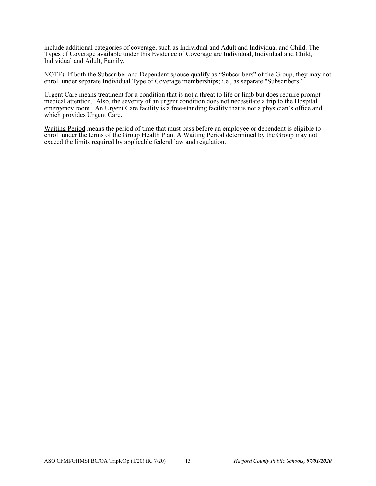include additional categories of coverage, such as Individual and Adult and Individual and Child. The Types of Coverage available under this Evidence of Coverage are Individual, Individual and Child, Individual and Adult, Family.

NOTE**:** If both the Subscriber and Dependent spouse qualify as "Subscribers" of the Group, they may not enroll under separate Individual Type of Coverage memberships; i.e., as separate "Subscribers."

Urgent Care means treatment for a condition that is not a threat to life or limb but does require prompt medical attention. Also, the severity of an urgent condition does not necessitate a trip to the Hospital emergency room. An Urgent Care facility is a free-standing facility that is not a physician's office and which provides Urgent Care.

Waiting Period means the period of time that must pass before an employee or dependent is eligible to enroll under the terms of the Group Health Plan. A Waiting Period determined by the Group may not exceed the limits required by applicable federal law and regulation.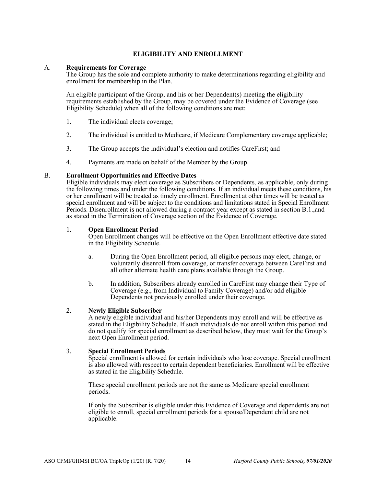### **ELIGIBILITY AND ENROLLMENT**

#### A. **Requirements for Coverage**

The Group has the sole and complete authority to make determinations regarding eligibility and enrollment for membership in the Plan.

An eligible participant of the Group, and his or her Dependent(s) meeting the eligibility requirements established by the Group, may be covered under the Evidence of Coverage (see Eligibility Schedule) when all of the following conditions are met:

- 1. The individual elects coverage;
- 2. The individual is entitled to Medicare, if Medicare Complementary coverage applicable;
- 3. The Group accepts the individual's election and notifies CareFirst; and
- 4. Payments are made on behalf of the Member by the Group.

#### B. **Enrollment Opportunities and Effective Dates**

Eligible individuals may elect coverage as Subscribers or Dependents, as applicable, only during the following times and under the following conditions. If an individual meets these conditions, his or her enrollment will be treated as timely enrollment. Enrollment at other times will be treated as special enrollment and will be subject to the conditions and limitations stated in Special Enrollment Periods. Disenrollment is not allowed during a contract year except as stated in section B.1.,and as stated in the Termination of Coverage section of the Evidence of Coverage.

#### 1. **Open Enrollment Period**

Open Enrollment changes will be effective on the Open Enrollment effective date stated in the Eligibility Schedule.

- a. During the Open Enrollment period, all eligible persons may elect, change, or voluntarily disenroll from coverage, or transfer coverage between CareFirst and all other alternate health care plans available through the Group.
- b. In addition, Subscribers already enrolled in CareFirst may change their Type of Coverage (e.g., from Individual to Family Coverage) and/or add eligible Dependents not previously enrolled under their coverage.

#### 2. **Newly Eligible Subscriber**

A newly eligible individual and his/her Dependents may enroll and will be effective as stated in the Eligibility Schedule. If such individuals do not enroll within this period and do not qualify for special enrollment as described below, they must wait for the Group's next Open Enrollment period.

#### 3. **Special Enrollment Periods**

Special enrollment is allowed for certain individuals who lose coverage. Special enrollment is also allowed with respect to certain dependent beneficiaries. Enrollment will be effective as stated in the Eligibility Schedule.

These special enrollment periods are not the same as Medicare special enrollment periods.

If only the Subscriber is eligible under this Evidence of Coverage and dependents are not eligible to enroll, special enrollment periods for a spouse/Dependent child are not applicable.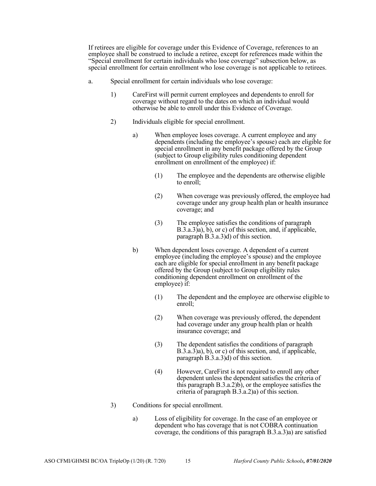If retirees are eligible for coverage under this Evidence of Coverage, references to an employee shall be construed to include a retiree, except for references made within the "Special enrollment for certain individuals who lose coverage" subsection below, as special enrollment for certain enrollment who lose coverage is not applicable to retirees.

- a. Special enrollment for certain individuals who lose coverage:
	- 1) CareFirst will permit current employees and dependents to enroll for coverage without regard to the dates on which an individual would otherwise be able to enroll under this Evidence of Coverage.
	- 2) Individuals eligible for special enrollment.
		- a) When employee loses coverage. A current employee and any dependents (including the employee's spouse) each are eligible for special enrollment in any benefit package offered by the Group (subject to Group eligibility rules conditioning dependent enrollment on enrollment of the employee) if:
			- (1) The employee and the dependents are otherwise eligible to enroll;
			- (2) When coverage was previously offered, the employee had coverage under any group health plan or health insurance coverage; and
			- (3) The employee satisfies the conditions of paragraph  $B.3.a.3\hat{a}$ , b), or c) of this section, and, if applicable, paragraph B.3.a.3)d) of this section.
		- b) When dependent loses coverage. A dependent of a current employee (including the employee's spouse) and the employee each are eligible for special enrollment in any benefit package offered by the Group (subject to Group eligibility rules conditioning dependent enrollment on enrollment of the employee) if:
			- (1) The dependent and the employee are otherwise eligible to enroll;
			- (2) When coverage was previously offered, the dependent had coverage under any group health plan or health insurance coverage; and
			- (3) The dependent satisfies the conditions of paragraph B.3.a.3)a), b), or c) of this section, and, if applicable, paragraph B.3.a.3)d) of this section.
			- (4) However, CareFirst is not required to enroll any other dependent unless the dependent satisfies the criteria of this paragraph  $B(3.a.2)b$ , or the employee satisfies the criteria of paragraph B.3.a.2)a) of this section.
	- 3) Conditions for special enrollment.
		- a) Loss of eligibility for coverage. In the case of an employee or dependent who has coverage that is not COBRA continuation coverage, the conditions of this paragraph B.3.a.3)a) are satisfied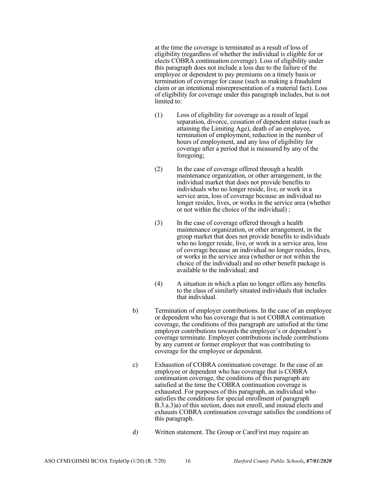at the time the coverage is terminated as a result of loss of eligibility (regardless of whether the individual is eligible for or elects COBRA continuation coverage). Loss of eligibility under this paragraph does not include a loss due to the failure of the employee or dependent to pay premiums on a timely basis or termination of coverage for cause (such as making a fraudulent claim or an intentional misrepresentation of a material fact). Loss of eligibility for coverage under this paragraph includes, but is not limited to:

- (1) Loss of eligibility for coverage as a result of legal separation, divorce, cessation of dependent status (such as attaining the Limiting Age), death of an employee, termination of employment, reduction in the number of hours of employment, and any loss of eligibility for coverage after a period that is measured by any of the foregoing;
- (2) In the case of coverage offered through a health maintenance organization, or other arrangement, in the individual market that does not provide benefits to individuals who no longer reside, live, or work in a service area, loss of coverage because an individual no longer resides, lives, or works in the service area (whether or not within the choice of the individual) ;
- (3) In the case of coverage offered through a health maintenance organization, or other arrangement, in the group market that does not provide benefits to individuals who no longer reside, live, or work in a service area, loss of coverage because an individual no longer resides, lives, or works in the service area (whether or not within the choice of the individual) and no other benefit package is available to the individual; and
- (4) A situation in which a plan no longer offers any benefits to the class of similarly situated individuals that includes that individual.
- b) Termination of employer contributions. In the case of an employee or dependent who has coverage that is not COBRA continuation coverage, the conditions of this paragraph are satisfied at the time employer contributions towards the employee's or dependent's coverage terminate. Employer contributions include contributions by any current or former employer that was contributing to coverage for the employee or dependent.
- c) Exhaustion of COBRA continuation coverage. In the case of an employee or dependent who has coverage that is COBRA continuation coverage, the conditions of this paragraph are satisfied at the time the COBRA continuation coverage is exhausted. For purposes of this paragraph, an individual who satisfies the conditions for special enrollment of paragraph B.3.a.3)a) of this section, does not enroll, and instead elects and exhausts COBRA continuation coverage satisfies the conditions of this paragraph.
- d) Written statement. The Group or CareFirst may require an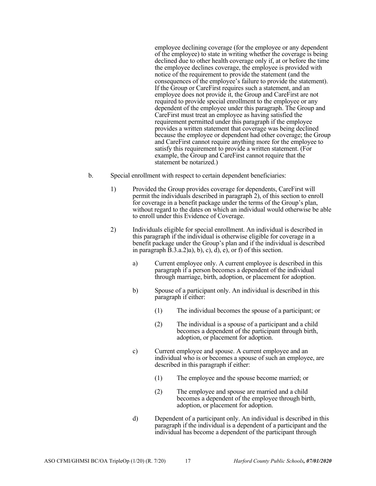employee declining coverage (for the employee or any dependent of the employee) to state in writing whether the coverage is being declined due to other health coverage only if, at or before the time the employee declines coverage, the employee is provided with notice of the requirement to provide the statement (and the consequences of the employee's failure to provide the statement). If the Group or CareFirst requires such a statement, and an employee does not provide it, the Group and CareFirst are not required to provide special enrollment to the employee or any dependent of the employee under this paragraph. The Group and CareFirst must treat an employee as having satisfied the requirement permitted under this paragraph if the employee provides a written statement that coverage was being declined because the employee or dependent had other coverage; the Group and CareFirst cannot require anything more for the employee to satisfy this requirement to provide a written statement. (For example, the Group and CareFirst cannot require that the statement be notarized.)

- b. Special enrollment with respect to certain dependent beneficiaries:
	- 1) Provided the Group provides coverage for dependents, CareFirst will permit the individuals described in paragraph 2), of this section to enroll for coverage in a benefit package under the terms of the Group's plan, without regard to the dates on which an individual would otherwise be able to enroll under this Evidence of Coverage.
	- 2) Individuals eligible for special enrollment. An individual is described in this paragraph if the individual is otherwise eligible for coverage in a benefit package under the Group's plan and if the individual is described in paragraph  $\overline{B}.3.a.2$ )a), b), c), d), e), or f) of this section.
		- a) Current employee only. A current employee is described in this paragraph if a person becomes a dependent of the individual through marriage, birth, adoption, or placement for adoption.
		- b) Spouse of a participant only. An individual is described in this paragraph if either:
			- (1) The individual becomes the spouse of a participant; or
			- (2) The individual is a spouse of a participant and a child becomes a dependent of the participant through birth, adoption, or placement for adoption.
		- c) Current employee and spouse. A current employee and an individual who is or becomes a spouse of such an employee, are described in this paragraph if either:
			- (1) The employee and the spouse become married; or
			- (2) The employee and spouse are married and a child becomes a dependent of the employee through birth, adoption, or placement for adoption.
		- d) Dependent of a participant only. An individual is described in this paragraph if the individual is a dependent of a participant and the individual has become a dependent of the participant through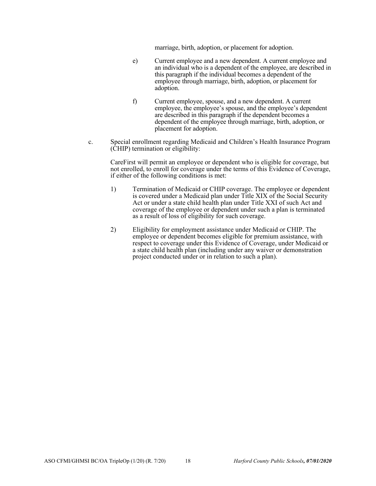marriage, birth, adoption, or placement for adoption.

- e) Current employee and a new dependent. A current employee and an individual who is a dependent of the employee, are described in this paragraph if the individual becomes a dependent of the employee through marriage, birth, adoption, or placement for adoption.
- f) Current employee, spouse, and a new dependent. A current employee, the employee's spouse, and the employee's dependent are described in this paragraph if the dependent becomes a dependent of the employee through marriage, birth, adoption, or placement for adoption.
- c. Special enrollment regarding Medicaid and Children's Health Insurance Program (CHIP) termination or eligibility:

CareFirst will permit an employee or dependent who is eligible for coverage, but not enrolled, to enroll for coverage under the terms of this Evidence of Coverage, if either of the following conditions is met:

- 1) Termination of Medicaid or CHIP coverage. The employee or dependent is covered under a Medicaid plan under Title XIX of the Social Security Act or under a state child health plan under Title XXI of such Act and coverage of the employee or dependent under such a plan is terminated as a result of loss of eligibility for such coverage.
- 2) Eligibility for employment assistance under Medicaid or CHIP. The employee or dependent becomes eligible for premium assistance, with respect to coverage under this Evidence of Coverage, under Medicaid or a state child health plan (including under any waiver or demonstration project conducted under or in relation to such a plan).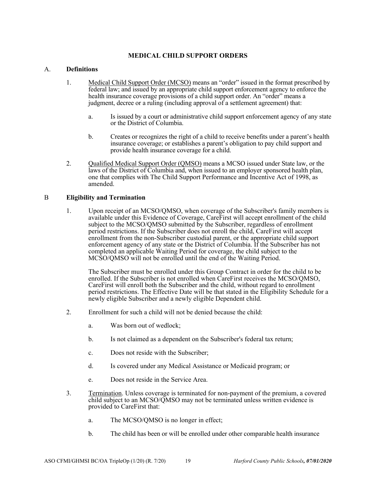### **MEDICAL CHILD SUPPORT ORDERS**

#### A. **Definitions**

- 1. Medical Child Support Order (MCSO) means an "order" issued in the format prescribed by federal law; and issued by an appropriate child support enforcement agency to enforce the health insurance coverage provisions of a child support order. An "order" means a judgment, decree or a ruling (including approval of a settlement agreement) that:
	- a. Is issued by a court or administrative child support enforcement agency of any state or the District of Columbia.
	- b. Creates or recognizes the right of a child to receive benefits under a parent's health insurance coverage; or establishes a parent's obligation to pay child support and provide health insurance coverage for a child.
- 2. Qualified Medical Support Order (QMSO) means a MCSO issued under State law, or the laws of the District of Columbia and, when issued to an employer sponsored health plan, one that complies with The Child Support Performance and Incentive Act of 1998, as amended.

#### B **Eligibility and Termination**

1. Upon receipt of an MCSO/QMSO, when coverage of the Subscriber's family members is available under this Evidence of Coverage, CareFirst will accept enrollment of the child subject to the MCSO/QMSO submitted by the Subscriber, regardless of enrollment period restrictions. If the Subscriber does not enroll the child, CareFirst will accept enrollment from the non-Subscriber custodial parent, or the appropriate child support enforcement agency of any state or the District of Columbia. If the Subscriber has not completed an applicable Waiting Period for coverage, the child subject to the MCSO/QMSO will not be enrolled until the end of the Waiting Period.

The Subscriber must be enrolled under this Group Contract in order for the child to be enrolled. If the Subscriber is not enrolled when CareFirst receives the MCSO/QMSO, CareFirst will enroll both the Subscriber and the child, without regard to enrollment period restrictions. The Effective Date will be that stated in the Eligibility Schedule for a newly eligible Subscriber and a newly eligible Dependent child.

- 2. Enrollment for such a child will not be denied because the child:
	- a. Was born out of wedlock;
	- b. Is not claimed as a dependent on the Subscriber's federal tax return;
	- c. Does not reside with the Subscriber;
	- d. Is covered under any Medical Assistance or Medicaid program; or
	- e. Does not reside in the Service Area.
- 3. Termination. Unless coverage is terminated for non-payment of the premium, a covered child subject to an MCSO/QMSO may not be terminated unless written evidence is provided to CareFirst that:
	- a. The MCSO/QMSO is no longer in effect;
	- b. The child has been or will be enrolled under other comparable health insurance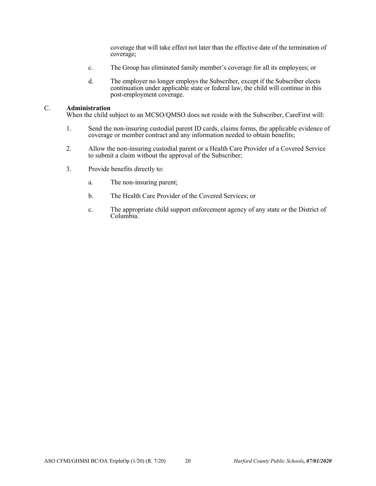coverage that will take effect not later than the effective date of the termination of coverage;

- c. The Group has eliminated family member's coverage for all its employees; or
- d. The employer no longer employs the Subscriber, except if the Subscriber elects continuation under applicable state or federal law, the child will continue in this post-employment coverage.

#### C. **Administration**

When the child subject to an MCSO/QMSO does not reside with the Subscriber, CareFirst will:

- 1. Send the non-insuring custodial parent ID cards, claims forms, the applicable evidence of coverage or member contract and any information needed to obtain benefits;
- 2. Allow the non-insuring custodial parent or a Health Care Provider of a Covered Service to submit a claim without the approval of the Subscriber;
- 3. Provide benefits directly to:
	- a. The non-insuring parent;
	- b. The Health Care Provider of the Covered Services; or
	- c. The appropriate child support enforcement agency of any state or the District of Columbia.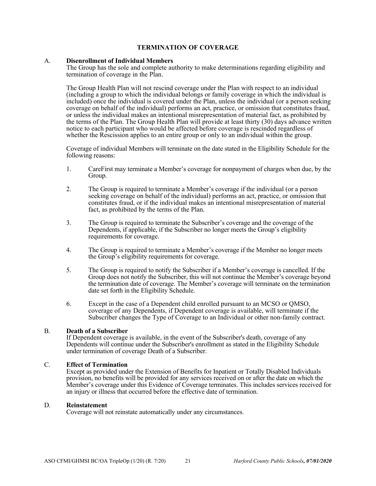#### **TERMINATION OF COVERAGE**

#### A. **Disenrollment of Individual Members**

The Group has the sole and complete authority to make determinations regarding eligibility and termination of coverage in the Plan.

The Group Health Plan will not rescind coverage under the Plan with respect to an individual (including a group to which the individual belongs or family coverage in which the individual is included) once the individual is covered under the Plan, unless the individual (or a person seeking coverage on behalf of the individual) performs an act, practice, or omission that constitutes fraud, or unless the individual makes an intentional misrepresentation of material fact, as prohibited by the terms of the Plan. The Group Health Plan will provide at least thirty (30) days advance written notice to each participant who would be affected before coverage is rescinded regardless of whether the Rescission applies to an entire group or only to an individual within the group.

Coverage of individual Members will terminate on the date stated in the Eligibility Schedule for the following reasons:

- 1. CareFirst may terminate a Member's coverage for nonpayment of charges when due, by the Group.
- 2. The Group is required to terminate a Member's coverage if the individual (or a person seeking coverage on behalf of the individual) performs an act, practice, or omission that constitutes fraud, or if the individual makes an intentional misrepresentation of material fact, as prohibited by the terms of the Plan.
- 3. The Group is required to terminate the Subscriber's coverage and the coverage of the Dependents, if applicable, if the Subscriber no longer meets the Group's eligibility requirements for coverage.
- 4. The Group is required to terminate a Member's coverage if the Member no longer meets the Group's eligibility requirements for coverage.
- 5. The Group is required to notify the Subscriber if a Member's coverage is cancelled. If the Group does not notify the Subscriber, this will not continue the Member's coverage beyond the termination date of coverage. The Member's coverage will terminate on the termination date set forth in the Eligibility Schedule.
- 6. Except in the case of a Dependent child enrolled pursuant to an MCSO or QMSO, coverage of any Dependents, if Dependent coverage is available, will terminate if the Subscriber changes the Type of Coverage to an Individual or other non-family contract.

#### B. **Death of a Subscriber**

If Dependent coverage is available, in the event of the Subscriber's death, coverage of any Dependents will continue under the Subscriber's enrollment as stated in the Eligibility Schedule under termination of coverage Death of a Subscriber.

#### C. **Effect of Termination**

Except as provided under the Extension of Benefits for Inpatient or Totally Disabled Individuals provision, no benefits will be provided for any services received on or after the date on which the Member's coverage under this Evidence of Coverage terminates. This includes services received for an injury or illness that occurred before the effective date of termination.

#### D. **Reinstatement**

Coverage will not reinstate automatically under any circumstances.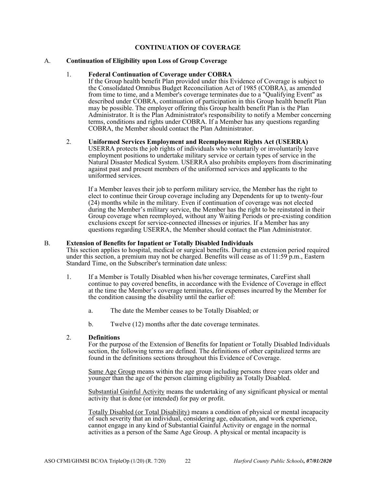#### **CONTINUATION OF COVERAGE**

#### A. **Continuation of Eligibility upon Loss of Group Coverage**

#### 1. **Federal Continuation of Coverage under COBRA**

If the Group health benefit Plan provided under this Evidence of Coverage is subject to the Consolidated Omnibus Budget Reconciliation Act of 1985 (COBRA), as amended from time to time, and a Member's coverage terminates due to a "Qualifying Event" as described under COBRA, continuation of participation in this Group health benefit Plan may be possible. The employer offering this Group health benefit Plan is the Plan Administrator. It is the Plan Administrator's responsibility to notify a Member concerning terms, conditions and rights under COBRA. If a Member has any questions regarding COBRA, the Member should contact the Plan Administrator.

#### 2. **Uniformed Services Employment and Reemployment Rights Act (USERRA)**

USERRA protects the job rights of individuals who voluntarily or involuntarily leave employment positions to undertake military service or certain types of service in the Natural Disaster Medical System. USERRA also prohibits employers from discriminating against past and present members of the uniformed services and applicants to the uniformed services.

If a Member leaves their job to perform military service, the Member has the right to elect to continue their Group coverage including any Dependents for up to twenty-four (24) months while in the military. Even if continuation of coverage was not elected during the Member's military service, the Member has the right to be reinstated in their Group coverage when reemployed, without any Waiting Periods or pre-existing condition exclusions except for service-connected illnesses or injuries. If a Member has any questions regarding USERRA, the Member should contact the Plan Administrator.

#### B. **Extension of Benefits for Inpatient or Totally Disabled Individuals**

This section applies to hospital, medical or surgical benefits. During an extension period required under this section, a premium may not be charged. Benefits will cease as of  $11:59$  p.m., Eastern Standard Time, on the Subscriber's termination date unless:

- 1. If a Member is Totally Disabled when his/her coverage terminates, CareFirst shall continue to pay covered benefits, in accordance with the Evidence of Coverage in effect at the time the Member's coverage terminates, for expenses incurred by the Member for the condition causing the disability until the earlier of:
	- a. The date the Member ceases to be Totally Disabled; or
	- b. Twelve (12) months after the date coverage terminates.

#### 2. **Definitions**

For the purpose of the Extension of Benefits for Inpatient or Totally Disabled Individuals section, the following terms are defined. The definitions of other capitalized terms are found in the definitions sections throughout this Evidence of Coverage.

Same Age Group means within the age group including persons three years older and younger than the age of the person claiming eligibility as Totally Disabled.

Substantial Gainful Activity means the undertaking of any significant physical or mental activity that is done (or intended) for pay or profit.

Totally Disabled (or Total Disability) means a condition of physical or mental incapacity of such severity that an individual, considering age, education, and work experience, cannot engage in any kind of Substantial Gainful Activity or engage in the normal activities as a person of the Same Age Group. A physical or mental incapacity is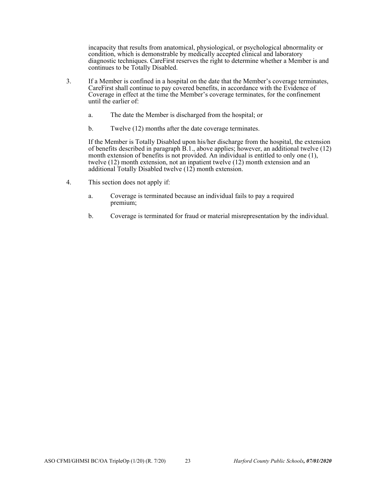incapacity that results from anatomical, physiological, or psychological abnormality or condition, which is demonstrable by medically accepted clinical and laboratory diagnostic techniques. CareFirst reserves the right to determine whether a Member is and continues to be Totally Disabled.

- 3. If a Member is confined in a hospital on the date that the Member's coverage terminates, CareFirst shall continue to pay covered benefits, in accordance with the Evidence of Coverage in effect at the time the Member's coverage terminates, for the confinement until the earlier of:
	- a. The date the Member is discharged from the hospital; or
	- b. Twelve (12) months after the date coverage terminates.

If the Member is Totally Disabled upon his/her discharge from the hospital, the extension of benefits described in paragraph  $\overrightarrow{B}$ .1., above applies; however, an additional twelve (12) month extension of benefits is not provided. An individual is entitled to only one (1), twelve (12) month extension, not an inpatient twelve (12) month extension and an additional Totally Disabled twelve (12) month extension.

- 4. This section does not apply if:
	- a. Coverage is terminated because an individual fails to pay a required premium;
	- b. Coverage is terminated for fraud or material misrepresentation by the individual.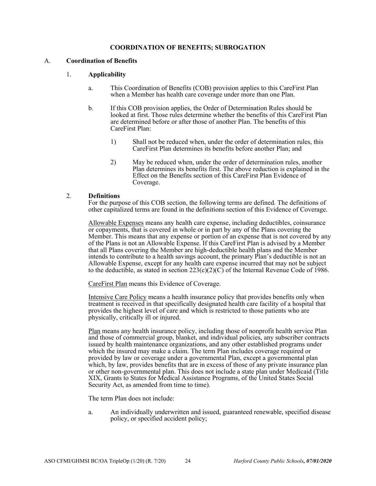#### **COORDINATION OF BENEFITS; SUBROGATION**

#### A. **Coordination of Benefits**

#### 1. **Applicability**

- a. This Coordination of Benefits (COB) provision applies to this CareFirst Plan when a Member has health care coverage under more than one Plan.
- b. If this COB provision applies, the Order of Determination Rules should be looked at first. Those rules determine whether the benefits of this CareFirst Plan are determined before or after those of another Plan. The benefits of this CareFirst Plan:
	- 1) Shall not be reduced when, under the order of determination rules, this CareFirst Plan determines its benefits before another Plan; and
	- 2) May be reduced when, under the order of determination rules, another Plan determines its benefits first. The above reduction is explained in the Effect on the Benefits section of this CareFirst Plan Evidence of Coverage.

#### 2. **Definitions**

For the purpose of this COB section, the following terms are defined. The definitions of other capitalized terms are found in the definitions section of this Evidence of Coverage.

Allowable Expenses means any health care expense, including deductibles, coinsurance or copayments, that is covered in whole or in part by any of the Plans covering the Member. This means that any expense or portion of an expense that is not covered by any of the Plans is not an Allowable Expense. If this CareFirst Plan is advised by a Member that all Plans covering the Member are high-deductible health plans and the Member intends to contribute to a health savings account, the primary Plan's deductible is not an Allowable Expense, except for any health care expense incurred that may not be subject to the deductible, as stated in section  $223(c)(2)(C)$  of the Internal Revenue Code of 1986.

CareFirst Plan means this Evidence of Coverage.

Intensive Care Policy means a health insurance policy that provides benefits only when treatment is received in that specifically designated health care facility of a hospital that provides the highest level of care and which is restricted to those patients who are physically, critically ill or injured.

Plan means any health insurance policy, including those of nonprofit health service Plan and those of commercial group, blanket, and individual policies, any subscriber contracts issued by health maintenance organizations, and any other established programs under which the insured may make a claim. The term Plan includes coverage required or provided by law or coverage under a governmental Plan, except a governmental plan which, by law, provides benefits that are in excess of those of any private insurance plan or other non-governmental plan. This does not include a state plan under Medicaid (Title XIX, Grants to States for Medical Assistance Programs, of the United States Social Security Act, as amended from time to time).

The term Plan does not include:

a. An individually underwritten and issued, guaranteed renewable, specified disease policy, or specified accident policy;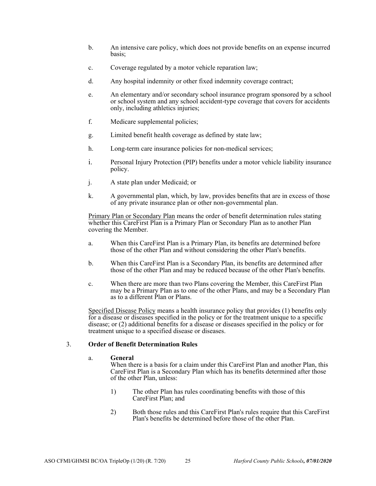- b. An intensive care policy, which does not provide benefits on an expense incurred basis;
- c. Coverage regulated by a motor vehicle reparation law;
- d. Any hospital indemnity or other fixed indemnity coverage contract;
- e. An elementary and/or secondary school insurance program sponsored by a school or school system and any school accident-type coverage that covers for accidents only, including athletics injuries;
- f. Medicare supplemental policies;
- g. Limited benefit health coverage as defined by state law;
- h. Long-term care insurance policies for non-medical services;
- i. Personal Injury Protection (PIP) benefits under a motor vehicle liability insurance policy.
- j. A state plan under Medicaid; or
- k. A governmental plan, which, by law, provides benefits that are in excess of those of any private insurance plan or other non-governmental plan.

Primary Plan or Secondary Plan means the order of benefit determination rules stating whether this CareFirst Plan is a Primary Plan or Secondary Plan as to another Plan covering the Member.

- a. When this CareFirst Plan is a Primary Plan, its benefits are determined before those of the other Plan and without considering the other Plan's benefits.
- b. When this CareFirst Plan is a Secondary Plan, its benefits are determined after those of the other Plan and may be reduced because of the other Plan's benefits.
- c. When there are more than two Plans covering the Member, this CareFirst Plan may be a Primary Plan as to one of the other Plans, and may be a Secondary Plan as to a different Plan or Plans.

Specified Disease Policy means a health insurance policy that provides (1) benefits only for a disease or diseases specified in the policy or for the treatment unique to a specific disease; or (2) additional benefits for a disease or diseases specified in the policy or for treatment unique to a specified disease or diseases.

#### 3. **Order of Benefit Determination Rules**

#### a. **General**

When there is a basis for a claim under this CareFirst Plan and another Plan, this CareFirst Plan is a Secondary Plan which has its benefits determined after those of the other Plan, unless:

- 1) The other Plan has rules coordinating benefits with those of this CareFirst Plan; and
- 2) Both those rules and this CareFirst Plan's rules require that this CareFirst Plan's benefits be determined before those of the other Plan.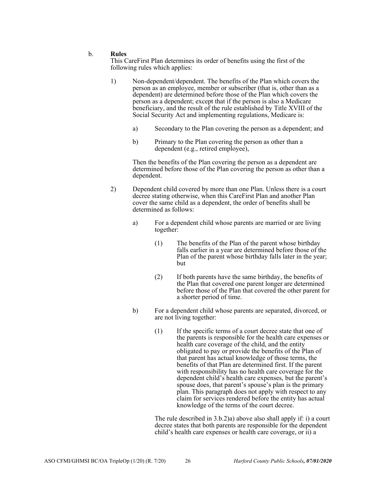#### b. **Rules**

This CareFirst Plan determines its order of benefits using the first of the following rules which applies:

- 1) Non-dependent/dependent. The benefits of the Plan which covers the person as an employee, member or subscriber (that is, other than as a dependent) are determined before those of the Plan which covers the person as a dependent; except that if the person is also a Medicare beneficiary, and the result of the rule established by Title XVIII of the Social Security Act and implementing regulations, Medicare is:
	- a) Secondary to the Plan covering the person as a dependent; and
	- b) Primary to the Plan covering the person as other than a dependent (e.g., retired employee),

Then the benefits of the Plan covering the person as a dependent are determined before those of the Plan covering the person as other than a dependent.

- 2) Dependent child covered by more than one Plan. Unless there is a court decree stating otherwise, when this CareFirst Plan and another Plan cover the same child as a dependent, the order of benefits shall be determined as follows:
	- a) For a dependent child whose parents are married or are living together:
		- (1) The benefits of the Plan of the parent whose birthday falls earlier in a year are determined before those of the Plan of the parent whose birthday falls later in the year; but
		- (2) If both parents have the same birthday, the benefits of the Plan that covered one parent longer are determined before those of the Plan that covered the other parent for a shorter period of time.
	- b) For a dependent child whose parents are separated, divorced, or are not living together:
		- (1) If the specific terms of a court decree state that one of the parents is responsible for the health care expenses or health care coverage of the child, and the entity obligated to pay or provide the benefits of the Plan of that parent has actual knowledge of those terms, the benefits of that Plan are determined first. If the parent with responsibility has no health care coverage for the dependent child's health care expenses, but the parent's spouse does, that parent's spouse's plan is the primary plan. This paragraph does not apply with respect to any claim for services rendered before the entity has actual knowledge of the terms of the court decree.

The rule described in 3.b.2)a) above also shall apply if: i) a court decree states that both parents are responsible for the dependent child's health care expenses or health care coverage, or ii) a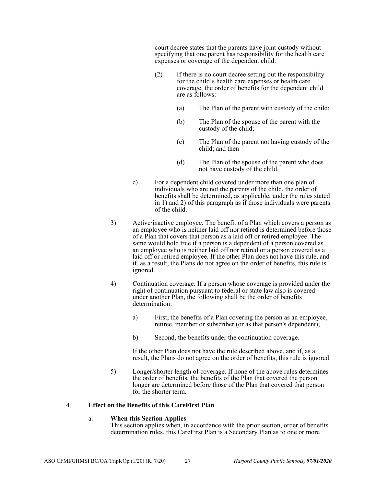court decree states that the parents have joint custody without specifying that one parent has responsibility for the health care expenses or coverage of the dependent child.

- (2) If there is no court decree setting out the responsibility for the child's health care expenses or health care coverage, the order of benefits for the dependent child are as follows:
	- (a) The Plan of the parent with custody of the child;
	- (b) The Plan of the spouse of the parent with the custody of the child;
	- (c) The Plan of the parent not having custody of the child; and then
	- (d) The Plan of the spouse of the parent who does not have custody of the child.
- c) For a dependent child covered under more than one plan of individuals who are not the parents of the child, the order of benefits shall be determined, as applicable, under the rules stated in 1) and 2) of this paragraph as if those individuals were parents of the child.
- 3) Active/inactive employee. The benefit of a Plan which covers a person as an employee who is neither laid off nor retired is determined before those of a Plan that covers that person as a laid off or retired employee. The same would hold true if a person is a dependent of a person covered as an employee who is neither laid off nor retired or a person covered as a laid off or retired employee. If the other Plan does not have this rule, and if, as a result, the Plans do not agree on the order of benefits, this rule is ignored.
- 4) Continuation coverage. If a person whose coverage is provided under the right of continuation pursuant to federal or state law also is covered under another Plan, the following shall be the order of benefits determination:
	- a) First, the benefits of a Plan covering the person as an employee, retiree, member or subscriber (or as that person's dependent);
	- b) Second, the benefits under the continuation coverage.

If the other Plan does not have the rule described above, and if, as a result, the Plans do not agree on the order of benefits, this rule is ignored.

5) Longer/shorter length of coverage. If none of the above rules determines the order of benefits, the benefits of the Plan that covered the person longer are determined before those of the Plan that covered that person for the shorter term.

#### 4. **Effect on the Benefits of this CareFirst Plan**

#### a. **When this Section Applies**

This section applies when, in accordance with the prior section, order of benefits determination rules, this CareFirst Plan is a Secondary Plan as to one or more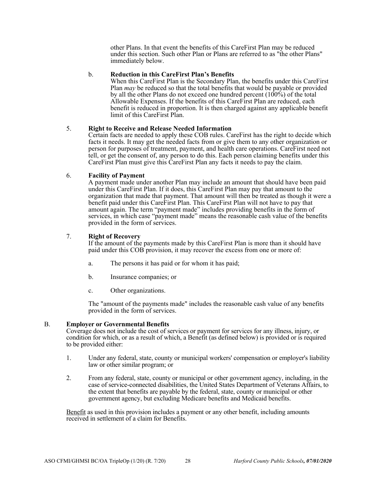other Plans. In that event the benefits of this CareFirst Plan may be reduced under this section. Such other Plan or Plans are referred to as "the other Plans" immediately below.

#### b. **Reduction in this CareFirst Plan's Benefits**

When this CareFirst Plan is the Secondary Plan, the benefits under this CareFirst Plan *may* be reduced so that the total benefits that would be payable or provided by all the other Plans do not exceed one hundred percent  $(100\%)$  of the total Allowable Expenses. If the benefits of this CareFirst Plan are reduced, each benefit is reduced in proportion. It is then charged against any applicable benefit limit of this CareFirst Plan.

#### 5. **Right to Receive and Release Needed Information**

Certain facts are needed to apply these COB rules. CareFirst has the right to decide which facts it needs. It may get the needed facts from or give them to any other organization or person for purposes of treatment, payment, and health care operations. CareFirst need not tell, or get the consent of, any person to do this. Each person claiming benefits under this CareFirst Plan must give this CareFirst Plan any facts it needs to pay the claim.

#### 6. **Facility of Payment**

A payment made under another Plan may include an amount that should have been paid under this CareFirst Plan. If it does, this CareFirst Plan may pay that amount to the organization that made that payment. That amount will then be treated as though it were a benefit paid under this CareFirst Plan. This CareFirst Plan will not have to pay that amount again. The term "payment made" includes providing benefits in the form of services, in which case "payment made" means the reasonable cash value of the benefits provided in the form of services.

#### 7. **Right of Recovery**

If the amount of the payments made by this CareFirst Plan is more than it should have paid under this COB provision, it may recover the excess from one or more of:

- a. The persons it has paid or for whom it has paid;
- b. Insurance companies; or
- c. Other organizations.

The "amount of the payments made" includes the reasonable cash value of any benefits provided in the form of services.

#### B. **Employer or Governmental Benefits**

Coverage does not include the cost of services or payment for services for any illness, injury, or condition for which, or as a result of which, a Benefit (as defined below) is provided or is required to be provided either:

- 1. Under any federal, state, county or municipal workers' compensation or employer's liability law or other similar program; or
- 2. From any federal, state, county or municipal or other government agency, including, in the case of service-connected disabilities, the United States Department of Veterans Affairs, to the extent that benefits are payable by the federal, state, county or municipal or other government agency, but excluding Medicare benefits and Medicaid benefits.

Benefit as used in this provision includes a payment or any other benefit, including amounts received in settlement of a claim for Benefits.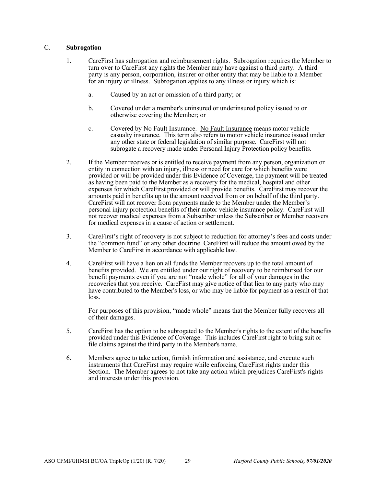#### C. **Subrogation**

- 1. CareFirst has subrogation and reimbursement rights. Subrogation requires the Member to turn over to CareFirst any rights the Member may have against a third party. A third party is any person, corporation, insurer or other entity that may be liable to a Member for an injury or illness. Subrogation applies to any illness or injury which is:
	- a. Caused by an act or omission of a third party; or
	- b. Covered under a member's uninsured or underinsured policy issued to or otherwise covering the Member; or
	- c. Covered by No Fault Insurance. No Fault Insurance means motor vehicle casualty insurance. This term also refers to motor vehicle insurance issued under any other state or federal legislation of similar purpose. CareFirst will not subrogate a recovery made under Personal Injury Protection policy benefits.
- 2. If the Member receives or is entitled to receive payment from any person, organization or entity in connection with an injury, illness or need for care for which benefits were provided or will be provided under this Evidence of Coverage, the payment will be treated as having been paid to the Member as a recovery for the medical, hospital and other expenses for which CareFirst provided or will provide benefits. CareFirst may recover the amounts paid in benefits up to the amount received from or on behalf of the third party. CareFirst will not recover from payments made to the Member under the Member's personal injury protection benefits of their motor vehicle insurance policy. CareFirst will not recover medical expenses from a Subscriber unless the Subscriber or Member recovers for medical expenses in a cause of action or settlement.
- 3. CareFirst's right of recovery is not subject to reduction for attorney's fees and costs under the "common fund" or any other doctrine. CareFirst will reduce the amount owed by the Member to CareFirst in accordance with applicable law.
- 4. CareFirst will have a lien on all funds the Member recovers up to the total amount of benefits provided. We are entitled under our right of recovery to be reimbursed for our benefit payments even if you are not "made whole" for all of your damages in the recoveries that you receive. CareFirst may give notice of that lien to any party who may have contributed to the Member's loss, or who may be liable for payment as a result of that loss.

For purposes of this provision, "made whole" means that the Member fully recovers all of their damages.

- 5. CareFirst has the option to be subrogated to the Member's rights to the extent of the benefits provided under this Evidence of Coverage. This includes CareFirst right to bring suit or file claims against the third party in the Member's name.
- 6. Members agree to take action, furnish information and assistance, and execute such instruments that CareFirst may require while enforcing CareFirst rights under this Section. The Member agrees to not take any action which prejudices CareFirst's rights and interests under this provision.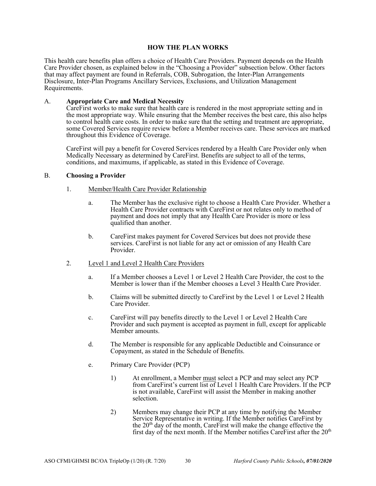#### **HOW THE PLAN WORKS**

This health care benefits plan offers a choice of Health Care Providers. Payment depends on the Health Care Provider chosen, as explained below in the "Choosing a Provider" subsection below. Other factors that may affect payment are found in Referrals, COB, Subrogation, the Inter-Plan Arrangements Disclosure, Inter-Plan Programs Ancillary Services, Exclusions, and Utilization Management Requirements.

#### A. **Appropriate Care and Medical Necessity**

CareFirst works to make sure that health care is rendered in the most appropriate setting and in the most appropriate way. While ensuring that the Member receives the best care, this also helps to control health care costs. In order to make sure that the setting and treatment are appropriate, some Covered Services require review before a Member receives care. These services are marked throughout this Evidence of Coverage.

CareFirst will pay a benefit for Covered Services rendered by a Health Care Provider only when Medically Necessary as determined by CareFirst. Benefits are subject to all of the terms, conditions, and maximums, if applicable, as stated in this Evidence of Coverage.

#### B. **Choosing a Provider**

- 1. Member/Health Care Provider Relationship
	- a. The Member has the exclusive right to choose a Health Care Provider. Whether a Health Care Provider contracts with CareFirst or not relates only to method of payment and does not imply that any Health Care Provider is more or less qualified than another.
	- b. CareFirst makes payment for Covered Services but does not provide these services. CareFirst is not liable for any act or omission of any Health Care Provider.
- 2. Level 1 and Level 2 Health Care Providers
	- a. If a Member chooses a Level 1 or Level 2 Health Care Provider, the cost to the Member is lower than if the Member chooses a Level 3 Health Care Provider.
	- b. Claims will be submitted directly to CareFirst by the Level 1 or Level 2 Health Care Provider.
	- c. CareFirst will pay benefits directly to the Level 1 or Level 2 Health Care Provider and such payment is accepted as payment in full, except for applicable Member amounts.
	- d. The Member is responsible for any applicable Deductible and Coinsurance or Copayment, as stated in the Schedule of Benefits.
	- e. Primary Care Provider (PCP)
		- 1) At enrollment, a Member must select a PCP and may select any PCP from CareFirst's current list of Level 1 Health Care Providers. If the PCP is not available, CareFirst will assist the Member in making another selection.
		- 2) Members may change their PCP at any time by notifying the Member Service Representative in writing. If the Member notifies CareFirst by the  $20<sup>th</sup>$  day of the month, CareFirst will make the change effective the first day of the next month. If the Member notifies CareFirst after the  $20<sup>th</sup>$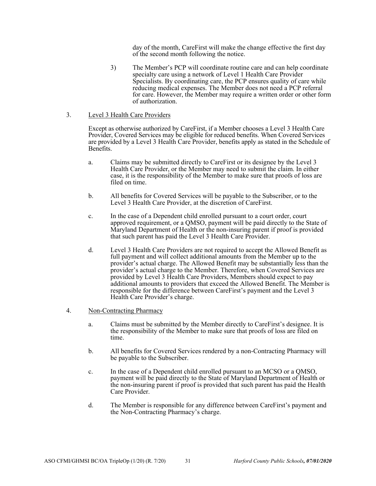day of the month, CareFirst will make the change effective the first day of the second month following the notice.

- 3) The Member's PCP will coordinate routine care and can help coordinate specialty care using a network of Level 1 Health Care Provider Specialists. By coordinating care, the PCP ensures quality of care while reducing medical expenses. The Member does not need a PCP referral for care. However, the Member may require a written order or other form of authorization.
- 3. Level 3 Health Care Providers

Except as otherwise authorized by CareFirst, if a Member chooses a Level 3 Health Care Provider, Covered Services may be eligible for reduced benefits. When Covered Services are provided by a Level 3 Health Care Provider, benefits apply as stated in the Schedule of Benefits.

- a. Claims may be submitted directly to CareFirst or its designee by the Level 3 Health Care Provider, or the Member may need to submit the claim. In either case, it is the responsibility of the Member to make sure that proofs of loss are filed on time.
- b. All benefits for Covered Services will be payable to the Subscriber, or to the Level 3 Health Care Provider, at the discretion of CareFirst.
- c. In the case of a Dependent child enrolled pursuant to a court order, court approved requirement, or a QMSO, payment will be paid directly to the State of Maryland Department of Health or the non-insuring parent if proof is provided that such parent has paid the Level 3 Health Care Provider.
- d. Level 3 Health Care Providers are not required to accept the Allowed Benefit as full payment and will collect additional amounts from the Member up to the provider's actual charge. The Allowed Benefit may be substantially less than the provider's actual charge to the Member. Therefore, when Covered Services are provided by Level 3 Health Care Providers, Members should expect to pay additional amounts to providers that exceed the Allowed Benefit. The Member is responsible for the difference between CareFirst's payment and the Level 3 Health Care Provider's charge.
- 4. Non-Contracting Pharmacy
	- a. Claims must be submitted by the Member directly to CareFirst's designee. It is the responsibility of the Member to make sure that proofs of loss are filed on time.
	- b. All benefits for Covered Services rendered by a non-Contracting Pharmacy will be payable to the Subscriber.
	- c. In the case of a Dependent child enrolled pursuant to an MCSO or a QMSO, payment will be paid directly to the State of Maryland Department of Health or the non-insuring parent if proof is provided that such parent has paid the Health Care Provider.
	- d. The Member is responsible for any difference between CareFirst's payment and the Non-Contracting Pharmacy's charge.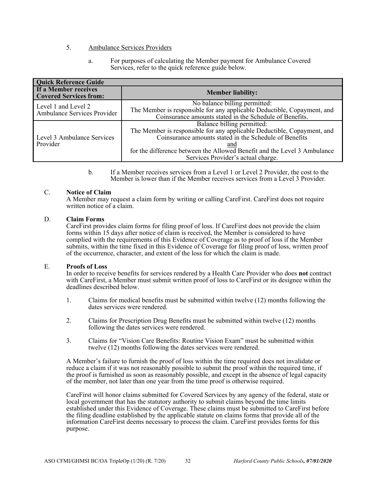- 5. Ambulance Services Providers
	- a. For purposes of calculating the Member payment for Ambulance Covered Services, refer to the quick reference guide below.

| <b>Quick Reference Guide</b>                          |                                                                                                                                    |  |  |  |  |  |
|-------------------------------------------------------|------------------------------------------------------------------------------------------------------------------------------------|--|--|--|--|--|
| If a Member receives<br><b>Covered Services from:</b> | <b>Member liability:</b>                                                                                                           |  |  |  |  |  |
| Level 1 and Level 2                                   | No balance billing permitted:                                                                                                      |  |  |  |  |  |
| Ambulance Services Provider                           | The Member is responsible for any applicable Deductible, Copayment, and<br>Coinsurance amounts stated in the Schedule of Benefits. |  |  |  |  |  |
|                                                       | Balance billing permitted:                                                                                                         |  |  |  |  |  |
|                                                       | The Member is responsible for any applicable Deductible, Copayment, and<br>Coinsurance amounts stated in the Schedule of Benefits  |  |  |  |  |  |
| Level 3 Ambulance Services                            |                                                                                                                                    |  |  |  |  |  |
| Provider                                              | and                                                                                                                                |  |  |  |  |  |
|                                                       | for the difference between the Allowed Benefit and the Level 3 Ambulance                                                           |  |  |  |  |  |
|                                                       | Services Provider's actual charge.                                                                                                 |  |  |  |  |  |

b. If a Member receives services from a Level 1 or Level 2 Provider, the cost to the Member is lower than if the Member receives services from a Level 3 Provider.

#### C. **Notice of Claim**

A Member may request a claim form by writing or calling CareFirst. CareFirst does not require written notice of a claim.

#### D. **Claim Forms**

CareFirst provides claim forms for filing proof of loss. If CareFirst does not provide the claim forms within 15 days after notice of claim is received, the Member is considered to have complied with the requirements of this Evidence of Coverage as to proof of loss if the Member submits, within the time fixed in this Evidence of Coverage for filing proof of loss, written proof of the occurrence, character, and extent of the loss for which the claim is made.

#### E. **Proofs of Loss**

In order to receive benefits for services rendered by a Health Care Provider who does **not** contract with CareFirst, a Member must submit written proof of loss to CareFirst or its designee within the deadlines described below.

- 1. Claims for medical benefits must be submitted within twelve (12) months following the dates services were rendered.
- 2. Claims for Prescription Drug Benefits must be submitted within twelve (12) months following the dates services were rendered.
- 3. Claims for "Vision Care Benefits: Routine Vision Exam" must be submitted within twelve (12) months following the dates services were rendered.

A Member's failure to furnish the proof of loss within the time required does not invalidate or reduce a claim if it was not reasonably possible to submit the proof within the required time, if the proof is furnished as soon as reasonably possible, and except in the absence of legal capacity of the member, not later than one year from the time proof is otherwise required.

CareFirst will honor claims submitted for Covered Services by any agency of the federal, state or local government that has the statutory authority to submit claims beyond the time limits established under this Evidence of Coverage. These claims must be submitted to CareFirst before the filing deadline established by the applicable statute on claims forms that provide all of the information CareFirst deems necessary to process the claim. CareFirst provides forms for this purpose.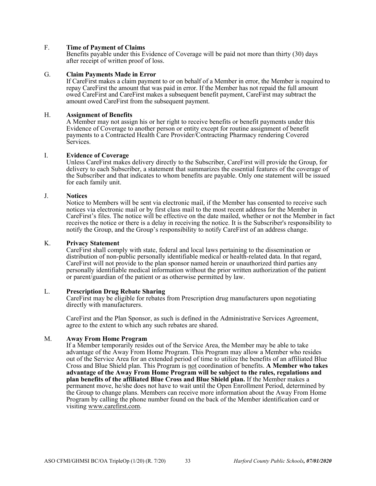#### F. **Time of Payment of Claims**

Benefits payable under this Evidence of Coverage will be paid not more than thirty (30) days after receipt of written proof of loss.

#### G. **Claim Payments Made in Error**

If CareFirst makes a claim payment to or on behalf of a Member in error, the Member is required to repay CareFirst the amount that was paid in error. If the Member has not repaid the full amount owed CareFirst and CareFirst makes a subsequent benefit payment, CareFirst may subtract the amount owed CareFirst from the subsequent payment.

#### H. **Assignment of Benefits**

A Member may not assign his or her right to receive benefits or benefit payments under this Evidence of Coverage to another person or entity except for routine assignment of benefit payments to a Contracted Health Care Provider/Contracting Pharmacy rendering Covered Services.

#### I. **Evidence of Coverage**

Unless CareFirst makes delivery directly to the Subscriber, CareFirst will provide the Group, for delivery to each Subscriber, a statement that summarizes the essential features of the coverage of the Subscriber and that indicates to whom benefits are payable. Only one statement will be issued for each family unit.

#### J. **Notices**

Notice to Members will be sent via electronic mail, if the Member has consented to receive such notices via electronic mail or by first class mail to the most recent address for the Member in CareFirst's files. The notice will be effective on the date mailed, whether or not the Member in fact receives the notice or there is a delay in receiving the notice. It is the Subscriber's responsibility to notify the Group, and the Group's responsibility to notify CareFirst of an address change.

#### K. **Privacy Statement**

CareFirst shall comply with state, federal and local laws pertaining to the dissemination or distribution of non-public personally identifiable medical or health-related data. In that regard, CareFirst will not provide to the plan sponsor named herein or unauthorized third parties any personally identifiable medical information without the prior written authorization of the patient or parent/guardian of the patient or as otherwise permitted by law.

#### L. **Prescription Drug Rebate Sharing**

CareFirst may be eligible for rebates from Prescription drug manufacturers upon negotiating directly with manufacturers.

CareFirst and the Plan Sponsor, as such is defined in the Administrative Services Agreement, agree to the extent to which any such rebates are shared.

M. **Away From Home Program**<br>If a Member temporarily resides out of the Service Area, the Member may be able to take advantage of the Away From Home Program. This Program may allow a Member who resides out of the Service Area for an extended period of time to utilize the benefits of an affiliated Blue Cross and Blue Shield plan. This Program is not coordination of benefits. **A Member who takes advantage of the Away From Home Program will be subject to the rules, regulations and plan benefits of the affiliated Blue Cross and Blue Shield plan.** If the Member makes a permanent move, he/she does not have to wait until the Open Enrollment Period, determined by the Group to change plans. Members can receive more information about the Away From Home Program by calling the phone number found on the back of the Member identification card or visiting www.carefirst.com.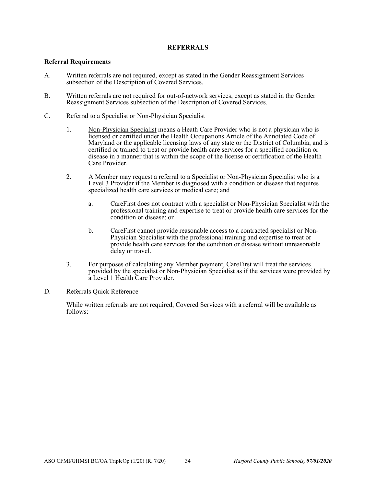### **REFERRALS**

#### **Referral Requirements**

- A. Written referrals are not required, except as stated in the Gender Reassignment Services subsection of the Description of Covered Services.
- B. Written referrals are not required for out-of-network services, except as stated in the Gender Reassignment Services subsection of the Description of Covered Services.
- C. Referral to a Specialist or Non-Physician Specialist
	- 1. Non-Physician Specialist means a Heath Care Provider who is not a physician who is licensed or certified under the Health Occupations Article of the Annotated Code of Maryland or the applicable licensing laws of any state or the District of Columbia; and is certified or trained to treat or provide health care services for a specified condition or disease in a manner that is within the scope of the license or certification of the Health Care Provider.
	- 2. A Member may request a referral to a Specialist or Non-Physician Specialist who is a Level 3 Provider if the Member is diagnosed with a condition or disease that requires specialized health care services or medical care; and
		- a. CareFirst does not contract with a specialist or Non-Physician Specialist with the professional training and expertise to treat or provide health care services for the condition or disease; or
		- b. CareFirst cannot provide reasonable access to a contracted specialist or Non-Physician Specialist with the professional training and expertise to treat or provide health care services for the condition or disease without unreasonable delay or travel.
	- 3. For purposes of calculating any Member payment, CareFirst will treat the services provided by the specialist or Non-Physician Specialist as if the services were provided by a Level 1 Health Care Provider.
- D. Referrals Quick Reference

While written referrals are not required, Covered Services with a referral will be available as follows: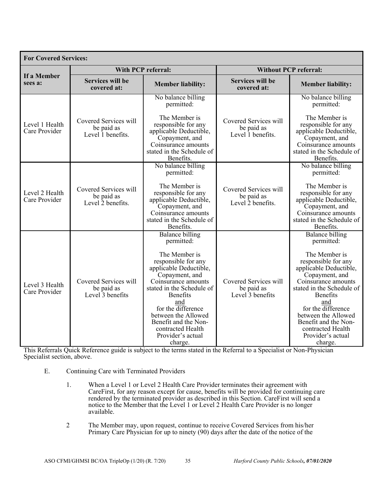| <b>For Covered Services:</b>    |                                                          |                                                                                                                                                                                                                                                                                                                                  |                                                          |                                                                                                                                                                                                                                                                                                                                  |  |  |
|---------------------------------|----------------------------------------------------------|----------------------------------------------------------------------------------------------------------------------------------------------------------------------------------------------------------------------------------------------------------------------------------------------------------------------------------|----------------------------------------------------------|----------------------------------------------------------------------------------------------------------------------------------------------------------------------------------------------------------------------------------------------------------------------------------------------------------------------------------|--|--|
|                                 | <b>With PCP referral:</b>                                |                                                                                                                                                                                                                                                                                                                                  | <b>Without PCP referral:</b>                             |                                                                                                                                                                                                                                                                                                                                  |  |  |
| If a Member<br>sees a:          | <b>Services will be</b><br>covered at:                   | <b>Member liability:</b>                                                                                                                                                                                                                                                                                                         | <b>Services will be</b><br>covered at:                   | <b>Member liability:</b>                                                                                                                                                                                                                                                                                                         |  |  |
| Level 1 Health<br>Care Provider |                                                          | No balance billing<br>permitted:                                                                                                                                                                                                                                                                                                 | Covered Services will<br>be paid as<br>Level 1 benefits. | No balance billing<br>permitted:                                                                                                                                                                                                                                                                                                 |  |  |
|                                 | Covered Services will<br>be paid as<br>Level 1 benefits. | The Member is<br>responsible for any<br>applicable Deductible,<br>Copayment, and<br>Coinsurance amounts<br>stated in the Schedule of<br>Benefits.                                                                                                                                                                                |                                                          | The Member is<br>responsible for any<br>applicable Deductible,<br>Copayment, and<br>Coinsurance amounts<br>stated in the Schedule of<br>Benefits.                                                                                                                                                                                |  |  |
| Level 2 Health<br>Care Provider | Covered Services will<br>be paid as<br>Level 2 benefits. | No balance billing<br>permitted:<br>The Member is<br>responsible for any<br>applicable Deductible,<br>Copayment, and<br>Coinsurance amounts<br>stated in the Schedule of<br>Benefits.                                                                                                                                            | Covered Services will<br>be paid as<br>Level 2 benefits. | No balance billing<br>permitted:<br>The Member is<br>responsible for any<br>applicable Deductible,<br>Copayment, and<br>Coinsurance amounts<br>stated in the Schedule of<br>Benefits.                                                                                                                                            |  |  |
| Level 3 Health<br>Care Provider | Covered Services will<br>be paid as<br>Level 3 benefits  | <b>Balance billing</b><br>permitted:<br>The Member is<br>responsible for any<br>applicable Deductible,<br>Copayment, and<br>Coinsurance amounts<br>stated in the Schedule of<br><b>Benefits</b><br>and<br>for the difference<br>between the Allowed<br>Benefit and the Non-<br>contracted Health<br>Provider's actual<br>charge. | Covered Services will<br>be paid as<br>Level 3 benefits  | <b>Balance billing</b><br>permitted:<br>The Member is<br>responsible for any<br>applicable Deductible,<br>Copayment, and<br>Coinsurance amounts<br>stated in the Schedule of<br><b>Benefits</b><br>and<br>for the difference<br>between the Allowed<br>Benefit and the Non-<br>contracted Health<br>Provider's actual<br>charge. |  |  |

This Referrals Quick Reference guide is subject to the terms stated in the Referral to a Specialist or Non-Physician Specialist section, above.

- E. Continuing Care with Terminated Providers
	- 1. When a Level 1 or Level 2 Health Care Provider terminates their agreement with CareFirst, for any reason except for cause, benefits will be provided for continuing care rendered by the terminated provider as described in this Section. CareFirst will send a notice to the Member that the Level 1 or Level 2 Health Care Provider is no longer available.
	- 2 The Member may, upon request, continue to receive Covered Services from his/her Primary Care Physician for up to ninety (90) days after the date of the notice of the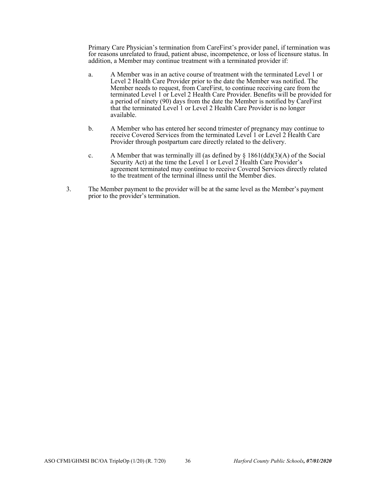Primary Care Physician's termination from CareFirst's provider panel, if termination was for reasons unrelated to fraud, patient abuse, incompetence, or loss of licensure status. In addition, a Member may continue treatment with a terminated provider if:

- a. A Member was in an active course of treatment with the terminated Level 1 or Level 2 Health Care Provider prior to the date the Member was notified. The Member needs to request, from CareFirst, to continue receiving care from the terminated Level 1 or Level 2 Health Care Provider. Benefits will be provided for a period of ninety (90) days from the date the Member is notified by CareFirst that the terminated Level 1 or Level 2 Health Care Provider is no longer available.
- b. A Member who has entered her second trimester of pregnancy may continue to receive Covered Services from the terminated Level 1 or Level 2 Health Care Provider through postpartum care directly related to the delivery.
- c. A Member that was terminally ill (as defined by  $\S$  1861(dd)(3)(A) of the Social Security Act) at the time the Level 1 or Level 2 Health Care Provider's agreement terminated may continue to receive Covered Services directly related to the treatment of the terminal illness until the Member dies.
- 3. The Member payment to the provider will be at the same level as the Member's payment prior to the provider's termination.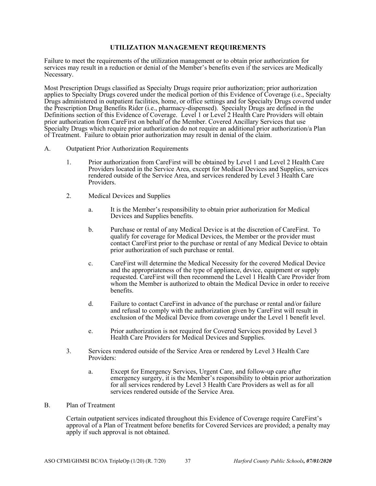## **UTILIZATION MANAGEMENT REQUIREMENTS**

Failure to meet the requirements of the utilization management or to obtain prior authorization for services may result in a reduction or denial of the Member's benefits even if the services are Medically Necessary.

Most Prescription Drugs classified as Specialty Drugs require prior authorization; prior authorization applies to Specialty Drugs covered under the medical portion of this Evidence of Coverage (i.e., Specialty Drugs administered in outpatient facilities, home, or office settings and for Specialty Drugs covered under the Prescription Drug Benefits Rider (i.e., pharmacy-dispensed). Specialty Drugs are defined in the Definitions section of this Evidence of Coverage. Level 1 or Level 2 Health Care Providers will obtain prior authorization from CareFirst on behalf of the Member. Covered Ancillary Services that use Specialty Drugs which require prior authorization do not require an additional prior authorization/a Plan of Treatment. Failure to obtain prior authorization may result in denial of the claim.

- A. Outpatient Prior Authorization Requirements
	- 1. Prior authorization from CareFirst will be obtained by Level 1 and Level 2 Health Care Providers located in the Service Area, except for Medical Devices and Supplies, services rendered outside of the Service Area, and services rendered by Level 3 Health Care Providers.
	- 2. Medical Devices and Supplies
		- a. It is the Member's responsibility to obtain prior authorization for Medical Devices and Supplies benefits.
		- b. Purchase or rental of any Medical Device is at the discretion of CareFirst. To qualify for coverage for Medical Devices, the Member or the provider must contact CareFirst prior to the purchase or rental of any Medical Device to obtain prior authorization of such purchase or rental.
		- c. CareFirst will determine the Medical Necessity for the covered Medical Device and the appropriateness of the type of appliance, device, equipment or supply requested. CareFirst will then recommend the Level 1 Health Care Provider from whom the Member is authorized to obtain the Medical Device in order to receive benefits.
		- d. Failure to contact CareFirst in advance of the purchase or rental and/or failure and refusal to comply with the authorization given by CareFirst will result in exclusion of the Medical Device from coverage under the Level 1 benefit level.
		- e. Prior authorization is not required for Covered Services provided by Level 3 Health Care Providers for Medical Devices and Supplies.
	- 3. Services rendered outside of the Service Area or rendered by Level 3 Health Care Providers:
		- a. Except for Emergency Services, Urgent Care, and follow-up care after emergency surgery, it is the Member's responsibility to obtain prior authorization for all services rendered by Level 3 Health Care Providers as well as for all services rendered outside of the Service Area.
- B. Plan of Treatment

Certain outpatient services indicated throughout this Evidence of Coverage require CareFirst's approval of a Plan of Treatment before benefits for Covered Services are provided; a penalty may apply if such approval is not obtained.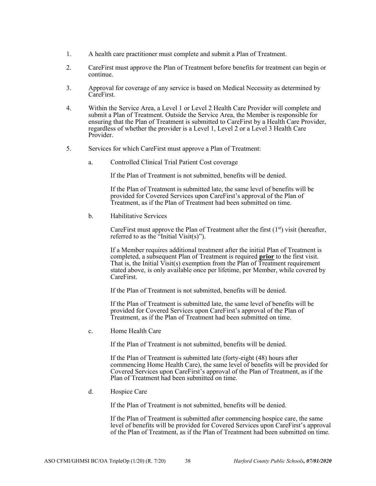- 1. A health care practitioner must complete and submit a Plan of Treatment.
- 2. CareFirst must approve the Plan of Treatment before benefits for treatment can begin or continue.
- 3. Approval for coverage of any service is based on Medical Necessity as determined by CareFirst.
- 4. Within the Service Area, a Level 1 or Level 2 Health Care Provider will complete and submit a Plan of Treatment. Outside the Service Area, the Member is responsible for ensuring that the Plan of Treatment is submitted to CareFirst by a Health Care Provider, regardless of whether the provider is a Level 1, Level 2 or a Level 3 Health Care Provider.
- 5. Services for which CareFirst must approve a Plan of Treatment:
	- a. Controlled Clinical Trial Patient Cost coverage

If the Plan of Treatment is not submitted, benefits will be denied.

If the Plan of Treatment is submitted late, the same level of benefits will be provided for Covered Services upon CareFirst's approval of the Plan of Treatment, as if the Plan of Treatment had been submitted on time.

b. Habilitative Services

CareFirst must approve the Plan of Treatment after the first  $(1<sup>st</sup>)$  visit (hereafter, referred to as the "Initial Visit(s)").

If a Member requires additional treatment after the initial Plan of Treatment is completed, a subsequent Plan of Treatment is required **prior** to the first visit. That is, the Initial  $\overline{V}$ isit(s) exemption from the Plan of Treatment requirement stated above, is only available once per lifetime, per Member, while covered by CareFirst.

If the Plan of Treatment is not submitted, benefits will be denied.

If the Plan of Treatment is submitted late, the same level of benefits will be provided for Covered Services upon CareFirst's approval of the Plan of Treatment, as if the Plan of Treatment had been submitted on time.

c. Home Health Care

If the Plan of Treatment is not submitted, benefits will be denied.

If the Plan of Treatment is submitted late (forty-eight (48) hours after commencing Home Health Care), the same level of benefits will be provided for Covered Services upon CareFirst's approval of the Plan of Treatment, as if the Plan of Treatment had been submitted on time.

d. Hospice Care

If the Plan of Treatment is not submitted, benefits will be denied.

If the Plan of Treatment is submitted after commencing hospice care, the same level of benefits will be provided for Covered Services upon CareFirst's approval of the Plan of Treatment, as if the Plan of Treatment had been submitted on time.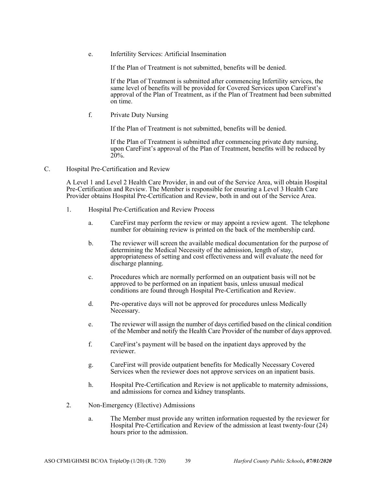e. Infertility Services: Artificial Insemination

If the Plan of Treatment is not submitted, benefits will be denied.

If the Plan of Treatment is submitted after commencing Infertility services, the same level of benefits will be provided for Covered Services upon CareFirst's approval of the Plan of Treatment, as if the Plan of Treatment had been submitted on time.

f. Private Duty Nursing

If the Plan of Treatment is not submitted, benefits will be denied.

If the Plan of Treatment is submitted after commencing private duty nursing, upon CareFirst's approval of the Plan of Treatment, benefits will be reduced by 20%.

C. Hospital Pre-Certification and Review

A Level 1 and Level 2 Health Care Provider, in and out of the Service Area, will obtain Hospital Pre-Certification and Review. The Member is responsible for ensuring a Level 3 Health Care Provider obtains Hospital Pre-Certification and Review, both in and out of the Service Area.

- 1. Hospital Pre-Certification and Review Process
	- a. CareFirst may perform the review or may appoint a review agent. The telephone number for obtaining review is printed on the back of the membership card.
	- b. The reviewer will screen the available medical documentation for the purpose of determining the Medical Necessity of the admission, length of stay, appropriateness of setting and cost effectiveness and will evaluate the need for discharge planning.
	- c. Procedures which are normally performed on an outpatient basis will not be approved to be performed on an inpatient basis, unless unusual medical conditions are found through Hospital Pre-Certification and Review.
	- d. Pre-operative days will not be approved for procedures unless Medically Necessary.
	- e. The reviewer will assign the number of days certified based on the clinical condition of the Member and notify the Health Care Provider of the number of days approved.
	- f. CareFirst's payment will be based on the inpatient days approved by the reviewer.
	- g. CareFirst will provide outpatient benefits for Medically Necessary Covered Services when the reviewer does not approve services on an inpatient basis.
	- h. Hospital Pre-Certification and Review is not applicable to maternity admissions, and admissions for cornea and kidney transplants.
- 2. Non-Emergency (Elective) Admissions
	- a. The Member must provide any written information requested by the reviewer for Hospital Pre-Certification and Review of the admission at least twenty-four (24) hours prior to the admission.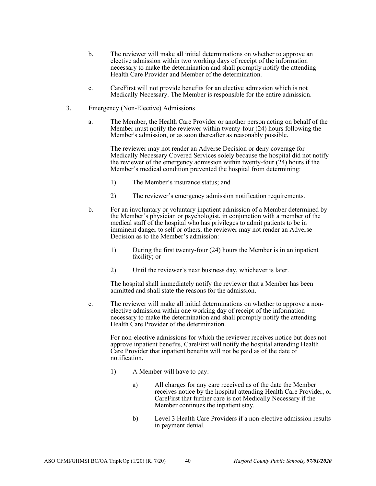- b. The reviewer will make all initial determinations on whether to approve an elective admission within two working days of receipt of the information necessary to make the determination and shall promptly notify the attending Health Care Provider and Member of the determination.
- c. CareFirst will not provide benefits for an elective admission which is not Medically Necessary. The Member is responsible for the entire admission.
- 3. Emergency (Non-Elective) Admissions
	- a. The Member, the Health Care Provider or another person acting on behalf of the Member must notify the reviewer within twenty-four (24) hours following the Member's admission, or as soon thereafter as reasonably possible.

The reviewer may not render an Adverse Decision or deny coverage for Medically Necessary Covered Services solely because the hospital did not notify the reviewer of the emergency admission within twenty-four  $(24)$  hours if the Member's medical condition prevented the hospital from determining:

- 1) The Member's insurance status; and
- 2) The reviewer's emergency admission notification requirements.
- b. For an involuntary or voluntary inpatient admission of a Member determined by the Member's physician or psychologist, in conjunction with a member of the medical staff of the hospital who has privileges to admit patients to be in imminent danger to self or others, the reviewer may not render an Adverse Decision as to the Member's admission:
	- 1) During the first twenty-four (24) hours the Member is in an inpatient facility; or
	- 2) Until the reviewer's next business day, whichever is later.

The hospital shall immediately notify the reviewer that a Member has been admitted and shall state the reasons for the admission.

c. The reviewer will make all initial determinations on whether to approve a nonelective admission within one working day of receipt of the information necessary to make the determination and shall promptly notify the attending Health Care Provider of the determination.

For non-elective admissions for which the reviewer receives notice but does not approve inpatient benefits, CareFirst will notify the hospital attending Health Care Provider that inpatient benefits will not be paid as of the date of notification.

- 1) A Member will have to pay:
	- a) All charges for any care received as of the date the Member receives notice by the hospital attending Health Care Provider, or CareFirst that further care is not Medically Necessary if the Member continues the inpatient stay.
	- b) Level 3 Health Care Providers if a non-elective admission results in payment denial.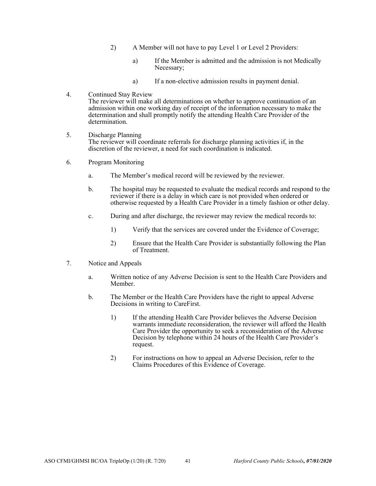- 2) A Member will not have to pay Level 1 or Level 2 Providers:
	- a) If the Member is admitted and the admission is not Medically Necessary;
	- a) If a non-elective admission results in payment denial.
- 4. Continued Stay Review The reviewer will make all determinations on whether to approve continuation of an admission within one working day of receipt of the information necessary to make the determination and shall promptly notify the attending Health Care Provider of the determination.
- 5. Discharge Planning The reviewer will coordinate referrals for discharge planning activities if, in the discretion of the reviewer, a need for such coordination is indicated.
- 6. Program Monitoring
	- a. The Member's medical record will be reviewed by the reviewer.
	- b. The hospital may be requested to evaluate the medical records and respond to the reviewer if there is a delay in which care is not provided when ordered or otherwise requested by a Health Care Provider in a timely fashion or other delay.
	- c. During and after discharge, the reviewer may review the medical records to:
		- 1) Verify that the services are covered under the Evidence of Coverage;
		- 2) Ensure that the Health Care Provider is substantially following the Plan of Treatment.
- 7. Notice and Appeals
	- a. Written notice of any Adverse Decision is sent to the Health Care Providers and Member.
	- b. The Member or the Health Care Providers have the right to appeal Adverse Decisions in writing to CareFirst.
		- 1) If the attending Health Care Provider believes the Adverse Decision warrants immediate reconsideration, the reviewer will afford the Health Care Provider the opportunity to seek a reconsideration of the Adverse Decision by telephone within 24 hours of the Health Care Provider's request.
		- 2) For instructions on how to appeal an Adverse Decision, refer to the Claims Procedures of this Evidence of Coverage.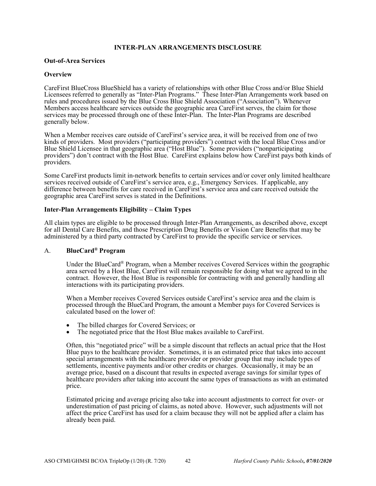## **INTER-PLAN ARRANGEMENTS DISCLOSURE**

### **Out-of-Area Services**

## **Overview**

CareFirst BlueCross BlueShield has a variety of relationships with other Blue Cross and/or Blue Shield Licensees referred to generally as "Inter-Plan Programs." These Inter-Plan Arrangements work based on rules and procedures issued by the Blue Cross Blue Shield Association ("Association"). Whenever Members access healthcare services outside the geographic area CareFirst serves, the claim for those services may be processed through one of these Inter-Plan. The Inter-Plan Programs are described generally below.

When a Member receives care outside of CareFirst's service area, it will be received from one of two kinds of providers. Most providers ("participating providers") contract with the local Blue Cross and/or Blue Shield Licensee in that geographic area ("Host Blue"). Some providers ("nonparticipating providers") don't contract with the Host Blue. CareFirst explains below how CareFirst pays both kinds of providers.

Some CareFirst products limit in-network benefits to certain services and/or cover only limited healthcare services received outside of CareFirst's service area, e.g., Emergency Services. If applicable, any difference between benefits for care received in CareFirst's service area and care received outside the geographic area CareFirst serves is stated in the Definitions.

## **Inter-Plan Arrangements Eligibility – Claim Types**

All claim types are eligible to be processed through Inter-Plan Arrangements, as described above, except for all Dental Care Benefits, and those Prescription Drug Benefits or Vision Care Benefits that may be administered by a third party contracted by CareFirst to provide the specific service or services.

# A. **BlueCard® Program**

Under the BlueCard<sup>®</sup> Program, when a Member receives Covered Services within the geographic area served by a Host Blue, CareFirst will remain responsible for doing what we agreed to in the contract. However, the Host Blue is responsible for contracting with and generally handling all interactions with its participating providers.

When a Member receives Covered Services outside CareFirst's service area and the claim is processed through the BlueCard Program, the amount a Member pays for Covered Services is calculated based on the lower of:

- The billed charges for Covered Services; or
- The negotiated price that the Host Blue makes available to CareFirst.

Often, this "negotiated price" will be a simple discount that reflects an actual price that the Host Blue pays to the healthcare provider. Sometimes, it is an estimated price that takes into account special arrangements with the healthcare provider or provider group that may include types of settlements, incentive payments and/or other credits or charges. Occasionally, it may be an average price, based on a discount that results in expected average savings for similar types of healthcare providers after taking into account the same types of transactions as with an estimated price.

Estimated pricing and average pricing also take into account adjustments to correct for over- or underestimation of past pricing of claims, as noted above. However, such adjustments will not affect the price CareFirst has used for a claim because they will not be applied after a claim has already been paid.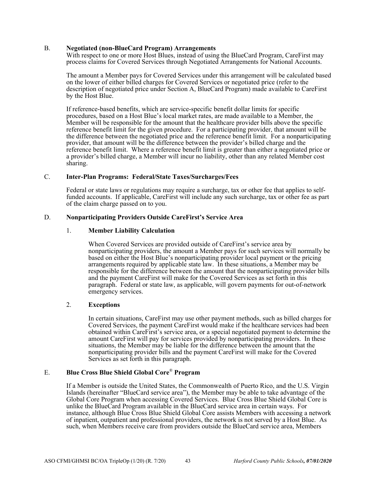### B. **Negotiated (non-BlueCard Program) Arrangements**

With respect to one or more Host Blues, instead of using the BlueCard Program, CareFirst may process claims for Covered Services through Negotiated Arrangements for National Accounts.

The amount a Member pays for Covered Services under this arrangement will be calculated based on the lower of either billed charges for Covered Services or negotiated price (refer to the description of negotiated price under Section A, BlueCard Program) made available to CareFirst by the Host Blue.

If reference-based benefits, which are service-specific benefit dollar limits for specific procedures, based on a Host Blue's local market rates, are made available to a Member, the Member will be responsible for the amount that the healthcare provider bills above the specific reference benefit limit for the given procedure. For a participating provider, that amount will be the difference between the negotiated price and the reference benefit limit. For a nonparticipating provider, that amount will be the difference between the provider's billed charge and the reference benefit limit. Where a reference benefit limit is greater than either a negotiated price or a provider's billed charge, a Member will incur no liability, other than any related Member cost sharing.

## C. **Inter-Plan Programs: Federal/State Taxes/Surcharges/Fees**

Federal or state laws or regulations may require a surcharge, tax or other fee that applies to selffunded accounts. If applicable, CareFirst will include any such surcharge, tax or other fee as part of the claim charge passed on to you.

## D. **Nonparticipating Providers Outside CareFirst's Service Area**

## 1. **Member Liability Calculation**

When Covered Services are provided outside of CareFirst's service area by nonparticipating providers, the amount a Member pays for such services will normally be based on either the Host Blue's nonparticipating provider local payment or the pricing arrangements required by applicable state law. In these situations, a Member may be responsible for the difference between the amount that the nonparticipating provider bills and the payment CareFirst will make for the Covered Services as set forth in this paragraph. Federal or state law, as applicable, will govern payments for out-of-network emergency services.

## 2. **Exceptions**

In certain situations, CareFirst may use other payment methods, such as billed charges for Covered Services, the payment CareFirst would make if the healthcare services had been obtained within CareFirst's service area, or a special negotiated payment to determine the amount CareFirst will pay for services provided by nonparticipating providers. In these situations, the Member may be liable for the difference between the amount that the nonparticipating provider bills and the payment CareFirst will make for the Covered Services as set forth in this paragraph.

### E. **Blue Cross Blue Shield Global Core**® **Program**

If a Member is outside the United States, the Commonwealth of Puerto Rico, and the U.S. Virgin Islands (hereinafter "BlueCard service area"), the Member may be able to take advantage of the Global Core Program when accessing Covered Services. Blue Cross Blue Shield Global Core is unlike the BlueCard Program available in the BlueCard service area in certain ways. For instance, although Blue Cross Blue Shield Global Core assists Members with accessing a network of inpatient, outpatient and professional providers, the network is not served by a Host Blue. As such, when Members receive care from providers outside the BlueCard service area, Members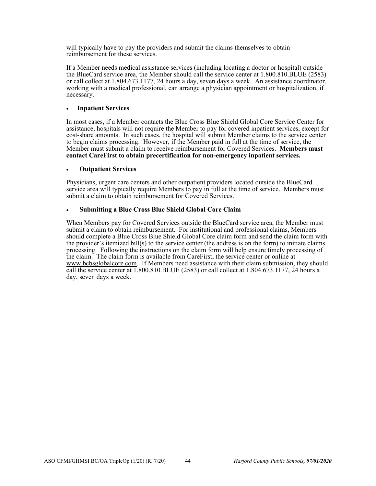will typically have to pay the providers and submit the claims themselves to obtain reimbursement for these services.

If a Member needs medical assistance services (including locating a doctor or hospital) outside the BlueCard service area, the Member should call the service center at 1.800.810.BLUE (2583) or call collect at 1.804.673.1177, 24 hours a day, seven days a week. An assistance coordinator, working with a medical professional, can arrange a physician appointment or hospitalization, if necessary.

## **Inpatient Services**

In most cases, if a Member contacts the Blue Cross Blue Shield Global Core Service Center for assistance, hospitals will not require the Member to pay for covered inpatient services, except for cost-share amounts. In such cases, the hospital will submit Member claims to the service center to begin claims processing. However, if the Member paid in full at the time of service, the Member must submit a claim to receive reimbursement for Covered Services. **Members must contact CareFirst to obtain precertification for non-emergency inpatient services.** 

## **Outpatient Services**

Physicians, urgent care centers and other outpatient providers located outside the BlueCard service area will typically require Members to pay in full at the time of service. Members must submit a claim to obtain reimbursement for Covered Services.

## **Submitting a Blue Cross Blue Shield Global Core Claim**

When Members pay for Covered Services outside the BlueCard service area, the Member must submit a claim to obtain reimbursement. For institutional and professional claims, Members should complete a Blue Cross Blue Shield Global Core claim form and send the claim form with the provider's itemized bill(s) to the service center (the address is on the form) to initiate claims processing. Following the instructions on the claim form will help ensure timely processing of the claim. The claim form is available from CareFirst, the service center or online at www.bcbsglobalcore.com. If Members need assistance with their claim submission, they should call the service center at 1.800.810.BLUE (2583) or call collect at 1.804.673.1177, 24 hours a day, seven days a week.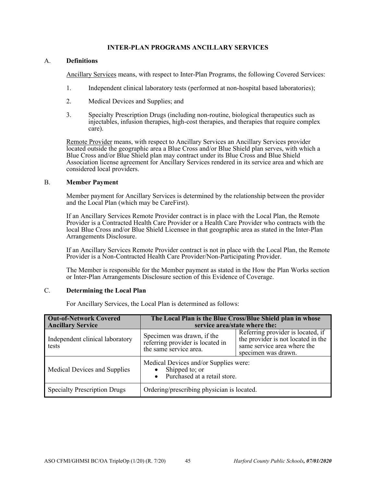# **INTER-PLAN PROGRAMS ANCILLARY SERVICES**

## A. **Definitions**

Ancillary Services means, with respect to Inter-Plan Programs, the following Covered Services:

- 1. Independent clinical laboratory tests (performed at non-hospital based laboratories);
- 2. Medical Devices and Supplies; and
- 3. Specialty Prescription Drugs (including non-routine, biological therapeutics such as injectables, infusion therapies, high-cost therapies, and therapies that require complex care).

Remote Provider means, with respect to Ancillary Services an Ancillary Services provider located outside the geographic area a Blue Cross and/or Blue Shield plan serves, with which a Blue Cross and/or Blue Shield plan may contract under its Blue Cross and Blue Shield Association license agreement for Ancillary Services rendered in its service area and which are considered local providers.

## B. **Member Payment**

Member payment for Ancillary Services is determined by the relationship between the provider and the Local Plan (which may be CareFirst).

If an Ancillary Services Remote Provider contract is in place with the Local Plan, the Remote Provider is a Contracted Health Care Provider or a Health Care Provider who contracts with the local Blue Cross and/or Blue Shield Licensee in that geographic area as stated in the Inter-Plan Arrangements Disclosure.

If an Ancillary Services Remote Provider contract is not in place with the Local Plan, the Remote Provider is a Non-Contracted Health Care Provider/Non-Participating Provider.

The Member is responsible for the Member payment as stated in the How the Plan Works section or Inter-Plan Arrangements Disclosure section of this Evidence of Coverage.

## C. **Determining the Local Plan**

For Ancillary Services, the Local Plan is determined as follows:

| <b>Out-of-Network Covered</b><br><b>Ancillary Service</b> | The Local Plan is the Blue Cross/Blue Shield plan in whose<br>service area/state where the: |                                                                                                                               |  |
|-----------------------------------------------------------|---------------------------------------------------------------------------------------------|-------------------------------------------------------------------------------------------------------------------------------|--|
| Independent clinical laboratory<br>tests                  | Specimen was drawn, if the<br>referring provider is located in<br>the same service area.    | Referring provider is located, if<br>the provider is not located in the<br>same service area where the<br>specimen was drawn. |  |
| Medical Devices and Supplies                              | Medical Devices and/or Supplies were:<br>Shipped to; or<br>• Purchased at a retail store.   |                                                                                                                               |  |
| <b>Specialty Prescription Drugs</b>                       | Ordering/prescribing physician is located.                                                  |                                                                                                                               |  |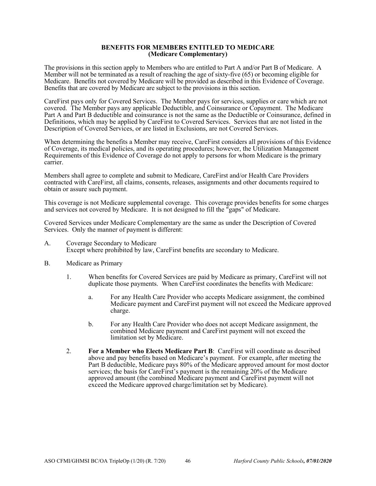#### **BENEFITS FOR MEMBERS ENTITLED TO MEDICARE (Medicare Complementary)**

The provisions in this section apply to Members who are entitled to Part A and/or Part B of Medicare. A Member will not be terminated as a result of reaching the age of sixty-five (65) or becoming eligible for Medicare. Benefits not covered by Medicare will be provided as described in this Evidence of Coverage. Benefits that are covered by Medicare are subject to the provisions in this section.

CareFirst pays only for Covered Services. The Member pays for services, supplies or care which are not covered. The Member pays any applicable Deductible, and Coinsurance or Copayment. The Medicare Part A and Part B deductible and coinsurance is not the same as the Deductible or Coinsurance, defined in Definitions, which may be applied by CareFirst to Covered Services. Services that are not listed in the Description of Covered Services, or are listed in Exclusions, are not Covered Services.

When determining the benefits a Member may receive, CareFirst considers all provisions of this Evidence of Coverage, its medical policies, and its operating procedures; however, the Utilization Management Requirements of this Evidence of Coverage do not apply to persons for whom Medicare is the primary carrier.

Members shall agree to complete and submit to Medicare, CareFirst and/or Health Care Providers contracted with CareFirst, all claims, consents, releases, assignments and other documents required to obtain or assure such payment.

This coverage is not Medicare supplemental coverage. This coverage provides benefits for some charges and services not covered by Medicare. It is not designed to fill the "gaps" of Medicare.

Covered Services under Medicare Complementary are the same as under the Description of Covered Services. Only the manner of payment is different:

- A. Coverage Secondary to Medicare Except where prohibited by law, CareFirst benefits are secondary to Medicare.
- B. Medicare as Primary
	- 1. When benefits for Covered Services are paid by Medicare as primary, CareFirst will not duplicate those payments. When CareFirst coordinates the benefits with Medicare:
		- a. For any Health Care Provider who accepts Medicare assignment, the combined Medicare payment and CareFirst payment will not exceed the Medicare approved charge.
		- b. For any Health Care Provider who does not accept Medicare assignment, the combined Medicare payment and CareFirst payment will not exceed the limitation set by Medicare.
	- 2. **For a Member who Elects Medicare Part B**: CareFirst will coordinate as described above and pay benefits based on Medicare's payment. For example, after meeting the Part B deductible, Medicare pays 80% of the Medicare approved amount for most doctor services; the basis for CareFirst's payment is the remaining 20% of the Medicare approved amount (the combined Medicare payment and CareFirst payment will not exceed the Medicare approved charge/limitation set by Medicare).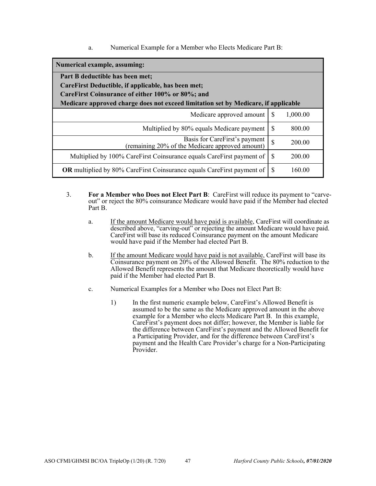a. Numerical Example for a Member who Elects Medicare Part B:

| Numerical example, assuming:                                                       |               |          |
|------------------------------------------------------------------------------------|---------------|----------|
| Part B deductible has been met;                                                    |               |          |
| CareFirst Deductible, if applicable, has been met;                                 |               |          |
| CareFirst Coinsurance of either 100% or 80%; and                                   |               |          |
| Medicare approved charge does not exceed limitation set by Medicare, if applicable |               |          |
| Medicare approved amount                                                           | <b>S</b>      | 1,000.00 |
| Multiplied by 80% equals Medicare payment                                          | \$.           | 800.00   |
| Basis for CareFirst's payment<br>(remaining 20% of the Medicare approved amount)   | $\mathcal{S}$ | 200.00   |
| Multiplied by 100% CareFirst Coinsurance equals CareFirst payment of               | -S            | 200.00   |
| OR multiplied by 80% CareFirst Coinsurance equals CareFirst payment of             | S             | 160.00   |

- 3. **For a Member who Does not Elect Part B**: CareFirst will reduce its payment to "carveout" or reject the 80% coinsurance Medicare would have paid if the Member had elected Part B.
	- a. If the amount Medicare would have paid is available, CareFirst will coordinate as described above, "carving-out" or rejecting the amount Medicare would have paid. CareFirst will base its reduced Coinsurance payment on the amount Medicare would have paid if the Member had elected Part B.
	- b. If the amount Medicare would have paid is not available, CareFirst will base its Coinsurance payment on 20% of the Allowed Benefit. The 80% reduction to the Allowed Benefit represents the amount that Medicare theoretically would have paid if the Member had elected Part B.
	- c. Numerical Examples for a Member who Does not Elect Part B:
		- 1) In the first numeric example below, CareFirst's Allowed Benefit is assumed to be the same as the Medicare approved amount in the above example for a Member who elects Medicare Part B. In this example, CareFirst's payment does not differ; however, the Member is liable for the difference between CareFirst's payment and the Allowed Benefit for a Participating Provider, and for the difference between CareFirst's payment and the Health Care Provider's charge for a Non-Participating Provider.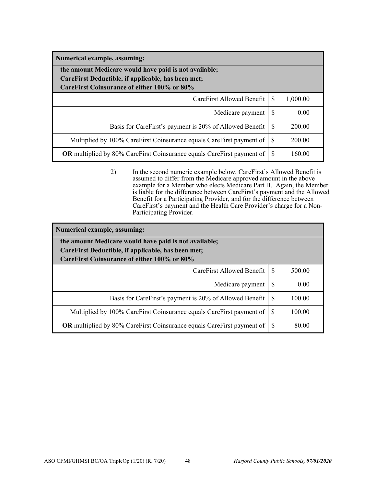| Numerical example, assuming:                                                                                                                               |          |          |
|------------------------------------------------------------------------------------------------------------------------------------------------------------|----------|----------|
| the amount Medicare would have paid is not available;<br>CareFirst Deductible, if applicable, has been met;<br>CareFirst Coinsurance of either 100% or 80% |          |          |
| CareFirst Allowed Benefit L                                                                                                                                | <b>S</b> | 1,000.00 |
| Medicare payment                                                                                                                                           | S        | 0.00     |
| Basis for CareFirst's payment is 20% of Allowed Benefit                                                                                                    | -S       | 200.00   |
| Multiplied by 100% CareFirst Coinsurance equals CareFirst payment of                                                                                       | -S       | 200.00   |
| <b>OR</b> multiplied by 80% CareFirst Coinsurance equals CareFirst payment of                                                                              | -S       | 160.00   |

2) In the second numeric example below, CareFirst's Allowed Benefit is assumed to differ from the Medicare approved amount in the above example for a Member who elects Medicare Part B. Again, the Member is liable for the difference between CareFirst's payment and the Allowed Benefit for a Participating Provider, and for the difference between CareFirst's payment and the Health Care Provider's charge for a Non-Participating Provider.

| Numerical example, assuming:                                                                      |     |        |  |
|---------------------------------------------------------------------------------------------------|-----|--------|--|
| the amount Medicare would have paid is not available;                                             |     |        |  |
| CareFirst Deductible, if applicable, has been met;<br>CareFirst Coinsurance of either 100% or 80% |     |        |  |
|                                                                                                   |     |        |  |
| CareFirst Allowed Benefit                                                                         | -S  | 500.00 |  |
| Medicare payment                                                                                  | -S  | 0.00   |  |
| Basis for CareFirst's payment is 20% of Allowed Benefit                                           | -S  | 100.00 |  |
| Multiplied by 100% CareFirst Coinsurance equals CareFirst payment of                              | - S | 100.00 |  |
| <b>OR</b> multiplied by 80% CareFirst Coinsurance equals CareFirst payment of                     | - S | 80.00  |  |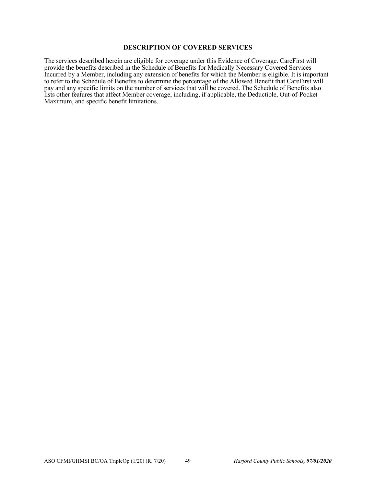### **DESCRIPTION OF COVERED SERVICES**

The services described herein are eligible for coverage under this Evidence of Coverage. CareFirst will provide the benefits described in the Schedule of Benefits for Medically Necessary Covered Services Incurred by a Member, including any extension of benefits for which the Member is eligible. It is important to refer to the Schedule of Benefits to determine the percentage of the Allowed Benefit that CareFirst will pay and any specific limits on the number of services that will be covered. The Schedule of Benefits also lists other features that affect Member coverage, including, if applicable, the Deductible, Out-of-Pocket Maximum, and specific benefit limitations.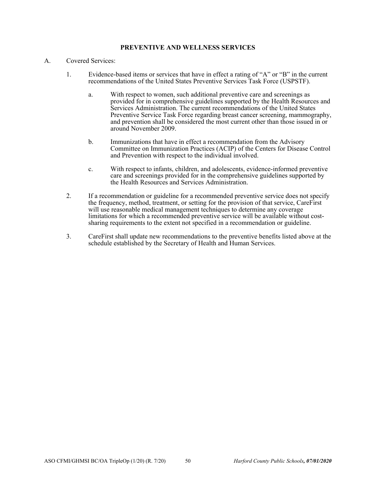## **PREVENTIVE AND WELLNESS SERVICES**

## A. Covered Services:

- 1. Evidence-based items or services that have in effect a rating of "A" or "B" in the current recommendations of the United States Preventive Services Task Force (USPSTF).
	- a. With respect to women, such additional preventive care and screenings as provided for in comprehensive guidelines supported by the Health Resources and Services Administration. The current recommendations of the United States Preventive Service Task Force regarding breast cancer screening, mammography, and prevention shall be considered the most current other than those issued in or around November 2009.
	- b. Immunizations that have in effect a recommendation from the Advisory Committee on Immunization Practices (ACIP) of the Centers for Disease Control and Prevention with respect to the individual involved.
	- c. With respect to infants, children, and adolescents, evidence-informed preventive care and screenings provided for in the comprehensive guidelines supported by the Health Resources and Services Administration.
- 2. If a recommendation or guideline for a recommended preventive service does not specify the frequency, method, treatment, or setting for the provision of that service, CareFirst will use reasonable medical management techniques to determine any coverage limitations for which a recommended preventive service will be available without costsharing requirements to the extent not specified in a recommendation or guideline.
- 3. CareFirst shall update new recommendations to the preventive benefits listed above at the schedule established by the Secretary of Health and Human Services.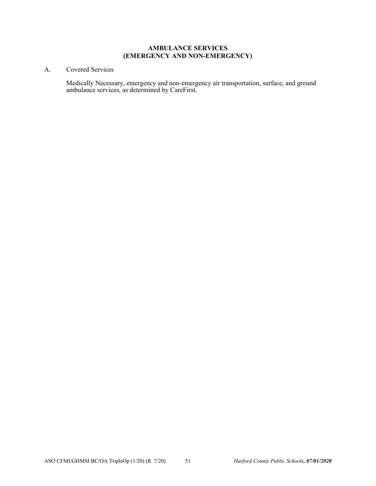## **AMBULANCE SERVICES (EMERGENCY AND NON-EMERGENCY)**

# A. Covered Services

Medically Necessary, emergency and non-emergency air transportation, surface, and ground ambulance services, as determined by CareFirst.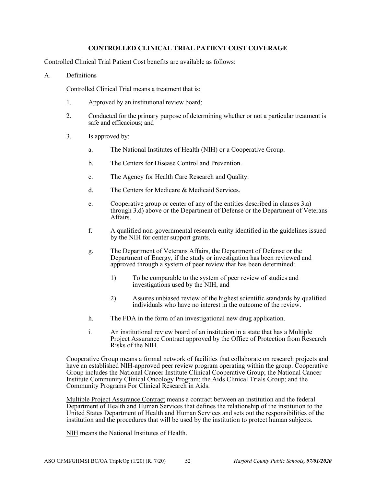## **CONTROLLED CLINICAL TRIAL PATIENT COST COVERAGE**

Controlled Clinical Trial Patient Cost benefits are available as follows:

#### A. Definitions

Controlled Clinical Trial means a treatment that is:

- 1. Approved by an institutional review board;
- 2. Conducted for the primary purpose of determining whether or not a particular treatment is safe and efficacious; and
- 3. Is approved by:
	- a. The National Institutes of Health (NIH) or a Cooperative Group.
	- b. The Centers for Disease Control and Prevention.
	- c. The Agency for Health Care Research and Quality.
	- d. The Centers for Medicare & Medicaid Services.
	- e. Cooperative group or center of any of the entities described in clauses 3.a) through 3.d) above or the Department of Defense or the Department of Veterans Affairs.
	- f. A qualified non-governmental research entity identified in the guidelines issued by the NIH for center support grants.
	- g. The Department of Veterans Affairs, the Department of Defense or the Department of Energy, if the study or investigation has been reviewed and approved through a system of peer review that has been determined:
		- 1) To be comparable to the system of peer review of studies and investigations used by the NIH, and
		- 2) Assures unbiased review of the highest scientific standards by qualified individuals who have no interest in the outcome of the review.
	- h. The FDA in the form of an investigational new drug application.
	- i. An institutional review board of an institution in a state that has a Multiple Project Assurance Contract approved by the Office of Protection from Research Risks of the NIH.

Cooperative Group means a formal network of facilities that collaborate on research projects and have an established NIH-approved peer review program operating within the group. Cooperative Group includes the National Cancer Institute Clinical Cooperative Group; the National Cancer Institute Community Clinical Oncology Program; the Aids Clinical Trials Group; and the Community Programs For Clinical Research in Aids.

Multiple Project Assurance Contract means a contract between an institution and the federal Department of Health and Human Services that defines the relationship of the institution to the United States Department of Health and Human Services and sets out the responsibilities of the institution and the procedures that will be used by the institution to protect human subjects.

NIH means the National Institutes of Health.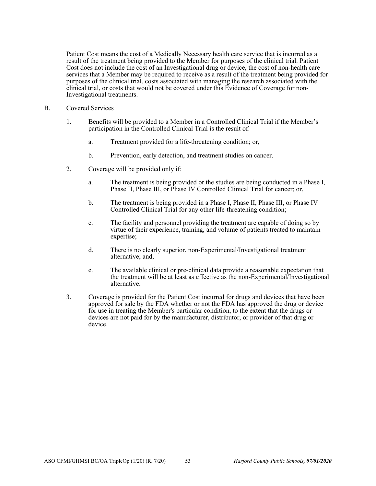Patient Cost means the cost of a Medically Necessary health care service that is incurred as a result of the treatment being provided to the Member for purposes of the clinical trial. Patient Cost does not include the cost of an Investigational drug or device, the cost of non-health care services that a Member may be required to receive as a result of the treatment being provided for purposes of the clinical trial, costs associated with managing the research associated with the clinical trial, or costs that would not be covered under this Evidence of Coverage for non-Investigational treatments.

- B. Covered Services
	- 1. Benefits will be provided to a Member in a Controlled Clinical Trial if the Member's participation in the Controlled Clinical Trial is the result of:
		- a. Treatment provided for a life-threatening condition; or,
		- b. Prevention, early detection, and treatment studies on cancer.
	- 2. Coverage will be provided only if:
		- a. The treatment is being provided or the studies are being conducted in a Phase I, Phase II, Phase III, or Phase IV Controlled Clinical Trial for cancer; or,
		- b. The treatment is being provided in a Phase I, Phase II, Phase III, or Phase IV Controlled Clinical Trial for any other life-threatening condition;
		- c. The facility and personnel providing the treatment are capable of doing so by virtue of their experience, training, and volume of patients treated to maintain expertise;
		- d. There is no clearly superior, non-Experimental/Investigational treatment alternative; and,
		- e. The available clinical or pre-clinical data provide a reasonable expectation that the treatment will be at least as effective as the non-Experimental/Investigational alternative.
	- 3. Coverage is provided for the Patient Cost incurred for drugs and devices that have been approved for sale by the FDA whether or not the FDA has approved the drug or device for use in treating the Member's particular condition, to the extent that the drugs or devices are not paid for by the manufacturer, distributor, or provider of that drug or device.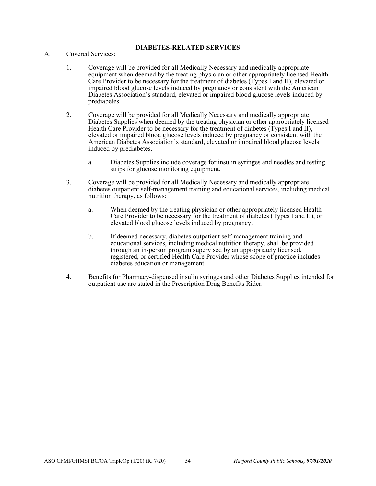# **DIABETES-RELATED SERVICES**

- A. Covered Services:
	- 1. Coverage will be provided for all Medically Necessary and medically appropriate equipment when deemed by the treating physician or other appropriately licensed Health Care Provider to be necessary for the treatment of diabetes (Types I and II), elevated or impaired blood glucose levels induced by pregnancy or consistent with the American Diabetes Association's standard, elevated or impaired blood glucose levels induced by prediabetes.
	- 2. Coverage will be provided for all Medically Necessary and medically appropriate Diabetes Supplies when deemed by the treating physician or other appropriately licensed Health Care Provider to be necessary for the treatment of diabetes (Types I and II), elevated or impaired blood glucose levels induced by pregnancy or consistent with the American Diabetes Association's standard, elevated or impaired blood glucose levels induced by prediabetes.
		- a. Diabetes Supplies include coverage for insulin syringes and needles and testing strips for glucose monitoring equipment.
	- 3. Coverage will be provided for all Medically Necessary and medically appropriate diabetes outpatient self-management training and educational services, including medical nutrition therapy, as follows:
		- a. When deemed by the treating physician or other appropriately licensed Health Care Provider to be necessary for the treatment of diabetes (Types I and II), or elevated blood glucose levels induced by pregnancy.
		- b. If deemed necessary, diabetes outpatient self-management training and educational services, including medical nutrition therapy, shall be provided through an in-person program supervised by an appropriately licensed, registered, or certified Health Care Provider whose scope of practice includes diabetes education or management.
	- 4. Benefits for Pharmacy-dispensed insulin syringes and other Diabetes Supplies intended for outpatient use are stated in the Prescription Drug Benefits Rider.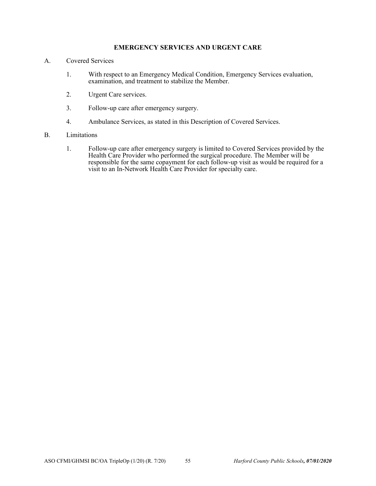# **EMERGENCY SERVICES AND URGENT CARE**

- A. Covered Services
	- 1. With respect to an Emergency Medical Condition, Emergency Services evaluation, examination, and treatment to stabilize the Member.
	- 2. Urgent Care services.
	- 3. Follow-up care after emergency surgery.
	- 4. Ambulance Services, as stated in this Description of Covered Services.

#### B. Limitations

1. Follow-up care after emergency surgery is limited to Covered Services provided by the Health Care Provider who performed the surgical procedure. The Member will be responsible for the same copayment for each follow-up visit as would be required for a visit to an In-Network Health Care Provider for specialty care.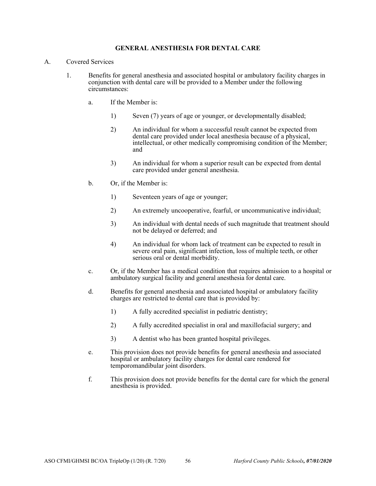## **GENERAL ANESTHESIA FOR DENTAL CARE**

- A. Covered Services
	- 1. Benefits for general anesthesia and associated hospital or ambulatory facility charges in conjunction with dental care will be provided to a Member under the following circumstances:
		- a. If the Member is:
			- 1) Seven (7) years of age or younger, or developmentally disabled;
			- 2) An individual for whom a successful result cannot be expected from dental care provided under local anesthesia because of a physical, intellectual, or other medically compromising condition of the Member; and
			- 3) An individual for whom a superior result can be expected from dental care provided under general anesthesia.
		- b. Or, if the Member is:
			- 1) Seventeen years of age or younger;
			- 2) An extremely uncooperative, fearful, or uncommunicative individual;
			- 3) An individual with dental needs of such magnitude that treatment should not be delayed or deferred; and
			- 4) An individual for whom lack of treatment can be expected to result in severe oral pain, significant infection, loss of multiple teeth, or other serious oral or dental morbidity.
		- c. Or, if the Member has a medical condition that requires admission to a hospital or ambulatory surgical facility and general anesthesia for dental care.
		- d. Benefits for general anesthesia and associated hospital or ambulatory facility charges are restricted to dental care that is provided by:
			- 1) A fully accredited specialist in pediatric dentistry;
			- 2) A fully accredited specialist in oral and maxillofacial surgery; and
			- 3) A dentist who has been granted hospital privileges.
		- e. This provision does not provide benefits for general anesthesia and associated hospital or ambulatory facility charges for dental care rendered for temporomandibular joint disorders.
		- f. This provision does not provide benefits for the dental care for which the general anesthesia is provided.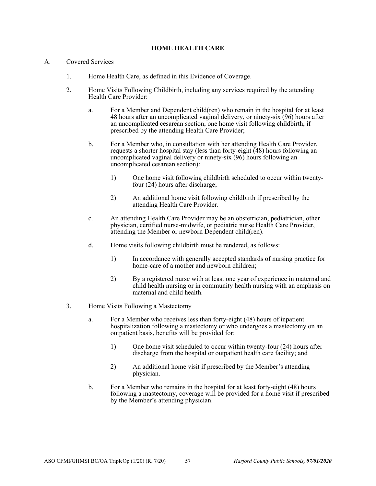## **HOME HEALTH CARE**

### A. Covered Services

- 1. Home Health Care, as defined in this Evidence of Coverage.
- 2. Home Visits Following Childbirth, including any services required by the attending Health Care Provider:
	- a. For a Member and Dependent child(ren) who remain in the hospital for at least 48 hours after an uncomplicated vaginal delivery, or ninety-six (96) hours after an uncomplicated cesarean section, one home visit following childbirth, if prescribed by the attending Health Care Provider;
	- b. For a Member who, in consultation with her attending Health Care Provider, requests a shorter hospital stay (less than forty-eight (48) hours following an uncomplicated vaginal delivery or ninety-six (96) hours following an uncomplicated cesarean section):
		- 1) One home visit following childbirth scheduled to occur within twentyfour (24) hours after discharge;
		- 2) An additional home visit following childbirth if prescribed by the attending Health Care Provider.
	- c. An attending Health Care Provider may be an obstetrician, pediatrician, other physician, certified nurse-midwife, or pediatric nurse Health Care Provider, attending the Member or newborn Dependent child(ren).
	- d. Home visits following childbirth must be rendered, as follows:
		- 1) In accordance with generally accepted standards of nursing practice for home-care of a mother and newborn children;
		- 2) By a registered nurse with at least one year of experience in maternal and child health nursing or in community health nursing with an emphasis on maternal and child health.
- 3. Home Visits Following a Mastectomy
	- a. For a Member who receives less than forty-eight (48) hours of inpatient hospitalization following a mastectomy or who undergoes a mastectomy on an outpatient basis, benefits will be provided for:
		- 1) One home visit scheduled to occur within twenty-four (24) hours after discharge from the hospital or outpatient health care facility; and
		- 2) An additional home visit if prescribed by the Member's attending physician.
	- b. For a Member who remains in the hospital for at least forty-eight (48) hours following a mastectomy, coverage will be provided for a home visit if prescribed by the Member's attending physician.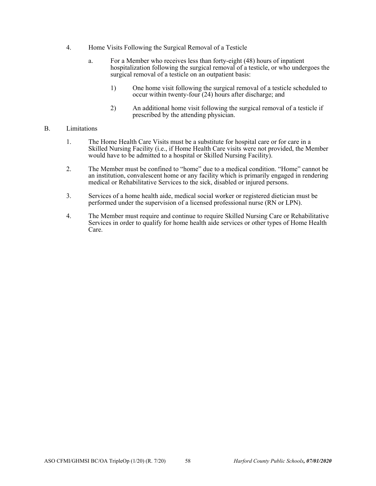- 4. Home Visits Following the Surgical Removal of a Testicle
	- a. For a Member who receives less than forty-eight (48) hours of inpatient hospitalization following the surgical removal of a testicle, or who undergoes the surgical removal of a testicle on an outpatient basis:
		- 1) One home visit following the surgical removal of a testicle scheduled to occur within twenty-four (24) hours after discharge; and
		- 2) An additional home visit following the surgical removal of a testicle if prescribed by the attending physician.

## B. Limitations

- 1. The Home Health Care Visits must be a substitute for hospital care or for care in a Skilled Nursing Facility (i.e., if Home Health Care visits were not provided, the Member would have to be admitted to a hospital or Skilled Nursing Facility).
- 2. The Member must be confined to "home" due to a medical condition. "Home" cannot be an institution, convalescent home or any facility which is primarily engaged in rendering medical or Rehabilitative Services to the sick, disabled or injured persons.
- 3. Services of a home health aide, medical social worker or registered dietician must be performed under the supervision of a licensed professional nurse (RN or LPN).
- 4. The Member must require and continue to require Skilled Nursing Care or Rehabilitative Services in order to qualify for home health aide services or other types of Home Health Care.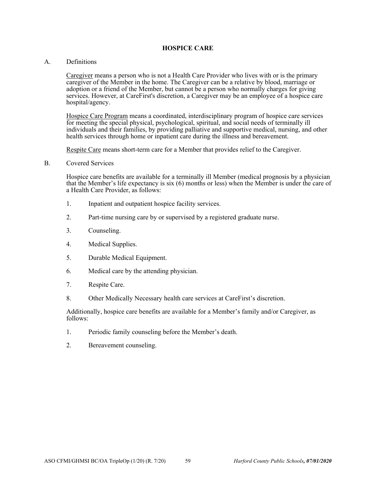### **HOSPICE CARE**

#### A. Definitions

Caregiver means a person who is not a Health Care Provider who lives with or is the primary caregiver of the Member in the home. The Caregiver can be a relative by blood, marriage or adoption or a friend of the Member, but cannot be a person who normally charges for giving services. However, at CareFirst's discretion, a Caregiver may be an employee of a hospice care hospital/agency.

Hospice Care Program means a coordinated, interdisciplinary program of hospice care services for meeting the special physical, psychological, spiritual, and social needs of terminally ill individuals and their families, by providing palliative and supportive medical, nursing, and other health services through home or inpatient care during the illness and bereavement.

Respite Care means short-term care for a Member that provides relief to the Caregiver.

B. Covered Services

Hospice care benefits are available for a terminally ill Member (medical prognosis by a physician that the Member's life expectancy is six (6) months or less) when the Member is under the care of a Health Care Provider, as follows:

- 1. Inpatient and outpatient hospice facility services.
- 2. Part-time nursing care by or supervised by a registered graduate nurse.
- 3. Counseling.
- 4. Medical Supplies.
- 5. Durable Medical Equipment.
- 6. Medical care by the attending physician.
- 7. Respite Care.
- 8. Other Medically Necessary health care services at CareFirst's discretion.

Additionally, hospice care benefits are available for a Member's family and/or Caregiver, as follows:

- 1. Periodic family counseling before the Member's death.
- 2. Bereavement counseling.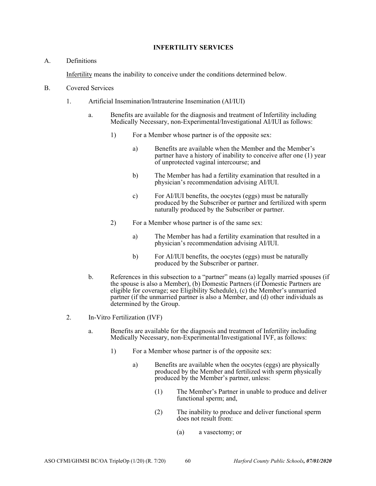## **INFERTILITY SERVICES**

# A. Definitions

Infertility means the inability to conceive under the conditions determined below.

- B. Covered Services
	- 1. Artificial Insemination/Intrauterine Insemination (AI/IUI)
		- a. Benefits are available for the diagnosis and treatment of Infertility including Medically Necessary, non-Experimental/Investigational AI/IUI as follows:
			- 1) For a Member whose partner is of the opposite sex:
				- a) Benefits are available when the Member and the Member's partner have a history of inability to conceive after one (1) year of unprotected vaginal intercourse; and
				- b) The Member has had a fertility examination that resulted in a physician's recommendation advising AI/IUI.
				- c) For AI/IUI benefits, the oocytes (eggs) must be naturally produced by the Subscriber or partner and fertilized with sperm naturally produced by the Subscriber or partner.
			- 2) For a Member whose partner is of the same sex:
				- a) The Member has had a fertility examination that resulted in a physician's recommendation advising AI/IUI.
				- b) For AI/IUI benefits, the oocytes (eggs) must be naturally produced by the Subscriber or partner.
		- b. References in this subsection to a "partner" means (a) legally married spouses (if the spouse is also a Member), (b) Domestic Partners (if Domestic Partners are eligible for coverage; see Eligibility Schedule), (c) the Member's unmarried partner (if the unmarried partner is also a Member, and (d) other individuals as determined by the Group.
	- 2. In-Vitro Fertilization (IVF)
		- a. Benefits are available for the diagnosis and treatment of Infertility including Medically Necessary, non-Experimental/Investigational IVF, as follows:
			- 1) For a Member whose partner is of the opposite sex:
				- a) Benefits are available when the oocytes (eggs) are physically produced by the Member and fertilized with sperm physically produced by the Member's partner, unless:
					- (1) The Member's Partner in unable to produce and deliver functional sperm; and,
					- (2) The inability to produce and deliver functional sperm does not result from:
						- (a) a vasectomy; or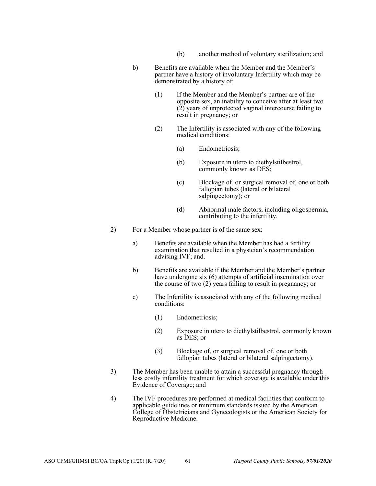- (b) another method of voluntary sterilization; and
- b) Benefits are available when the Member and the Member's partner have a history of involuntary Infertility which may be demonstrated by a history of:
	- (1) If the Member and the Member's partner are of the opposite sex, an inability to conceive after at least two  $(2)$  years of unprotected vaginal intercourse failing to result in pregnancy; or
	- (2) The Infertility is associated with any of the following medical conditions:
		- (a) Endometriosis;
		- (b) Exposure in utero to diethylstilbestrol, commonly known as DES;
		- (c) Blockage of, or surgical removal of, one or both fallopian tubes (lateral or bilateral salpingectomy); or
		- (d) Abnormal male factors, including oligospermia, contributing to the infertility.
- 2) For a Member whose partner is of the same sex:
	- a) Benefits are available when the Member has had a fertility examination that resulted in a physician's recommendation advising IVF; and.
	- b) Benefits are available if the Member and the Member's partner have undergone six (6) attempts of artificial insemination over the course of two (2) years failing to result in pregnancy; or
	- c) The Infertility is associated with any of the following medical conditions:
		- (1) Endometriosis;
		- (2) Exposure in utero to diethylstilbestrol, commonly known as DES; or
		- (3) Blockage of, or surgical removal of, one or both fallopian tubes (lateral or bilateral salpingectomy).
- 3) The Member has been unable to attain a successful pregnancy through less costly infertility treatment for which coverage is available under this Evidence of Coverage; and
- 4) The IVF procedures are performed at medical facilities that conform to applicable guidelines or minimum standards issued by the American College of Obstetricians and Gynecologists or the American Society for Reproductive Medicine.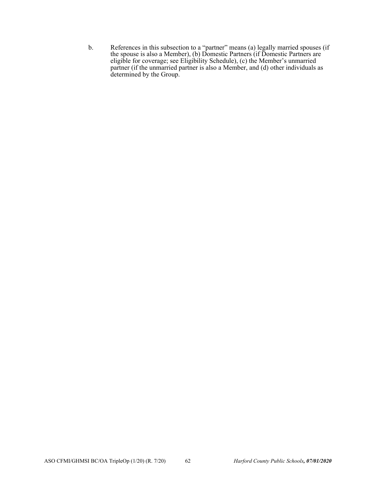b. References in this subsection to a "partner" means (a) legally married spouses (if the spouse is also a Member), (b) Domestic Partners (if Domestic Partners are eligible for coverage; see Eligibility Schedule), (c) the Member's unmarried partner (if the unmarried partner is also a Member, and (d) other individuals as determined by the Group.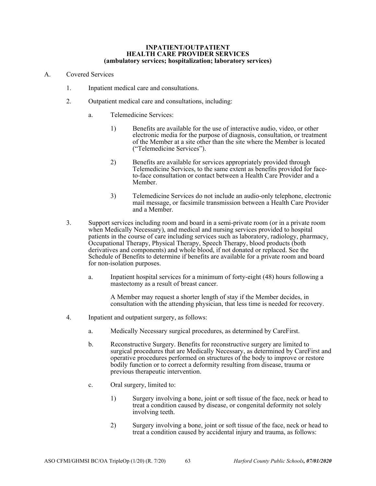#### **INPATIENT/OUTPATIENT HEALTH CARE PROVIDER SERVICES (ambulatory services; hospitalization; laboratory services)**

- A. Covered Services
	- 1. Inpatient medical care and consultations.
	- 2. Outpatient medical care and consultations, including:
		- a. Telemedicine Services:
			- 1) Benefits are available for the use of interactive audio, video, or other electronic media for the purpose of diagnosis, consultation, or treatment of the Member at a site other than the site where the Member is located ("Telemedicine Services").
			- 2) Benefits are available for services appropriately provided through Telemedicine Services, to the same extent as benefits provided for faceto-face consultation or contact between a Health Care Provider and a Member.
			- 3) Telemedicine Services do not include an audio-only telephone, electronic mail message, or facsimile transmission between a Health Care Provider and a Member.
	- 3. Support services including room and board in a semi-private room (or in a private room when Medically Necessary), and medical and nursing services provided to hospital patients in the course of care including services such as laboratory, radiology, pharmacy, Occupational Therapy, Physical Therapy, Speech Therapy, blood products (both derivatives and components) and whole blood, if not donated or replaced. See the Schedule of Benefits to determine if benefits are available for a private room and board for non-isolation purposes.
		- a. Inpatient hospital services for a minimum of forty-eight (48) hours following a mastectomy as a result of breast cancer.

A Member may request a shorter length of stay if the Member decides, in consultation with the attending physician, that less time is needed for recovery.

- 4. Inpatient and outpatient surgery, as follows:
	- a. Medically Necessary surgical procedures, as determined by CareFirst.
	- b. Reconstructive Surgery. Benefits for reconstructive surgery are limited to surgical procedures that are Medically Necessary, as determined by CareFirst and operative procedures performed on structures of the body to improve or restore bodily function or to correct a deformity resulting from disease, trauma or previous therapeutic intervention.
	- c. Oral surgery, limited to:
		- 1) Surgery involving a bone, joint or soft tissue of the face, neck or head to treat a condition caused by disease, or congenital deformity not solely involving teeth.
		- 2) Surgery involving a bone, joint or soft tissue of the face, neck or head to treat a condition caused by accidental injury and trauma, as follows: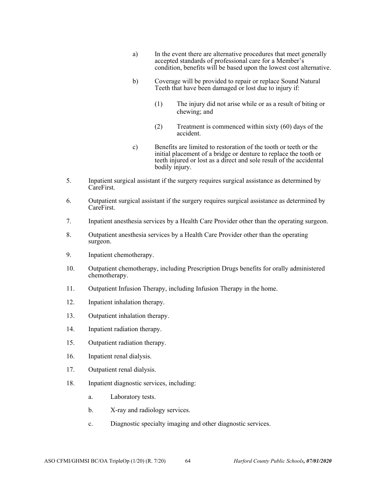- a) In the event there are alternative procedures that meet generally accepted standards of professional care for a Member's condition, benefits will be based upon the lowest cost alternative.
- b) Coverage will be provided to repair or replace Sound Natural Teeth that have been damaged or lost due to injury if:
	- (1) The injury did not arise while or as a result of biting or chewing; and
	- (2) Treatment is commenced within sixty (60) days of the accident.
- c) Benefits are limited to restoration of the tooth or teeth or the initial placement of a bridge or denture to replace the tooth or teeth injured or lost as a direct and sole result of the accidental bodily injury.
- 5. Inpatient surgical assistant if the surgery requires surgical assistance as determined by CareFirst.
- 6. Outpatient surgical assistant if the surgery requires surgical assistance as determined by CareFirst.
- 7. Inpatient anesthesia services by a Health Care Provider other than the operating surgeon.
- 8. Outpatient anesthesia services by a Health Care Provider other than the operating surgeon.
- 9. Inpatient chemotherapy.
- 10. Outpatient chemotherapy, including Prescription Drugs benefits for orally administered chemotherapy.
- 11. Outpatient Infusion Therapy, including Infusion Therapy in the home.
- 12. Inpatient inhalation therapy.
- 13. Outpatient inhalation therapy.
- 14. Inpatient radiation therapy.
- 15. Outpatient radiation therapy.
- 16. Inpatient renal dialysis.
- 17. Outpatient renal dialysis.
- 18. Inpatient diagnostic services, including:
	- a. Laboratory tests.
	- b. X-ray and radiology services.
	- c. Diagnostic specialty imaging and other diagnostic services.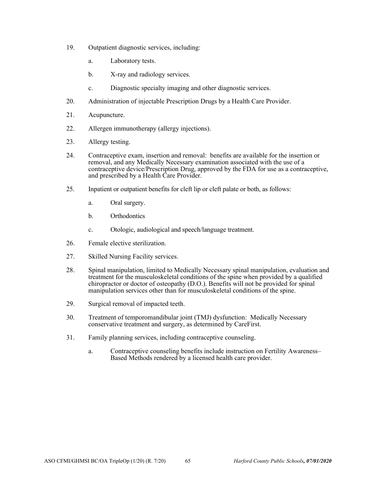- 19. Outpatient diagnostic services, including:
	- a. Laboratory tests.
	- b. X-ray and radiology services.
	- c. Diagnostic specialty imaging and other diagnostic services.
- 20. Administration of injectable Prescription Drugs by a Health Care Provider.
- 21. Acupuncture.
- 22. Allergen immunotherapy (allergy injections).
- 23. Allergy testing.
- 24. Contraceptive exam, insertion and removal: benefits are available for the insertion or removal, and any Medically Necessary examination associated with the use of a contraceptive device/Prescription Drug, approved by the FDA for use as a contraceptive, and prescribed by a Health Care Provider.
- 25. Inpatient or outpatient benefits for cleft lip or cleft palate or both, as follows:
	- a. Oral surgery.
	- b. Orthodontics
	- c. Otologic, audiological and speech/language treatment.
- 26. Female elective sterilization.
- 27. Skilled Nursing Facility services.
- 28. Spinal manipulation, limited to Medically Necessary spinal manipulation, evaluation and treatment for the musculoskeletal conditions of the spine when provided by a qualified chiropractor or doctor of osteopathy (D.O.). Benefits will not be provided for spinal manipulation services other than for musculoskeletal conditions of the spine.
- 29. Surgical removal of impacted teeth.
- 30. Treatment of temporomandibular joint (TMJ) dysfunction: Medically Necessary conservative treatment and surgery, as determined by CareFirst.
- 31. Family planning services, including contraceptive counseling.
	- a. Contraceptive counseling benefits include instruction on Fertility Awareness– Based Methods rendered by a licensed health care provider.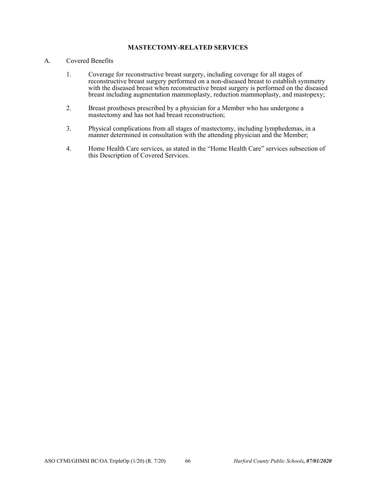# **MASTECTOMY-RELATED SERVICES**

# A. Covered Benefits

- 1. Coverage for reconstructive breast surgery, including coverage for all stages of reconstructive breast surgery performed on a non-diseased breast to establish symmetry with the diseased breast when reconstructive breast surgery is performed on the diseased breast including augmentation mammoplasty, reduction mammoplasty, and mastopexy;
- 2. Breast prostheses prescribed by a physician for a Member who has undergone a mastectomy and has not had breast reconstruction;
- 3. Physical complications from all stages of mastectomy, including lymphedemas, in a manner determined in consultation with the attending physician and the Member;
- 4. Home Health Care services, as stated in the "Home Health Care" services subsection of this Description of Covered Services.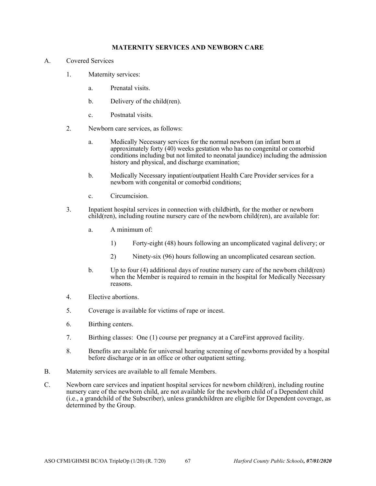# **MATERNITY SERVICES AND NEWBORN CARE**

- A. Covered Services
	- 1. Maternity services:
		- a. Prenatal visits.
		- b. Delivery of the child(ren).
		- c. Postnatal visits.
	- 2. Newborn care services, as follows:
		- a. Medically Necessary services for the normal newborn (an infant born at approximately forty (40) weeks gestation who has no congenital or comorbid conditions including but not limited to neonatal jaundice) including the admission history and physical, and discharge examination;
		- b. Medically Necessary inpatient/outpatient Health Care Provider services for a newborn with congenital or comorbid conditions;
		- c. Circumcision.
	- 3. Inpatient hospital services in connection with childbirth, for the mother or newborn child(ren), including routine nursery care of the newborn child(ren), are available for:
		- a. A minimum of:
			- 1) Forty-eight (48) hours following an uncomplicated vaginal delivery; or
			- 2) Ninety-six (96) hours following an uncomplicated cesarean section.
		- b. Up to four (4) additional days of routine nursery care of the newborn child(ren) when the Member is required to remain in the hospital for Medically Necessary reasons.
	- 4. Elective abortions.
	- 5. Coverage is available for victims of rape or incest.
	- 6. Birthing centers.
	- 7. Birthing classes: One (1) course per pregnancy at a CareFirst approved facility.
	- 8. Benefits are available for universal hearing screening of newborns provided by a hospital before discharge or in an office or other outpatient setting.
- B. Maternity services are available to all female Members.
- C. Newborn care services and inpatient hospital services for newborn child(ren), including routine nursery care of the newborn child, are not available for the newborn child of a Dependent child (i.e., a grandchild of the Subscriber), unless grandchildren are eligible for Dependent coverage, as determined by the Group.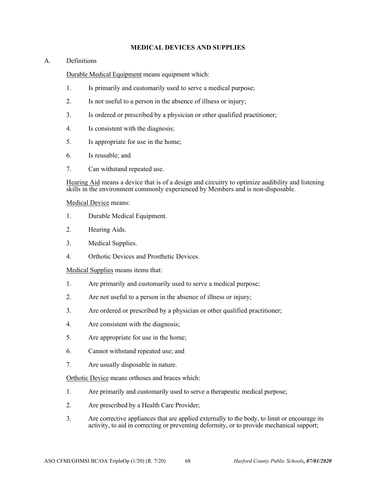# **MEDICAL DEVICES AND SUPPLIES**

# A. Definitions

Durable Medical Equipment means equipment which:

- 1. Is primarily and customarily used to serve a medical purpose;
- 2. Is not useful to a person in the absence of illness or injury;
- 3. Is ordered or prescribed by a physician or other qualified practitioner;
- 4. Is consistent with the diagnosis;
- 5. Is appropriate for use in the home;
- 6. Is reusable; and
- 7. Can withstand repeated use.

Hearing Aid means a device that is of a design and circuitry to optimize audibility and listening skills in the environment commonly experienced by Members and is non-disposable.

## Medical Device means:

- 1. Durable Medical Equipment.
- 2. Hearing Aids.
- 3. Medical Supplies.
- 4. Orthotic Devices and Prosthetic Devices.

Medical Supplies means items that:

- 1. Are primarily and customarily used to serve a medical purpose;
- 2. Are not useful to a person in the absence of illness or injury;
- 3. Are ordered or prescribed by a physician or other qualified practitioner;
- 4. Are consistent with the diagnosis;
- 5. Are appropriate for use in the home;
- 6. Cannot withstand repeated use; and
- 7. Are usually disposable in nature.

Orthotic Device means orthoses and braces which:

- 1. Are primarily and customarily used to serve a therapeutic medical purpose;
- 2. Are prescribed by a Health Care Provider;
- 3. Are corrective appliances that are applied externally to the body, to limit or encourage its activity, to aid in correcting or preventing deformity, or to provide mechanical support;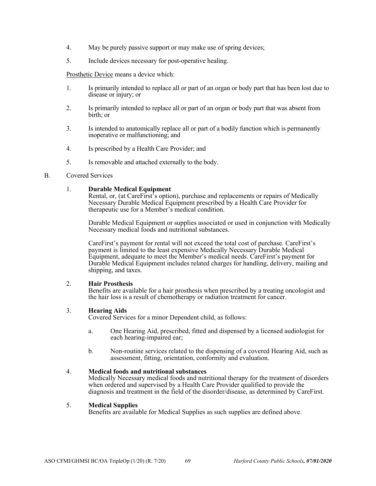- 4. May be purely passive support or may make use of spring devices;
- 5. Include devices necessary for post-operative healing.

Prosthetic Device means a device which:

- 1. Is primarily intended to replace all or part of an organ or body part that has been lost due to disease or injury; or
- 2. Is primarily intended to replace all or part of an organ or body part that was absent from birth; or
- 3. Is intended to anatomically replace all or part of a bodily function which is permanently inoperative or malfunctioning; and
- 4. Is prescribed by a Health Care Provider; and
- 5. Is removable and attached externally to the body.

## B. Covered Services

## 1. **Durable Medical Equipment**

Rental, or, (at CareFirst<sup>5</sup>s option), purchase and replacements or repairs of Medically Necessary Durable Medical Equipment prescribed by a Health Care Provider for therapeutic use for a Member's medical condition.

Durable Medical Equipment or supplies associated or used in conjunction with Medically Necessary medical foods and nutritional substances.

CareFirst's payment for rental will not exceed the total cost of purchase. CareFirst's payment is limited to the least expensive Medically Necessary Durable Medical Equipment, adequate to meet the Member's medical needs. CareFirst's payment for Durable Medical Equipment includes related charges for handling, delivery, mailing and shipping, and taxes.

## 2. **Hair Prosthesis**

Benefits are available for a hair prosthesis when prescribed by a treating oncologist and the hair loss is a result of chemotherapy or radiation treatment for cancer.

## 3. **Hearing Aids**

Covered Services for a minor Dependent child, as follows:

- a. One Hearing Aid, prescribed, fitted and dispensed by a licensed audiologist for each hearing-impaired ear;
- b. Non-routine services related to the dispensing of a covered Hearing Aid, such as assessment, fitting, orientation, conformity and evaluation.

## 4. **Medical foods and nutritional substances**

Medically Necessary medical foods and nutritional therapy for the treatment of disorders when ordered and supervised by a Health Care Provider qualified to provide the diagnosis and treatment in the field of the disorder/disease, as determined by CareFirst.

## 5. **Medical Supplies**

Benefits are available for Medical Supplies as such supplies are defined above.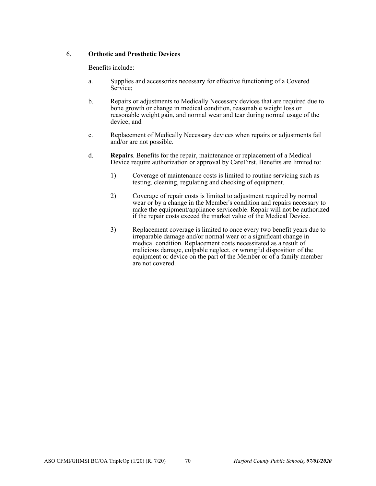# 6. **Orthotic and Prosthetic Devices**

Benefits include:

- a. Supplies and accessories necessary for effective functioning of a Covered Service;
- b. Repairs or adjustments to Medically Necessary devices that are required due to bone growth or change in medical condition, reasonable weight loss or reasonable weight gain, and normal wear and tear during normal usage of the device; and
- c. Replacement of Medically Necessary devices when repairs or adjustments fail and/or are not possible.
- d. **Repairs**. Benefits for the repair, maintenance or replacement of a Medical Device require authorization or approval by CareFirst. Benefits are limited to:
	- 1) Coverage of maintenance costs is limited to routine servicing such as testing, cleaning, regulating and checking of equipment.
	- 2) Coverage of repair costs is limited to adjustment required by normal wear or by a change in the Member's condition and repairs necessary to make the equipment/appliance serviceable. Repair will not be authorized if the repair costs exceed the market value of the Medical Device.
	- 3) Replacement coverage is limited to once every two benefit years due to irreparable damage and/or normal wear or a significant change in medical condition. Replacement costs necessitated as a result of malicious damage, culpable neglect, or wrongful disposition of the equipment or device on the part of the Member or of a family member are not covered.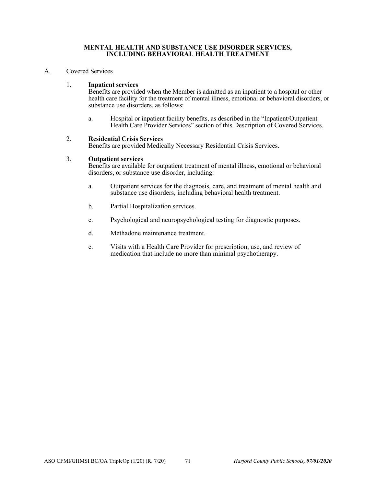### **MENTAL HEALTH AND SUBSTANCE USE DISORDER SERVICES, INCLUDING BEHAVIORAL HEALTH TREATMENT**

### A. Covered Services

## 1. **Inpatient services**

Benefits are provided when the Member is admitted as an inpatient to a hospital or other health care facility for the treatment of mental illness, emotional or behavioral disorders, or substance use disorders, as follows:

a. Hospital or inpatient facility benefits, as described in the "Inpatient/Outpatient Health Care Provider Services" section of this Description of Covered Services.

## 2. **Residential Crisis Services**

Benefits are provided Medically Necessary Residential Crisis Services.

## 3. **Outpatient services**

Benefits are available for outpatient treatment of mental illness, emotional or behavioral disorders, or substance use disorder, including:

- a. Outpatient services for the diagnosis, care, and treatment of mental health and substance use disorders, including behavioral health treatment.
- b. Partial Hospitalization services.
- c. Psychological and neuropsychological testing for diagnostic purposes.
- d. Methadone maintenance treatment.
- e. Visits with a Health Care Provider for prescription, use, and review of medication that include no more than minimal psychotherapy.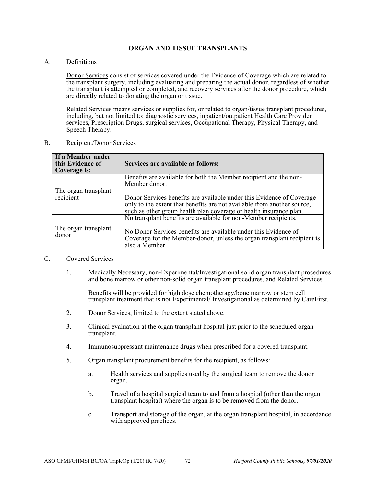## **ORGAN AND TISSUE TRANSPLANTS**

A. Definitions

Donor Services consist of services covered under the Evidence of Coverage which are related to the transplant surgery, including evaluating and preparing the actual donor, regardless of whether the transplant is attempted or completed, and recovery services after the donor procedure, which are directly related to donating the organ or tissue.

Related Services means services or supplies for, or related to organ/tissue transplant procedures, including, but not limited to: diagnostic services, inpatient/outpatient Health Care Provider services, Prescription Drugs, surgical services, Occupational Therapy, Physical Therapy, and Speech Therapy.

B. Recipient/Donor Services

| If a Member under<br>this Evidence of<br>Coverage is: | Services are available as follows:                                                                                                                                                                                     |
|-------------------------------------------------------|------------------------------------------------------------------------------------------------------------------------------------------------------------------------------------------------------------------------|
|                                                       | Benefits are available for both the Member recipient and the non-<br>Member donor.                                                                                                                                     |
| The organ transplant<br>recipient                     | Donor Services benefits are available under this Evidence of Coverage<br>only to the extent that benefits are not available from another source,<br>such as other group health plan coverage or health insurance plan. |
|                                                       | No transplant benefits are available for non-Member recipients.                                                                                                                                                        |
| The organ transplant<br>donor                         | No Donor Services benefits are available under this Evidence of<br>Coverage for the Member-donor, unless the organ transplant recipient is<br>also a Member.                                                           |

#### C. Covered Services

1. Medically Necessary, non-Experimental/Investigational solid organ transplant procedures and bone marrow or other non-solid organ transplant procedures, and Related Services.

Benefits will be provided for high dose chemotherapy/bone marrow or stem cell transplant treatment that is not Experimental/ Investigational as determined by CareFirst.

- 2. Donor Services, limited to the extent stated above.
- 3. Clinical evaluation at the organ transplant hospital just prior to the scheduled organ transplant.
- 4. Immunosuppressant maintenance drugs when prescribed for a covered transplant.
- 5. Organ transplant procurement benefits for the recipient, as follows:
	- a. Health services and supplies used by the surgical team to remove the donor organ.
	- b. Travel of a hospital surgical team to and from a hospital (other than the organ transplant hospital) where the organ is to be removed from the donor.
	- c. Transport and storage of the organ, at the organ transplant hospital, in accordance with approved practices.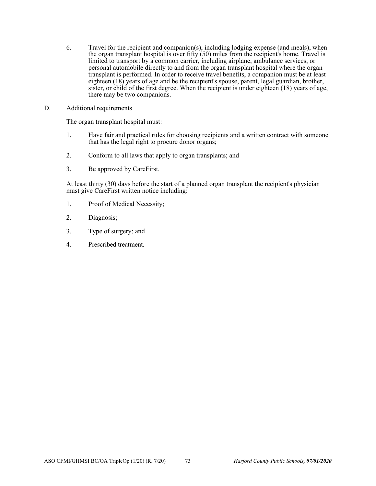- 6. Travel for the recipient and companion(s), including lodging expense (and meals), when the organ transplant hospital is over fifty  $(50)$  miles from the recipient's home. Travel is limited to transport by a common carrier, including airplane, ambulance services, or personal automobile directly to and from the organ transplant hospital where the organ transplant is performed. In order to receive travel benefits, a companion must be at least eighteen (18) years of age and be the recipient's spouse, parent, legal guardian, brother, sister, or child of the first degree. When the recipient is under eighteen (18) years of age, there may be two companions.
- D. Additional requirements

The organ transplant hospital must:

- 1. Have fair and practical rules for choosing recipients and a written contract with someone that has the legal right to procure donor organs;
- 2. Conform to all laws that apply to organ transplants; and
- 3. Be approved by CareFirst.

At least thirty (30) days before the start of a planned organ transplant the recipient's physician must give CareFirst written notice including:

- 1. Proof of Medical Necessity;
- 2. Diagnosis;
- 3. Type of surgery; and
- 4. Prescribed treatment.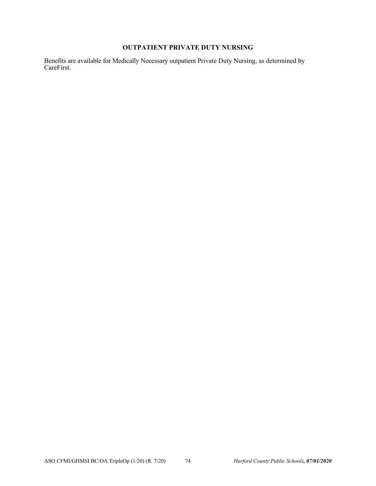# **OUTPATIENT PRIVATE DUTY NURSING**

Benefits are available for Medically Necessary outpatient Private Duty Nursing, as determined by CareFirst.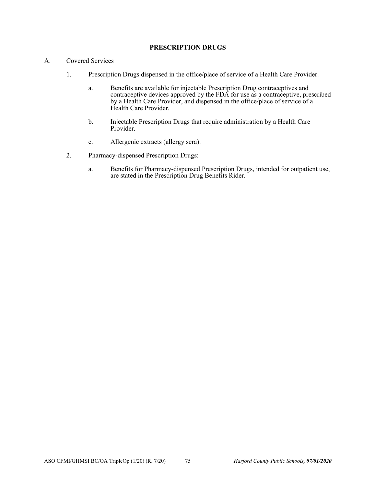### **PRESCRIPTION DRUGS**

- A. Covered Services
	- 1. Prescription Drugs dispensed in the office/place of service of a Health Care Provider.
		- a. Benefits are available for injectable Prescription Drug contraceptives and contraceptive devices approved by the FDA for use as a contraceptive, prescribed by a Health Care Provider, and dispensed in the office/place of service of a Health Care Provider.
		- b. Injectable Prescription Drugs that require administration by a Health Care Provider.
		- c. Allergenic extracts (allergy sera).
	- 2. Pharmacy-dispensed Prescription Drugs:
		- a. Benefits for Pharmacy-dispensed Prescription Drugs, intended for outpatient use, are stated in the Prescription Drug Benefits Rider.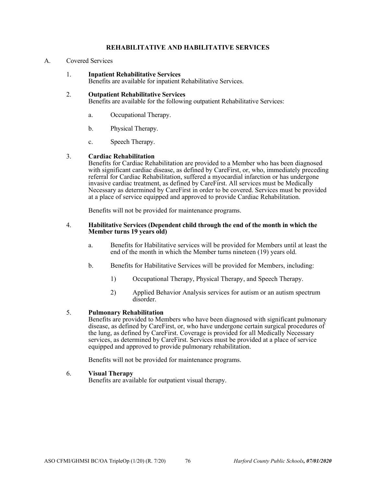## **REHABILITATIVE AND HABILITATIVE SERVICES**

### A. Covered Services

1. **Inpatient Rehabilitative Services** 

Benefits are available for inpatient Rehabilitative Services.

### 2. **Outpatient Rehabilitative Services**

Benefits are available for the following outpatient Rehabilitative Services:

- a. Occupational Therapy.
- b. Physical Therapy.
- c. Speech Therapy.

### 3. **Cardiac Rehabilitation**

Benefits for Cardiac Rehabilitation are provided to a Member who has been diagnosed with significant cardiac disease, as defined by CareFirst, or, who, immediately preceding referral for Cardiac Rehabilitation, suffered a myocardial infarction or has undergone invasive cardiac treatment, as defined by CareFirst. All services must be Medically Necessary as determined by CareFirst in order to be covered. Services must be provided at a place of service equipped and approved to provide Cardiac Rehabilitation.

Benefits will not be provided for maintenance programs.

### 4. **Habilitative Services (Dependent child through the end of the month in which the Member turns 19 years old)**

- a. Benefits for Habilitative services will be provided for Members until at least the end of the month in which the Member turns nineteen (19) years old.
- b. Benefits for Habilitative Services will be provided for Members, including:
	- 1) Occupational Therapy, Physical Therapy, and Speech Therapy.
	- 2) Applied Behavior Analysis services for autism or an autism spectrum disorder.

### 5. **Pulmonary Rehabilitation**

Benefits are provided to Members who have been diagnosed with significant pulmonary disease, as defined by CareFirst, or, who have undergone certain surgical procedures of the lung, as defined by CareFirst. Coverage is provided for all Medically Necessary services, as determined by CareFirst. Services must be provided at a place of service equipped and approved to provide pulmonary rehabilitation.

Benefits will not be provided for maintenance programs.

### 6. **Visual Therapy**

Benefits are available for outpatient visual therapy.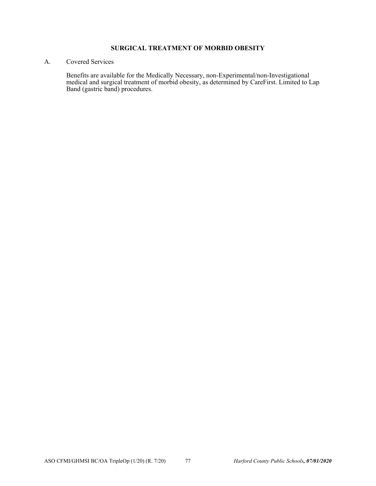### **SURGICAL TREATMENT OF MORBID OBESITY**

### A. Covered Services

Benefits are available for the Medically Necessary, non-Experimental/non-Investigational medical and surgical treatment of morbid obesity, as determined by CareFirst. Limited to Lap Band (gastric band) procedures.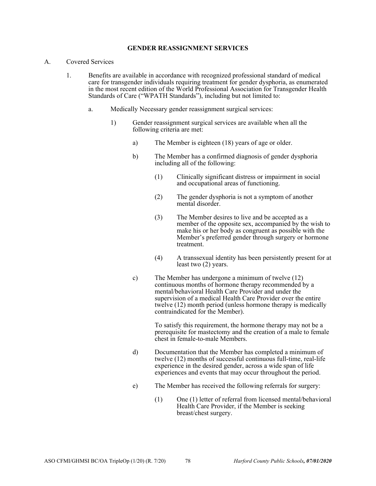### **GENDER REASSIGNMENT SERVICES**

- A. Covered Services
	- 1. Benefits are available in accordance with recognized professional standard of medical care for transgender individuals requiring treatment for gender dysphoria, as enumerated in the most recent edition of the World Professional Association for Transgender Health Standards of Care ("WPATH Standards"), including but not limited to:
		- a. Medically Necessary gender reassignment surgical services:
			- 1) Gender reassignment surgical services are available when all the following criteria are met:
				- a) The Member is eighteen (18) years of age or older.
				- b) The Member has a confirmed diagnosis of gender dysphoria including all of the following:
					- (1) Clinically significant distress or impairment in social and occupational areas of functioning.
					- (2) The gender dysphoria is not a symptom of another mental disorder.
					- (3) The Member desires to live and be accepted as a member of the opposite sex, accompanied by the wish to make his or her body as congruent as possible with the Member's preferred gender through surgery or hormone treatment.
					- (4) A transsexual identity has been persistently present for at least two (2) years.
				- c) The Member has undergone a minimum of twelve (12) continuous months of hormone therapy recommended by a mental/behavioral Health Care Provider and under the supervision of a medical Health Care Provider over the entire twelve (12) month period (unless hormone therapy is medically contraindicated for the Member).

To satisfy this requirement, the hormone therapy may not be a prerequisite for mastectomy and the creation of a male to female chest in female-to-male Members.

- d) Documentation that the Member has completed a minimum of twelve (12) months of successful continuous full-time, real-life experience in the desired gender, across a wide span of life experiences and events that may occur throughout the period.
- e) The Member has received the following referrals for surgery:
	- (1) One (1) letter of referral from licensed mental/behavioral Health Care Provider, if the Member is seeking breast/chest surgery.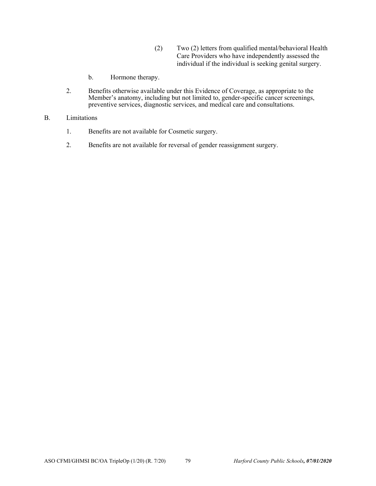- (2) Two (2) letters from qualified mental/behavioral Health Care Providers who have independently assessed the individual if the individual is seeking genital surgery.
- b. Hormone therapy.
- 2. Benefits otherwise available under this Evidence of Coverage, as appropriate to the Member's anatomy, including but not limited to, gender-specific cancer screenings, preventive services, diagnostic services, and medical care and consultations.
- B. Limitations
	- 1. Benefits are not available for Cosmetic surgery.
	- 2. Benefits are not available for reversal of gender reassignment surgery.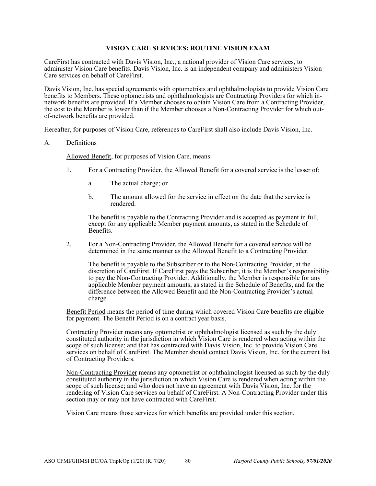### **VISION CARE SERVICES: ROUTINE VISION EXAM**

CareFirst has contracted with Davis Vision, Inc., a national provider of Vision Care services, to administer Vision Care benefits. Davis Vision, Inc. is an independent company and administers Vision Care services on behalf of CareFirst.

Davis Vision, Inc. has special agreements with optometrists and ophthalmologists to provide Vision Care benefits to Members. These optometrists and ophthalmologists are Contracting Providers for which innetwork benefits are provided. If a Member chooses to obtain Vision Care from a Contracting Provider, the cost to the Member is lower than if the Member chooses a Non-Contracting Provider for which outof-network benefits are provided.

Hereafter, for purposes of Vision Care, references to CareFirst shall also include Davis Vision, Inc.

### A. Definitions

Allowed Benefit, for purposes of Vision Care, means:

- 1. For a Contracting Provider, the Allowed Benefit for a covered service is the lesser of:
	- a. The actual charge; or
	- b. The amount allowed for the service in effect on the date that the service is rendered.

The benefit is payable to the Contracting Provider and is accepted as payment in full, except for any applicable Member payment amounts, as stated in the Schedule of Benefits.

2. For a Non-Contracting Provider, the Allowed Benefit for a covered service will be determined in the same manner as the Allowed Benefit to a Contracting Provider.

The benefit is payable to the Subscriber or to the Non-Contracting Provider, at the discretion of CareFirst. If CareFirst pays the Subscriber, it is the Member's responsibility to pay the Non-Contracting Provider. Additionally, the Member is responsible for any applicable Member payment amounts, as stated in the Schedule of Benefits, and for the difference between the Allowed Benefit and the Non-Contracting Provider's actual charge.

Benefit Period means the period of time during which covered Vision Care benefits are eligible for payment. The Benefit Period is on a contract year basis.

Contracting Provider means any optometrist or ophthalmologist licensed as such by the duly constituted authority in the jurisdiction in which Vision Care is rendered when acting within the scope of such license; and that has contracted with Davis Vision, Inc. to provide Vision Care services on behalf of CareFirst. The Member should contact Davis Vision, Inc. for the current list of Contracting Providers.

Non-Contracting Provider means any optometrist or ophthalmologist licensed as such by the duly constituted authority in the jurisdiction in which Vision Care is rendered when acting within the scope of such license; and who does not have an agreement with Davis Vision, Inc. for the rendering of Vision Care services on behalf of CareFirst. A Non-Contracting Provider under this section may or may not have contracted with CareFirst.

Vision Care means those services for which benefits are provided under this section.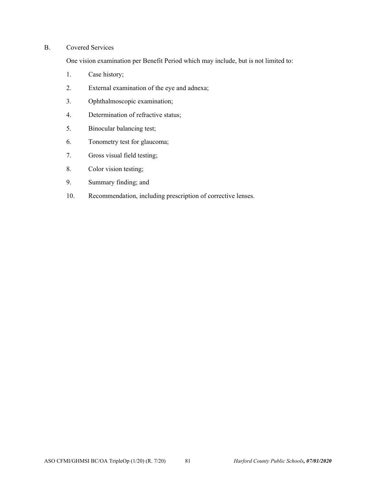# B. Covered Services

One vision examination per Benefit Period which may include, but is not limited to:

- 1. Case history;
- 2. External examination of the eye and adnexa;
- 3. Ophthalmoscopic examination;
- 4. Determination of refractive status;
- 5. Binocular balancing test;
- 6. Tonometry test for glaucoma;
- 7. Gross visual field testing;
- 8. Color vision testing;
- 9. Summary finding; and
- 10. Recommendation, including prescription of corrective lenses.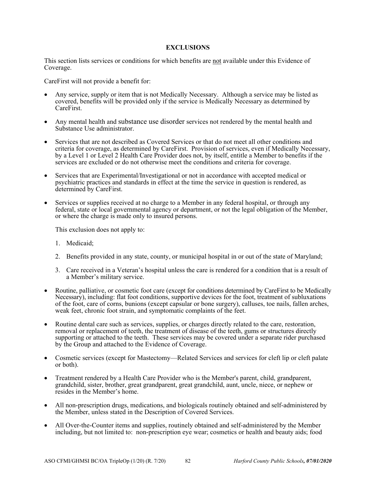### **EXCLUSIONS**

This section lists services or conditions for which benefits are not available under this Evidence of Coverage.

CareFirst will not provide a benefit for:

- Any service, supply or item that is not Medically Necessary. Although a service may be listed as covered, benefits will be provided only if the service is Medically Necessary as determined by CareFirst.
- Any mental health and substance use disorder services not rendered by the mental health and Substance Use administrator.
- Services that are not described as Covered Services or that do not meet all other conditions and criteria for coverage, as determined by CareFirst. Provision of services, even if Medically Necessary, by a Level 1 or Level 2 Health Care Provider does not, by itself, entitle a Member to benefits if the services are excluded or do not otherwise meet the conditions and criteria for coverage.
- Services that are Experimental/Investigational or not in accordance with accepted medical or psychiatric practices and standards in effect at the time the service in question is rendered, as determined by CareFirst.
- Services or supplies received at no charge to a Member in any federal hospital, or through any federal, state or local governmental agency or department, or not the legal obligation of the Member, or where the charge is made only to insured persons.

This exclusion does not apply to:

- 1. Medicaid;
- 2. Benefits provided in any state, county, or municipal hospital in or out of the state of Maryland;
- 3. Care received in a Veteran's hospital unless the care is rendered for a condition that is a result of a Member's military service.
- Routine, palliative, or cosmetic foot care (except for conditions determined by CareFirst to be Medically Necessary), including: flat foot conditions, supportive devices for the foot, treatment of subluxations of the foot, care of corns, bunions (except capsular or bone surgery), calluses, toe nails, fallen arches, weak feet, chronic foot strain, and symptomatic complaints of the feet.
- Routine dental care such as services, supplies, or charges directly related to the care, restoration, removal or replacement of teeth, the treatment of disease of the teeth, gums or structures directly supporting or attached to the teeth. These services may be covered under a separate rider purchased by the Group and attached to the Evidence of Coverage.
- Cosmetic services (except for Mastectomy—Related Services and services for cleft lip or cleft palate or both).
- Treatment rendered by a Health Care Provider who is the Member's parent, child, grandparent, grandchild, sister, brother, great grandparent, great grandchild, aunt, uncle, niece, or nephew or resides in the Member's home.
- All non-prescription drugs, medications, and biologicals routinely obtained and self-administered by the Member, unless stated in the Description of Covered Services.
- All Over-the-Counter items and supplies, routinely obtained and self-administered by the Member including, but not limited to: non-prescription eye wear; cosmetics or health and beauty aids; food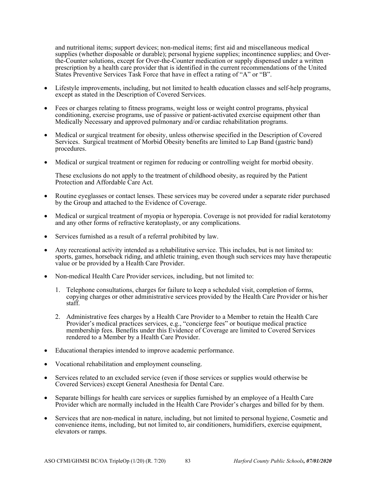and nutritional items; support devices; non-medical items; first aid and miscellaneous medical supplies (whether disposable or durable); personal hygiene supplies; incontinence supplies; and Overthe-Counter solutions, except for Over-the-Counter medication or supply dispensed under a written prescription by a health care provider that is identified in the current recommendations of the United States Preventive Services Task Force that have in effect a rating of "A" or "B".

- Lifestyle improvements, including, but not limited to health education classes and self-help programs, except as stated in the Description of Covered Services.
- Fees or charges relating to fitness programs, weight loss or weight control programs, physical conditioning, exercise programs, use of passive or patient-activated exercise equipment other than Medically Necessary and approved pulmonary and/or cardiac rehabilitation programs.
- Medical or surgical treatment for obesity, unless otherwise specified in the Description of Covered Services. Surgical treatment of Morbid Obesity benefits are limited to Lap Band (gastric band) procedures.
- Medical or surgical treatment or regimen for reducing or controlling weight for morbid obesity.

These exclusions do not apply to the treatment of childhood obesity, as required by the Patient Protection and Affordable Care Act.

- Routine eyeglasses or contact lenses. These services may be covered under a separate rider purchased by the Group and attached to the Evidence of Coverage.
- Medical or surgical treatment of myopia or hyperopia. Coverage is not provided for radial keratotomy and any other forms of refractive keratoplasty, or any complications.
- Services furnished as a result of a referral prohibited by law.
- Any recreational activity intended as a rehabilitative service. This includes, but is not limited to: sports, games, horseback riding, and athletic training, even though such services may have therapeutic value or be provided by a Health Care Provider.
- Non-medical Health Care Provider services, including, but not limited to:
	- 1. Telephone consultations, charges for failure to keep a scheduled visit, completion of forms, copying charges or other administrative services provided by the Health Care Provider or his/her staff.
	- 2. Administrative fees charges by a Health Care Provider to a Member to retain the Health Care Provider's medical practices services, e.g., "concierge fees" or boutique medical practice membership fees. Benefits under this Evidence of Coverage are limited to Covered Services rendered to a Member by a Health Care Provider.
- Educational therapies intended to improve academic performance.
- Vocational rehabilitation and employment counseling.
- Services related to an excluded service (even if those services or supplies would otherwise be Covered Services) except General Anesthesia for Dental Care.
- Separate billings for health care services or supplies furnished by an employee of a Health Care Provider which are normally included in the Health Care Provider's charges and billed for by them.
- Services that are non-medical in nature, including, but not limited to personal hygiene, Cosmetic and convenience items, including, but not limited to, air conditioners, humidifiers, exercise equipment, elevators or ramps.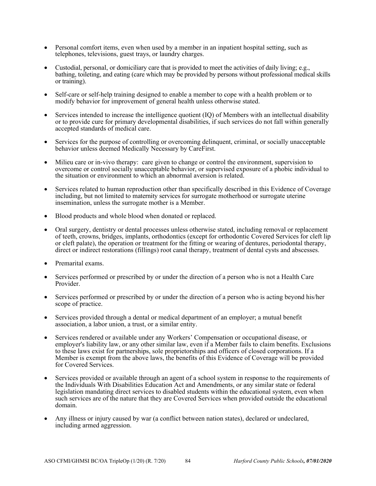- Personal comfort items, even when used by a member in an inpatient hospital setting, such as telephones, televisions, guest trays, or laundry charges.
- Custodial, personal, or domiciliary care that is provided to meet the activities of daily living; e.g., bathing, toileting, and eating (care which may be provided by persons without professional medical skills or training).
- Self-care or self-help training designed to enable a member to cope with a health problem or to modify behavior for improvement of general health unless otherwise stated.
- Services intended to increase the intelligence quotient (IQ) of Members with an intellectual disability or to provide cure for primary developmental disabilities, if such services do not fall within generally accepted standards of medical care.
- Services for the purpose of controlling or overcoming delinquent, criminal, or socially unacceptable behavior unless deemed Medically Necessary by CareFirst.
- Milieu care or in-vivo therapy: care given to change or control the environment, supervision to overcome or control socially unacceptable behavior, or supervised exposure of a phobic individual to the situation or environment to which an abnormal aversion is related.
- Services related to human reproduction other than specifically described in this Evidence of Coverage including, but not limited to maternity services for surrogate motherhood or surrogate uterine insemination, unless the surrogate mother is a Member.
- Blood products and whole blood when donated or replaced.
- Oral surgery, dentistry or dental processes unless otherwise stated, including removal or replacement of teeth, crowns, bridges, implants, orthodontics (except for orthodontic Covered Services for cleft lip or cleft palate), the operation or treatment for the fitting or wearing of dentures, periodontal therapy, direct or indirect restorations (fillings) root canal therapy, treatment of dental cysts and abscesses.
- Premarital exams.
- Services performed or prescribed by or under the direction of a person who is not a Health Care Provider.
- Services performed or prescribed by or under the direction of a person who is acting beyond his/her scope of practice.
- Services provided through a dental or medical department of an employer; a mutual benefit association, a labor union, a trust, or a similar entity.
- Services rendered or available under any Workers' Compensation or occupational disease, or employer's liability law, or any other similar law, even if a Member fails to claim benefits. Exclusions to these laws exist for partnerships, sole proprietorships and officers of closed corporations. If a Member is exempt from the above laws, the benefits of this Evidence of Coverage will be provided for Covered Services.
- Services provided or available through an agent of a school system in response to the requirements of the Individuals With Disabilities Education Act and Amendments, or any similar state or federal legislation mandating direct services to disabled students within the educational system, even when such services are of the nature that they are Covered Services when provided outside the educational domain.
- Any illness or injury caused by war (a conflict between nation states), declared or undeclared, including armed aggression.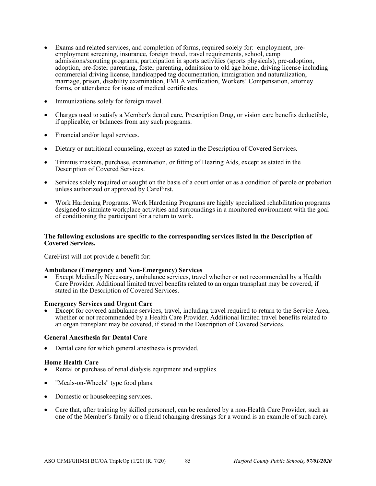- Exams and related services, and completion of forms, required solely for: employment, preemployment screening, insurance, foreign travel, travel requirements, school, camp admissions/scouting programs, participation in sports activities (sports physicals), pre-adoption, adoption, pre-foster parenting, foster parenting, admission to old age home, driving license including commercial driving license, handicapped tag documentation, immigration and naturalization, marriage, prison, disability examination, FMLA verification, Workers' Compensation, attorney forms, or attendance for issue of medical certificates.
- Immunizations solely for foreign travel.
- Charges used to satisfy a Member's dental care, Prescription Drug, or vision care benefits deductible, if applicable, or balances from any such programs.
- Financial and/or legal services.
- Dietary or nutritional counseling, except as stated in the Description of Covered Services.
- Tinnitus maskers, purchase, examination, or fitting of Hearing Aids, except as stated in the Description of Covered Services.
- Services solely required or sought on the basis of a court order or as a condition of parole or probation unless authorized or approved by CareFirst.
- Work Hardening Programs. Work Hardening Programs are highly specialized rehabilitation programs designed to simulate workplace activities and surroundings in a monitored environment with the goal of conditioning the participant for a return to work.

### **The following exclusions are specific to the corresponding services listed in the Description of Covered Services.**

CareFirst will not provide a benefit for:

### **Ambulance (Emergency and Non-Emergency) Services**

 Except Medically Necessary, ambulance services, travel whether or not recommended by a Health Care Provider. Additional limited travel benefits related to an organ transplant may be covered, if stated in the Description of Covered Services.

### **Emergency Services and Urgent Care**

 Except for covered ambulance services, travel, including travel required to return to the Service Area, whether or not recommended by a Health Care Provider. Additional limited travel benefits related to an organ transplant may be covered, if stated in the Description of Covered Services.

### **General Anesthesia for Dental Care**

Dental care for which general anesthesia is provided.

### **Home Health Care**

- Rental or purchase of renal dialysis equipment and supplies.
- "Meals-on-Wheels" type food plans.
- Domestic or house keeping services.
- Care that, after training by skilled personnel, can be rendered by a non-Health Care Provider, such as one of the Member's family or a friend (changing dressings for a wound is an example of such care).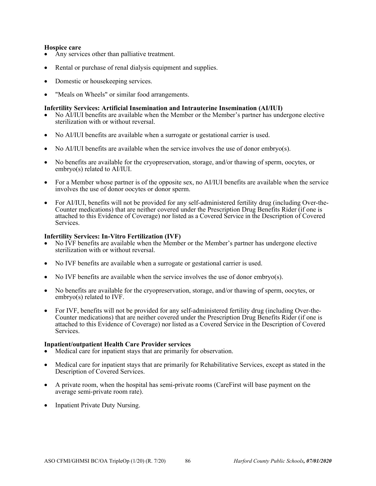- **Hospice care** <br>• Any services other than palliative treatment.
- Rental or purchase of renal dialysis equipment and supplies.
- Domestic or housekeeping services.
- "Meals on Wheels" or similar food arrangements.

- **Infertility Services: Artificial Insemination and Intrauterine Insemination (AI/IUI)**<br>• No AI/IUI benefits are available when the Member or the Member's partner has undergone elective sterilization with or without reversal.
- No AI/IUI benefits are available when a surrogate or gestational carrier is used.
- No AI/IUI benefits are available when the service involves the use of donor embryo(s).
- No benefits are available for the cryopreservation, storage, and/or thawing of sperm, oocytes, or embryo(s) related to AI/IUI.
- For a Member whose partner is of the opposite sex, no AI/IUI benefits are available when the service involves the use of donor oocytes or donor sperm.
- For AI/IUI, benefits will not be provided for any self-administered fertility drug (including Over-the-Counter medications) that are neither covered under the Prescription Drug Benefits Rider (if one is attached to this Evidence of Coverage) nor listed as a Covered Service in the Description of Covered Services.

### **Infertility Services: In-Vitro Fertilization (IVF)**

- No IVF benefits are available when the Member or the Member's partner has undergone elective sterilization with or without reversal.
- No IVF benefits are available when a surrogate or gestational carrier is used.
- No IVF benefits are available when the service involves the use of donor embryo(s).
- No benefits are available for the cryopreservation, storage, and/or thawing of sperm, oocytes, or embryo(s) related to IVF.
- For IVF, benefits will not be provided for any self-administered fertility drug (including Over-the-Counter medications) that are neither covered under the Prescription Drug Benefits Rider (if one is attached to this Evidence of Coverage) nor listed as a Covered Service in the Description of Covered Services.

### **Inpatient/outpatient Health Care Provider services**

- Medical care for inpatient stays that are primarily for observation.
- Medical care for inpatient stays that are primarily for Rehabilitative Services, except as stated in the Description of Covered Services.
- A private room, when the hospital has semi-private rooms (CareFirst will base payment on the average semi-private room rate).
- Inpatient Private Duty Nursing.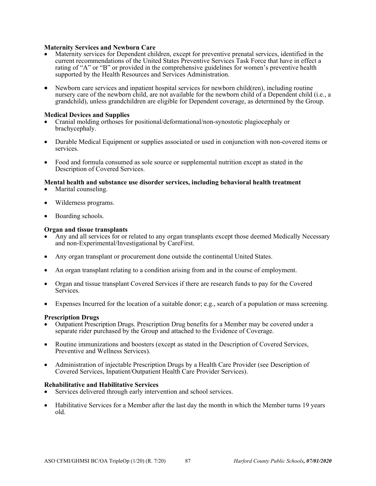### **Maternity Services and Newborn Care**

- Maternity services for Dependent children, except for preventive prenatal services, identified in the current recommendations of the United States Preventive Services Task Force that have in effect a rating of "A" or "B" or provided in the comprehensive guidelines for women's preventive health supported by the Health Resources and Services Administration.
- Newborn care services and inpatient hospital services for newborn child(ren), including routine nursery care of the newborn child, are not available for the newborn child of a Dependent child (i.e., a grandchild), unless grandchildren are eligible for Dependent coverage, as determined by the Group.

### **Medical Devices and Supplies**

- Cranial molding orthoses for positional/deformational/non-synostotic plagiocephaly or brachycephaly.
- Durable Medical Equipment or supplies associated or used in conjunction with non-covered items or services.
- Food and formula consumed as sole source or supplemental nutrition except as stated in the Description of Covered Services.

# **Mental health and substance use disorder services, including behavioral health treatment •** Marital counseling.

- 
- Wilderness programs.
- Boarding schools.

### **Organ and tissue transplants**

- Any and all services for or related to any organ transplants except those deemed Medically Necessary and non-Experimental/Investigational by CareFirst.
- Any organ transplant or procurement done outside the continental United States.
- An organ transplant relating to a condition arising from and in the course of employment.
- Organ and tissue transplant Covered Services if there are research funds to pay for the Covered Services.
- Expenses Incurred for the location of a suitable donor; e.g., search of a population or mass screening.

### **Prescription Drugs**

- Outpatient Prescription Drugs. Prescription Drug benefits for a Member may be covered under a separate rider purchased by the Group and attached to the Evidence of Coverage.
- Routine immunizations and boosters (except as stated in the Description of Covered Services, Preventive and Wellness Services).
- Administration of injectable Prescription Drugs by a Health Care Provider (see Description of Covered Services, Inpatient/Outpatient Health Care Provider Services).

### **Rehabilitative and Habilitative Services**

- Services delivered through early intervention and school services.
- Habilitative Services for a Member after the last day the month in which the Member turns 19 years old.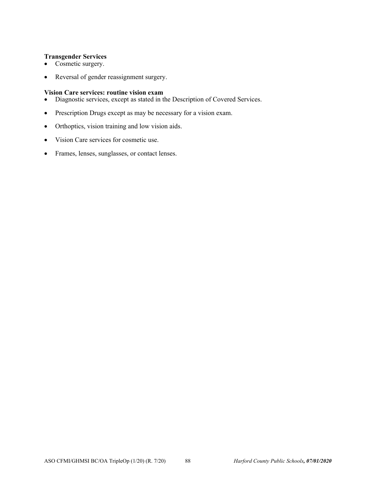### **Transgender Services**

- Cosmetic surgery.
- Reversal of gender reassignment surgery.

### **Vision Care services: routine vision exam**

- Diagnostic services, except as stated in the Description of Covered Services.
- Prescription Drugs except as may be necessary for a vision exam.
- Orthoptics, vision training and low vision aids.
- Vision Care services for cosmetic use.
- Frames, lenses, sunglasses, or contact lenses.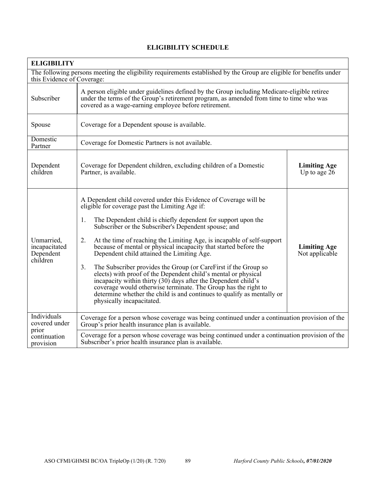| <b>ELIGIBILITY</b>                                                                                                                                |                                                                                                                                                                                                                                                                                                                                                                                                                                                                                                                                                                                                                                                                                                                                                                                                                                             |                                       |  |  |
|---------------------------------------------------------------------------------------------------------------------------------------------------|---------------------------------------------------------------------------------------------------------------------------------------------------------------------------------------------------------------------------------------------------------------------------------------------------------------------------------------------------------------------------------------------------------------------------------------------------------------------------------------------------------------------------------------------------------------------------------------------------------------------------------------------------------------------------------------------------------------------------------------------------------------------------------------------------------------------------------------------|---------------------------------------|--|--|
| The following persons meeting the eligibility requirements established by the Group are eligible for benefits under<br>this Evidence of Coverage: |                                                                                                                                                                                                                                                                                                                                                                                                                                                                                                                                                                                                                                                                                                                                                                                                                                             |                                       |  |  |
| Subscriber                                                                                                                                        | A person eligible under guidelines defined by the Group including Medicare-eligible retiree<br>under the terms of the Group's retirement program, as amended from time to time who was<br>covered as a wage-earning employee before retirement.                                                                                                                                                                                                                                                                                                                                                                                                                                                                                                                                                                                             |                                       |  |  |
| Spouse                                                                                                                                            | Coverage for a Dependent spouse is available.                                                                                                                                                                                                                                                                                                                                                                                                                                                                                                                                                                                                                                                                                                                                                                                               |                                       |  |  |
| Domestic<br>Partner                                                                                                                               | Coverage for Domestic Partners is not available.                                                                                                                                                                                                                                                                                                                                                                                                                                                                                                                                                                                                                                                                                                                                                                                            |                                       |  |  |
| Dependent<br>children                                                                                                                             | Coverage for Dependent children, excluding children of a Domestic<br><b>Limiting Age</b><br>Up to age $26$<br>Partner, is available.                                                                                                                                                                                                                                                                                                                                                                                                                                                                                                                                                                                                                                                                                                        |                                       |  |  |
| Unmarried,<br>incapacitated<br>Dependent<br>children                                                                                              | A Dependent child covered under this Evidence of Coverage will be<br>eligible for coverage past the Limiting Age if:<br>The Dependent child is chiefly dependent for support upon the<br>1.<br>Subscriber or the Subscriber's Dependent spouse; and<br>2.<br>At the time of reaching the Limiting Age, is incapable of self-support<br>because of mental or physical incapacity that started before the<br>Dependent child attained the Limiting Age.<br>The Subscriber provides the Group (or CareFirst if the Group so<br>3.<br>elects) with proof of the Dependent child's mental or physical<br>incapacity within thirty (30) days after the Dependent child's<br>coverage would otherwise terminate. The Group has the right to<br>determine whether the child is and continues to qualify as mentally or<br>physically incapacitated. | <b>Limiting Age</b><br>Not applicable |  |  |
| Individuals<br>covered under                                                                                                                      | Coverage for a person whose coverage was being continued under a continuation provision of the<br>Group's prior health insurance plan is available.                                                                                                                                                                                                                                                                                                                                                                                                                                                                                                                                                                                                                                                                                         |                                       |  |  |
| prior<br>continuation<br>provision                                                                                                                | Coverage for a person whose coverage was being continued under a continuation provision of the<br>Subscriber's prior health insurance plan is available.                                                                                                                                                                                                                                                                                                                                                                                                                                                                                                                                                                                                                                                                                    |                                       |  |  |

# **ELIGIBILITY SCHEDULE**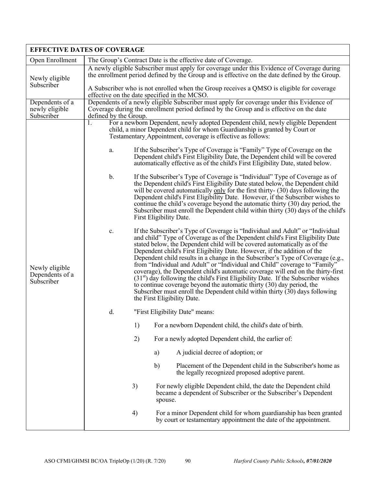|                                                 | <b>EFFECTIVE DATES OF COVERAGE</b>                                                                                                                                                                                                                                                                                                                                                                                                                                                                                                                                                                                                                                                                                                                                                                                                                                    |  |  |  |  |
|-------------------------------------------------|-----------------------------------------------------------------------------------------------------------------------------------------------------------------------------------------------------------------------------------------------------------------------------------------------------------------------------------------------------------------------------------------------------------------------------------------------------------------------------------------------------------------------------------------------------------------------------------------------------------------------------------------------------------------------------------------------------------------------------------------------------------------------------------------------------------------------------------------------------------------------|--|--|--|--|
| Open Enrollment                                 | The Group's Contract Date is the effective date of Coverage.                                                                                                                                                                                                                                                                                                                                                                                                                                                                                                                                                                                                                                                                                                                                                                                                          |  |  |  |  |
| Newly eligible                                  | A newly eligible Subscriber must apply for coverage under this Evidence of Coverage during<br>the enrollment period defined by the Group and is effective on the date defined by the Group.                                                                                                                                                                                                                                                                                                                                                                                                                                                                                                                                                                                                                                                                           |  |  |  |  |
| Subscriber                                      | A Subscriber who is not enrolled when the Group receives a QMSO is eligible for coverage<br>effective on the date specified in the MCSO.                                                                                                                                                                                                                                                                                                                                                                                                                                                                                                                                                                                                                                                                                                                              |  |  |  |  |
| Dependents of a<br>newly eligible<br>Subscriber | Dependents of a newly eligible Subscriber must apply for coverage under this Evidence of<br>Coverage during the enrollment period defined by the Group and is effective on the date                                                                                                                                                                                                                                                                                                                                                                                                                                                                                                                                                                                                                                                                                   |  |  |  |  |
|                                                 | defined by the Group.<br>For a newborn Dependent, newly adopted Dependent child, newly eligible Dependent<br>1.<br>child, a minor Dependent child for whom Guardianship is granted by Court or<br>Testamentary Appointment, coverage is effective as follows:                                                                                                                                                                                                                                                                                                                                                                                                                                                                                                                                                                                                         |  |  |  |  |
|                                                 | If the Subscriber's Type of Coverage is "Family" Type of Coverage on the<br>a.<br>Dependent child's First Eligibility Date, the Dependent child will be covered<br>automatically effective as of the child's First Eligibility Date, stated below.                                                                                                                                                                                                                                                                                                                                                                                                                                                                                                                                                                                                                    |  |  |  |  |
|                                                 | If the Subscriber's Type of Coverage is "Individual" Type of Coverage as of<br>b.<br>the Dependent child's First Eligibility Date stated below, the Dependent child<br>will be covered automatically only for the first thirty- (30) days following the<br>Dependent child's First Eligibility Date. However, if the Subscriber wishes to<br>continue the child's coverage beyond the automatic thirty (30) day period, the<br>Subscriber must enroll the Dependent child within thirty (30) days of the child's<br>First Eligibility Date.                                                                                                                                                                                                                                                                                                                           |  |  |  |  |
| Newly eligible<br>Dependents of a<br>Subscriber | If the Subscriber's Type of Coverage is "Individual and Adult" or "Individual<br>c.<br>and child" Type of Coverage as of the Dependent child's First Eligibility Date<br>stated below, the Dependent child will be covered automatically as of the<br>Dependent child's First Eligibility Date. However, if the addition of the<br>Dependent child results in a change in the Subscriber's Type of Coverage (e.g.,<br>from "Individual and Adult" or "Individual and Child" coverage to "Family"<br>coverage), the Dependent child's automatic coverage will end on the thirty-first<br>$(31st)$ day following the child's First Eligibility Date. If the Subscriber wishes<br>to continue coverage beyond the automatic thirty (30) day period, the<br>Subscriber must enroll the Dependent child within thirty $(30)$ days following<br>the First Eligibility Date. |  |  |  |  |
|                                                 | d.<br>"First Eligibility Date" means:                                                                                                                                                                                                                                                                                                                                                                                                                                                                                                                                                                                                                                                                                                                                                                                                                                 |  |  |  |  |
|                                                 | 1)<br>For a newborn Dependent child, the child's date of birth.                                                                                                                                                                                                                                                                                                                                                                                                                                                                                                                                                                                                                                                                                                                                                                                                       |  |  |  |  |
|                                                 | 2)<br>For a newly adopted Dependent child, the earlier of:                                                                                                                                                                                                                                                                                                                                                                                                                                                                                                                                                                                                                                                                                                                                                                                                            |  |  |  |  |
|                                                 | A judicial decree of adoption; or<br>a)                                                                                                                                                                                                                                                                                                                                                                                                                                                                                                                                                                                                                                                                                                                                                                                                                               |  |  |  |  |
|                                                 | b)<br>Placement of the Dependent child in the Subscriber's home as<br>the legally recognized proposed adoptive parent.                                                                                                                                                                                                                                                                                                                                                                                                                                                                                                                                                                                                                                                                                                                                                |  |  |  |  |
|                                                 | 3)<br>For newly eligible Dependent child, the date the Dependent child<br>became a dependent of Subscriber or the Subscriber's Dependent<br>spouse.                                                                                                                                                                                                                                                                                                                                                                                                                                                                                                                                                                                                                                                                                                                   |  |  |  |  |
|                                                 | 4)<br>For a minor Dependent child for whom guardianship has been granted<br>by court or testamentary appointment the date of the appointment.                                                                                                                                                                                                                                                                                                                                                                                                                                                                                                                                                                                                                                                                                                                         |  |  |  |  |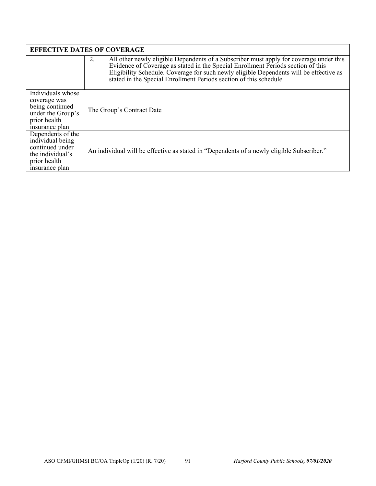|                                                                                                                | <b>EFFECTIVE DATES OF COVERAGE</b>                                                                                                                                                                                                                                                                                                               |
|----------------------------------------------------------------------------------------------------------------|--------------------------------------------------------------------------------------------------------------------------------------------------------------------------------------------------------------------------------------------------------------------------------------------------------------------------------------------------|
|                                                                                                                | All other newly eligible Dependents of a Subscriber must apply for coverage under this<br>2.<br>Evidence of Coverage as stated in the Special Enrollment Periods section of this<br>Eligibility Schedule. Coverage for such newly eligible Dependents will be effective as<br>stated in the Special Enrollment Periods section of this schedule. |
| Individuals whose<br>coverage was<br>being continued<br>under the Group's<br>prior health<br>insurance plan    | The Group's Contract Date                                                                                                                                                                                                                                                                                                                        |
| Dependents of the<br>individual being<br>continued under<br>the individual's<br>prior health<br>insurance plan | An individual will be effective as stated in "Dependents of a newly eligible Subscriber."                                                                                                                                                                                                                                                        |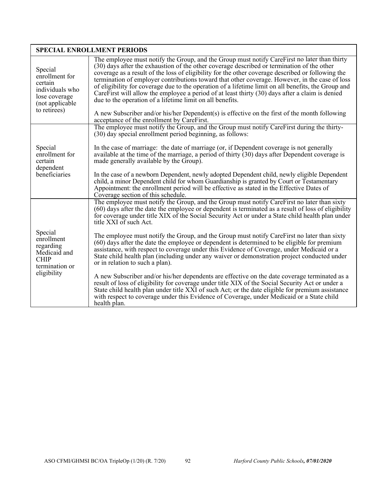|                                                                                                              | <b>SPECIAL ENROLLMENT PERIODS</b>                                                                                                                                                                                                                                                                                                                                                                                                                                                                                                                                                                                                                                                                                                                                                                                          |
|--------------------------------------------------------------------------------------------------------------|----------------------------------------------------------------------------------------------------------------------------------------------------------------------------------------------------------------------------------------------------------------------------------------------------------------------------------------------------------------------------------------------------------------------------------------------------------------------------------------------------------------------------------------------------------------------------------------------------------------------------------------------------------------------------------------------------------------------------------------------------------------------------------------------------------------------------|
| Special<br>enrollment for<br>certain<br>individuals who<br>lose coverage<br>(not applicable)<br>to retirees) | The employee must notify the Group, and the Group must notify CareFirst no later than thirty<br>(30) days after the exhaustion of the other coverage described or termination of the other<br>coverage as a result of the loss of eligibility for the other coverage described or following the<br>termination of employer contributions toward that other coverage. However, in the case of loss<br>of eligibility for coverage due to the operation of a lifetime limit on all benefits, the Group and<br>Care First will allow the employee a period of at least thirty $(30)$ days after a claim is denied<br>due to the operation of a lifetime limit on all benefits.<br>A new Subscriber and/or his/her Dependent(s) is effective on the first of the month following<br>acceptance of the enrollment by CareFirst. |
|                                                                                                              | The employee must notify the Group, and the Group must notify CareFirst during the thirty-<br>(30) day special enrollment period beginning, as follows:                                                                                                                                                                                                                                                                                                                                                                                                                                                                                                                                                                                                                                                                    |
| Special<br>enrollment for<br>certain<br>dependent<br>beneficiaries                                           | In the case of marriage: the date of marriage (or, if Dependent coverage is not generally<br>available at the time of the marriage, a period of thirty $(30)$ days after Dependent coverage is<br>made generally available by the Group).                                                                                                                                                                                                                                                                                                                                                                                                                                                                                                                                                                                  |
|                                                                                                              | In the case of a newborn Dependent, newly adopted Dependent child, newly eligible Dependent<br>child, a minor Dependent child for whom Guardianship is granted by Court or Testamentary<br>Appointment: the enrollment period will be effective as stated in the Effective Dates of<br>Coverage section of this schedule.                                                                                                                                                                                                                                                                                                                                                                                                                                                                                                  |
|                                                                                                              | The employee must notify the Group, and the Group must notify CareFirst no later than sixty<br>(60) days after the date the employee or dependent is terminated as a result of loss of eligibility<br>for coverage under title XIX of the Social Security Act or under a State child health plan under<br>title XXI of such Act.                                                                                                                                                                                                                                                                                                                                                                                                                                                                                           |
| Special<br>enrollment<br>regarding<br>Medicaid and<br><b>CHIP</b><br>termination or                          | The employee must notify the Group, and the Group must notify CareFirst no later than sixty<br>(60) days after the date the employee or dependent is determined to be eligible for premium<br>assistance, with respect to coverage under this Evidence of Coverage, under Medicaid or a<br>State child health plan (including under any waiver or demonstration project conducted under<br>or in relation to such a plan).                                                                                                                                                                                                                                                                                                                                                                                                 |
| eligibility                                                                                                  | A new Subscriber and/or his/her dependents are effective on the date coverage terminated as a<br>result of loss of eligibility for coverage under title XIX of the Social Security Act or under a<br>State child health plan under title XXI of such Act; or the date eligible for premium assistance<br>with respect to coverage under this Evidence of Coverage, under Medicaid or a State child<br>health plan.                                                                                                                                                                                                                                                                                                                                                                                                         |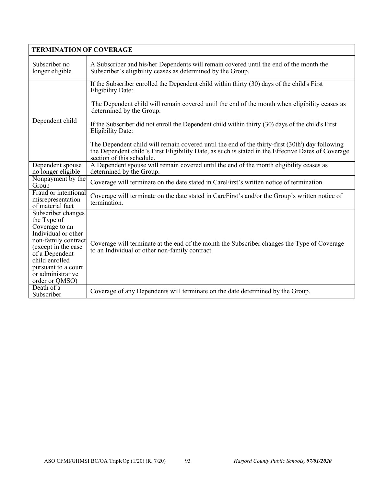| <b>TERMINATION OF COVERAGE</b>                                                                                                                                                                                             |                                                                                                                                                                                                                                                 |
|----------------------------------------------------------------------------------------------------------------------------------------------------------------------------------------------------------------------------|-------------------------------------------------------------------------------------------------------------------------------------------------------------------------------------------------------------------------------------------------|
| Subscriber no<br>longer eligible                                                                                                                                                                                           | A Subscriber and his/her Dependents will remain covered until the end of the month the<br>Subscriber's eligibility ceases as determined by the Group.                                                                                           |
|                                                                                                                                                                                                                            | If the Subscriber enrolled the Dependent child within thirty (30) days of the child's First<br><b>Eligibility Date:</b>                                                                                                                         |
|                                                                                                                                                                                                                            | The Dependent child will remain covered until the end of the month when eligibility ceases as<br>determined by the Group.                                                                                                                       |
| Dependent child                                                                                                                                                                                                            | If the Subscriber did not enroll the Dependent child within thirty (30) days of the child's First<br><b>Eligibility Date:</b>                                                                                                                   |
|                                                                                                                                                                                                                            | The Dependent child will remain covered until the end of the thirty-first (30th <sup>t</sup> ) day following<br>the Dependent child's First Eligibility Date, as such is stated in the Effective Dates of Coverage<br>section of this schedule. |
| Dependent spouse<br>no longer eligible                                                                                                                                                                                     | A Dependent spouse will remain covered until the end of the month eligibility ceases as<br>determined by the Group.                                                                                                                             |
| Nonpayment by the<br>Group                                                                                                                                                                                                 | Coverage will terminate on the date stated in CareFirst's written notice of termination.                                                                                                                                                        |
| Fraud or intentional<br>misrepresentation<br>of material fact                                                                                                                                                              | Coverage will terminate on the date stated in CareFirst's and/or the Group's written notice of<br>termination.                                                                                                                                  |
| Subscriber changes<br>the Type of<br>Coverage to an<br>Individual or other<br>non-family contract<br>(except in the case<br>of a Dependent<br>child enrolled<br>pursuant to a court<br>or administrative<br>order or QMSO) | Coverage will terminate at the end of the month the Subscriber changes the Type of Coverage<br>to an Individual or other non-family contract.                                                                                                   |
| Death of a<br>Subscriber                                                                                                                                                                                                   | Coverage of any Dependents will terminate on the date determined by the Group.                                                                                                                                                                  |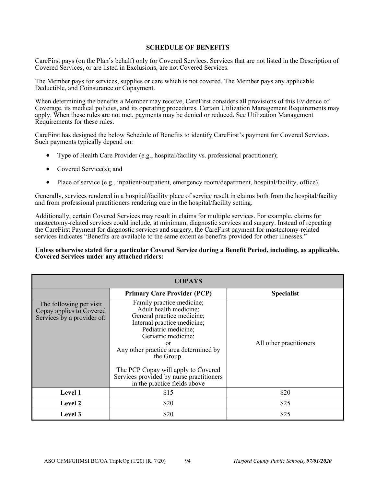### **SCHEDULE OF BENEFITS**

CareFirst pays (on the Plan's behalf) only for Covered Services. Services that are not listed in the Description of Covered Services, or are listed in Exclusions, are not Covered Services.

The Member pays for services, supplies or care which is not covered. The Member pays any applicable Deductible, and Coinsurance or Copayment.

When determining the benefits a Member may receive, CareFirst considers all provisions of this Evidence of Coverage, its medical policies, and its operating procedures. Certain Utilization Management Requirements may apply. When these rules are not met, payments may be denied or reduced. See Utilization Management Requirements for these rules.

CareFirst has designed the below Schedule of Benefits to identify CareFirst's payment for Covered Services. Such payments typically depend on:

- Type of Health Care Provider (e.g., hospital/facility vs. professional practitioner);
- Covered Service(s); and
- Place of service (e.g., inpatient/outpatient, emergency room/department, hospital/facility, office).

Generally, services rendered in a hospital/facility place of service result in claims both from the hospital/facility and from professional practitioners rendering care in the hospital/facility setting.

Additionally, certain Covered Services may result in claims for multiple services. For example, claims for mastectomy-related services could include, at minimum, diagnostic services and surgery. Instead of repeating the CareFirst Payment for diagnostic services and surgery, the CareFirst payment for mastectomy-related services indicates "Benefits are available to the same extent as benefits provided for other illnesses."

### **Unless otherwise stated for a particular Covered Service during a Benefit Period, including, as applicable, Covered Services under any attached riders:**

| <b>COPAYS</b>                                                                     |                                                                                                                                                                                                                                                                                                                                                |                         |  |  |
|-----------------------------------------------------------------------------------|------------------------------------------------------------------------------------------------------------------------------------------------------------------------------------------------------------------------------------------------------------------------------------------------------------------------------------------------|-------------------------|--|--|
|                                                                                   | <b>Primary Care Provider (PCP)</b>                                                                                                                                                                                                                                                                                                             | <b>Specialist</b>       |  |  |
| The following per visit<br>Copay applies to Covered<br>Services by a provider of: | Family practice medicine;<br>Adult health medicine;<br>General practice medicine;<br>Internal practice medicine;<br>Pediatric medicine;<br>Geriatric medicine;<br>or<br>Any other practice area determined by<br>the Group.<br>The PCP Copay will apply to Covered<br>Services provided by nurse practitioners<br>in the practice fields above | All other practitioners |  |  |
| Level 1                                                                           | \$15                                                                                                                                                                                                                                                                                                                                           | \$20                    |  |  |
| <b>Level 2</b>                                                                    | \$20                                                                                                                                                                                                                                                                                                                                           | \$25                    |  |  |
| <b>Level</b> 3                                                                    | \$20                                                                                                                                                                                                                                                                                                                                           | \$25                    |  |  |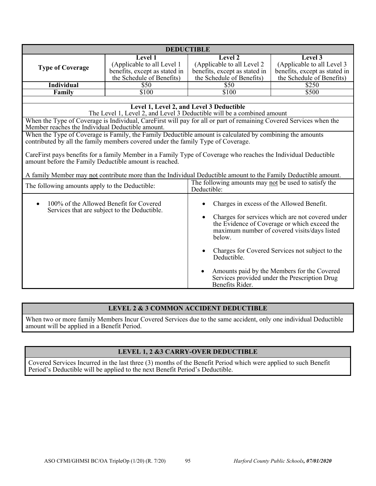| <b>DEDUCTIBLE</b>                                      |                                                                                                                    |                                                      |                                                 |  |
|--------------------------------------------------------|--------------------------------------------------------------------------------------------------------------------|------------------------------------------------------|-------------------------------------------------|--|
|                                                        | Level 1                                                                                                            | Level 2                                              | Level 3                                         |  |
|                                                        | (Applicable to all Level 1                                                                                         | (Applicable to all Level 2)                          | (Applicable to all Level 3                      |  |
| <b>Type of Coverage</b>                                | benefits, except as stated in                                                                                      | benefits, except as stated in                        | benefits, except as stated in                   |  |
|                                                        | the Schedule of Benefits)                                                                                          | the Schedule of Benefits)                            | the Schedule of Benefits)                       |  |
| <b>Individual</b>                                      | \$50                                                                                                               | \$50                                                 | \$250                                           |  |
| Family                                                 | \$100                                                                                                              | \$100                                                | \$500                                           |  |
|                                                        |                                                                                                                    |                                                      |                                                 |  |
|                                                        |                                                                                                                    | Level 1, Level 2, and Level 3 Deductible             |                                                 |  |
|                                                        | The Level 1, Level 2, and Level 3 Deductible will be a combined amount                                             |                                                      |                                                 |  |
| Member reaches the Individual Deductible amount.       | When the Type of Coverage is Individual, CareFirst will pay for all or part of remaining Covered Services when the |                                                      |                                                 |  |
|                                                        | When the Type of Coverage is Family, the Family Deductible amount is calculated by combining the amounts           |                                                      |                                                 |  |
|                                                        | contributed by all the family members covered under the family Type of Coverage.                                   |                                                      |                                                 |  |
|                                                        |                                                                                                                    |                                                      |                                                 |  |
|                                                        | CareFirst pays benefits for a family Member in a Family Type of Coverage who reaches the Individual Deductible     |                                                      |                                                 |  |
| amount before the Family Deductible amount is reached. |                                                                                                                    |                                                      |                                                 |  |
|                                                        | A family Member may not contribute more than the Individual Deductible amount to the Family Deductible amount.     |                                                      |                                                 |  |
|                                                        |                                                                                                                    | The following amounts may not be used to satisfy the |                                                 |  |
| The following amounts apply to the Deductible:         |                                                                                                                    | Deductible:                                          |                                                 |  |
|                                                        |                                                                                                                    |                                                      |                                                 |  |
| 100% of the Allowed Benefit for Covered                |                                                                                                                    | Charges in excess of the Allowed Benefit.            |                                                 |  |
|                                                        | Services that are subject to the Deductible.                                                                       |                                                      |                                                 |  |
|                                                        |                                                                                                                    | Charges for services which are not covered under     |                                                 |  |
|                                                        |                                                                                                                    |                                                      | the Evidence of Coverage or which exceed the    |  |
|                                                        |                                                                                                                    |                                                      | maximum number of covered visits/days listed    |  |
|                                                        |                                                                                                                    | helow.                                               |                                                 |  |
|                                                        |                                                                                                                    |                                                      |                                                 |  |
|                                                        |                                                                                                                    | Deductible.                                          | Charges for Covered Services not subject to the |  |
|                                                        |                                                                                                                    |                                                      | Amounts paid by the Members for the Covered     |  |
|                                                        |                                                                                                                    | Benefits Rider.                                      | Services provided under the Prescription Drug   |  |

# **LEVEL 2 & 3 COMMON ACCIDENT DEDUCTIBLE**

When two or more family Members Incur Covered Services due to the same accident, only one individual Deductible amount will be applied in a Benefit Period.

# **LEVEL 1, 2 &3 CARRY-OVER DEDUCTIBLE**

Covered Services Incurred in the last three (3) months of the Benefit Period which were applied to such Benefit Period's Deductible will be applied to the next Benefit Period's Deductible.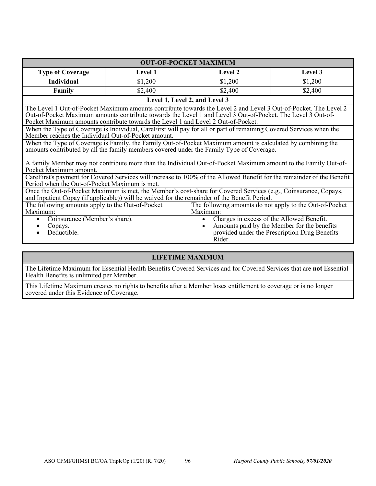| <b>OUT-OF-POCKET MAXIMUM</b>                                                                                                                                                                                                                                                                                                                                                                                                                                                                    |                               |                                                                                                             |         |  |
|-------------------------------------------------------------------------------------------------------------------------------------------------------------------------------------------------------------------------------------------------------------------------------------------------------------------------------------------------------------------------------------------------------------------------------------------------------------------------------------------------|-------------------------------|-------------------------------------------------------------------------------------------------------------|---------|--|
| <b>Type of Coverage</b>                                                                                                                                                                                                                                                                                                                                                                                                                                                                         | Level 1                       | Level 2                                                                                                     | Level 3 |  |
| <b>Individual</b>                                                                                                                                                                                                                                                                                                                                                                                                                                                                               | \$1,200                       | \$1,200                                                                                                     | \$1,200 |  |
| Family                                                                                                                                                                                                                                                                                                                                                                                                                                                                                          | \$2,400                       | \$2,400                                                                                                     | \$2,400 |  |
|                                                                                                                                                                                                                                                                                                                                                                                                                                                                                                 | Level 1, Level 2, and Level 3 |                                                                                                             |         |  |
| The Level 1 Out-of-Pocket Maximum amounts contribute towards the Level 2 and Level 3 Out-of-Pocket. The Level 2<br>Out-of-Pocket Maximum amounts contribute towards the Level 1 and Level 3 Out-of-Pocket. The Level 3 Out-of-<br>Pocket Maximum amounts contribute towards the Level 1 and Level 2 Out-of-Pocket.<br>When the Type of Coverage is Individual, CareFirst will pay for all or part of remaining Covered Services when the<br>Member reaches the Individual Out-of-Pocket amount. |                               |                                                                                                             |         |  |
|                                                                                                                                                                                                                                                                                                                                                                                                                                                                                                 |                               | When the Type of Coverage is Family, the Family Out-of-Pocket Maximum amount is calculated by combining the |         |  |
|                                                                                                                                                                                                                                                                                                                                                                                                                                                                                                 |                               | amounts contributed by all the family members covered under the Family Type of Coverage.                    |         |  |
| A family Member may not contribute more than the Individual Out-of-Pocket Maximum amount to the Family Out-of-<br>Pocket Maximum amount.                                                                                                                                                                                                                                                                                                                                                        |                               |                                                                                                             |         |  |
| CareFirst's payment for Covered Services will increase to 100% of the Allowed Benefit for the remainder of the Benefit<br>Period when the Out-of-Pocket Maximum is met.                                                                                                                                                                                                                                                                                                                         |                               |                                                                                                             |         |  |
| Once the Out-of-Pocket Maximum is met, the Member's cost-share for Covered Services (e.g., Coinsurance, Copays,<br>and Inpatient Copay (if applicable)) will be waived for the remainder of the Benefit Period.                                                                                                                                                                                                                                                                                 |                               |                                                                                                             |         |  |
| The following amounts apply to the Out-of-Pocket<br>The following amounts do not apply to the Out-of-Pocket<br>Maximum:<br>Maximum:                                                                                                                                                                                                                                                                                                                                                             |                               |                                                                                                             |         |  |
| Coinsurance (Member's share).<br>Charges in excess of the Allowed Benefit.<br>$\bullet$<br>$\bullet$<br>Amounts paid by the Member for the benefits<br>Copays.<br>provided under the Prescription Drug Benefits<br>Deductible.<br>Rider.                                                                                                                                                                                                                                                        |                               |                                                                                                             |         |  |

# **LIFETIME MAXIMUM**

The Lifetime Maximum for Essential Health Benefits Covered Services and for Covered Services that are **not** Essential Health Benefits is unlimited per Member.

This Lifetime Maximum creates no rights to benefits after a Member loses entitlement to coverage or is no longer covered under this Evidence of Coverage.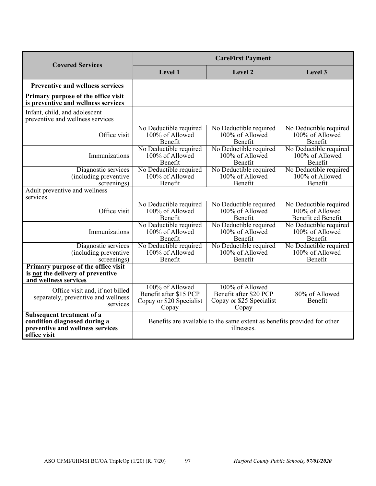| <b>Covered Services</b>                                                                                       | <b>CareFirst Payment</b>                                                       |                                                                                        |                                                                 |
|---------------------------------------------------------------------------------------------------------------|--------------------------------------------------------------------------------|----------------------------------------------------------------------------------------|-----------------------------------------------------------------|
|                                                                                                               | Level 1                                                                        | Level 2                                                                                | Level 3                                                         |
| <b>Preventive and wellness services</b>                                                                       |                                                                                |                                                                                        |                                                                 |
| Primary purpose of the office visit<br>is preventive and wellness services                                    |                                                                                |                                                                                        |                                                                 |
| Infant, child, and adolescent<br>preventive and wellness services                                             |                                                                                |                                                                                        |                                                                 |
| Office visit                                                                                                  | No Deductible required<br>100% of Allowed<br>Benefit                           | No Deductible required<br>100% of Allowed<br>Benefit                                   | No Deductible required<br>100% of Allowed<br>Benefit            |
| Immunizations                                                                                                 | No Deductible required<br>100% of Allowed<br>Benefit                           | No Deductible required<br>100% of Allowed<br>Benefit                                   | No Deductible required<br>100% of Allowed<br>Benefit            |
| Diagnostic services<br>(including preventive<br>screenings)                                                   | No Deductible required<br>100% of Allowed<br>Benefit                           | No Deductible required<br>100% of Allowed<br>Benefit                                   | No Deductible required<br>100% of Allowed<br>Benefit            |
| Adult preventive and wellness<br>services                                                                     |                                                                                |                                                                                        |                                                                 |
| Office visit                                                                                                  | No Deductible required<br>100% of Allowed<br>Benefit                           | No Deductible required<br>100% of Allowed<br>Benefit                                   | No Deductible required<br>100% of Allowed<br>Benefit ed Benefit |
| Immunizations                                                                                                 | No Deductible required<br>100% of Allowed<br>Benefit                           | No Deductible required<br>100% of Allowed<br>Benefit                                   | No Deductible required<br>100% of Allowed<br>Benefit            |
| Diagnostic services<br>(including preventive<br>screenings)                                                   | No Deductible required<br>100% of Allowed<br>Benefit                           | No Deductible required<br>100% of Allowed<br>Benefit                                   | No Deductible required<br>100% of Allowed<br>Benefit            |
| Primary purpose of the office visit<br>is not the delivery of preventive<br>and wellness services             |                                                                                |                                                                                        |                                                                 |
| Office visit and, if not billed<br>separately, preventive and wellness<br>services                            | 100% of Allowed<br>Benefit after \$15 PCP<br>Copay or \$20 Specialist<br>Copay | 100% of Allowed<br>Benefit after \$20 PCP<br>Copay or \$25 Specialist<br>Copay         | 80% of Allowed<br>Benefit                                       |
| Subsequent treatment of a<br>condition diagnosed during a<br>preventive and wellness services<br>office visit |                                                                                | Benefits are available to the same extent as benefits provided for other<br>illnesses. |                                                                 |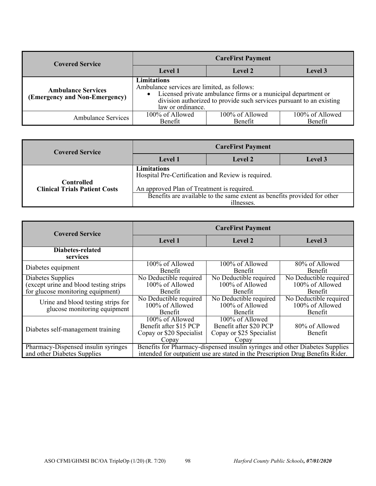| <b>Covered Service</b>                                     | <b>CareFirst Payment</b>                                                                     |                                                                                                                                       |                            |
|------------------------------------------------------------|----------------------------------------------------------------------------------------------|---------------------------------------------------------------------------------------------------------------------------------------|----------------------------|
|                                                            | Level 1                                                                                      | Level 2                                                                                                                               | Level 3                    |
| <b>Ambulance Services</b><br>(Emergency and Non-Emergency) | Limitations<br>Ambulance services are limited, as follows:<br>$\bullet$<br>law or ordinance. | Licensed private ambulance firms or a municipal department or<br>division authorized to provide such services pursuant to an existing |                            |
| <b>Ambulance Services</b>                                  | 100% of Allowed<br>Benefit                                                                   | 100% of Allowed<br>Benefit                                                                                                            | 100% of Allowed<br>Benefit |

| <b>Covered Service</b>                                                                       | <b>CareFirst Payment</b>                                                                                        |         |                |
|----------------------------------------------------------------------------------------------|-----------------------------------------------------------------------------------------------------------------|---------|----------------|
|                                                                                              | Level 1                                                                                                         | Level 2 | <b>Level 3</b> |
| <b>Controlled</b><br><b>Clinical Trials Patient Costs</b>                                    | Limitations<br>Hospital Pre-Certification and Review is required.<br>An approved Plan of Treatment is required. |         |                |
| Benefits are available to the same extent as benefits provided for other<br><i>illnesses</i> |                                                                                                                 |         |                |

| <b>Covered Service</b>                                                                            | <b>CareFirst Payment</b>                                                       |                                                                                                                                                                 |                                                             |
|---------------------------------------------------------------------------------------------------|--------------------------------------------------------------------------------|-----------------------------------------------------------------------------------------------------------------------------------------------------------------|-------------------------------------------------------------|
|                                                                                                   | Level 1                                                                        | Level 2                                                                                                                                                         | Level 3                                                     |
| Diabetes-related<br>services                                                                      |                                                                                |                                                                                                                                                                 |                                                             |
| Diabetes equipment                                                                                | $100\%$ of Allowed<br><b>Benefit</b>                                           | 100% of Allowed<br>Benefit                                                                                                                                      | $80\%$ of Allowed<br><b>Benefit</b>                         |
| Diabetes Supplies<br>(except urine and blood testing strips)<br>for glucose monitoring equipment) | No Deductible required<br>100% of Allowed<br>Benefit                           | No Deductible required<br>100% of Allowed<br><b>Benefit</b>                                                                                                     | No Deductible required<br>100% of Allowed<br><b>Benefit</b> |
| Urine and blood testing strips for<br>glucose monitoring equipment                                | No Deductible required<br>100% of Allowed<br>Benefit                           | No Deductible required<br>100% of Allowed<br>Benefit                                                                                                            | No Deductible required<br>100% of Allowed<br>Benefit        |
| Diabetes self-management training                                                                 | 100% of Allowed<br>Benefit after \$15 PCP<br>Copay or \$20 Specialist<br>Copay | 100% of Allowed<br>Benefit after \$20 PCP<br>Copay or \$25 Specialist<br>Copay                                                                                  | 80% of Allowed<br>Benefit                                   |
| Pharmacy-Dispensed insulin syringes<br>and other Diabetes Supplies                                |                                                                                | Benefits for Pharmacy-dispensed insulin syringes and other Diabetes Supplies<br>intended for outpatient use are stated in the Prescription Drug Benefits Rider. |                                                             |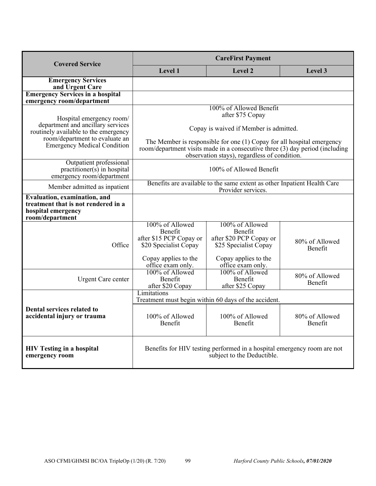| <b>Covered Service</b>                                                                                                                                                        | <b>CareFirst Payment</b>                                                                                                                                                                                                                                                                          |                                                                                                                             |                                  |
|-------------------------------------------------------------------------------------------------------------------------------------------------------------------------------|---------------------------------------------------------------------------------------------------------------------------------------------------------------------------------------------------------------------------------------------------------------------------------------------------|-----------------------------------------------------------------------------------------------------------------------------|----------------------------------|
|                                                                                                                                                                               | Level 1                                                                                                                                                                                                                                                                                           | Level 2                                                                                                                     | Level 3                          |
| <b>Emergency Services</b><br>and Urgent Care                                                                                                                                  |                                                                                                                                                                                                                                                                                                   |                                                                                                                             |                                  |
| <b>Emergency Services in a hospital</b><br>emergency room/department                                                                                                          |                                                                                                                                                                                                                                                                                                   |                                                                                                                             |                                  |
| Hospital emergency room/<br>department and ancillary services<br>routinely available to the emergency<br>room/department to evaluate an<br><b>Emergency Medical Condition</b> | 100% of Allowed Benefit<br>after \$75 Copay<br>Copay is waived if Member is admitted.<br>The Member is responsible for one $(1)$ Copay for all hospital emergency<br>room/department visits made in a consecutive three (3) day period (including<br>observation stays), regardless of condition. |                                                                                                                             |                                  |
| Outpatient professional<br>$practitioner(s)$ in hospital<br>emergency room/department                                                                                         | 100% of Allowed Benefit                                                                                                                                                                                                                                                                           |                                                                                                                             |                                  |
| Member admitted as inpatient                                                                                                                                                  |                                                                                                                                                                                                                                                                                                   | Benefits are available to the same extent as other Inpatient Health Care<br>Provider services.                              |                                  |
| <b>Evaluation, examination, and</b><br>treatment that is not rendered in a<br>hospital emergency<br>room/department                                                           |                                                                                                                                                                                                                                                                                                   |                                                                                                                             |                                  |
| Office                                                                                                                                                                        | 100% of Allowed<br>Benefit<br>after \$15 PCP Copay or<br>\$20 Specialist Copay<br>Copay applies to the<br>office exam only.                                                                                                                                                                       | 100% of Allowed<br>Benefit<br>after \$20 PCP Copay or<br>\$25 Specialist Copay<br>Copay applies to the<br>office exam only. | 80% of Allowed<br><b>Benefit</b> |
| <b>Urgent Care center</b>                                                                                                                                                     | 100% of Allowed<br>Benefit<br>after \$20 Copay                                                                                                                                                                                                                                                    | 100% of Allowed<br>Benefit<br>after \$25 Copay                                                                              | 80% of Allowed<br>Benefit        |
|                                                                                                                                                                               | Limitations                                                                                                                                                                                                                                                                                       | Treatment must begin within 60 days of the accident.                                                                        |                                  |
| <b>Dental services related to</b><br>accidental injury or trauma                                                                                                              | 100% of Allowed<br><b>Benefit</b>                                                                                                                                                                                                                                                                 | 100% of Allowed<br><b>Benefit</b>                                                                                           | 80% of Allowed<br><b>Benefit</b> |
| <b>HIV Testing in a hospital</b><br>emergency room                                                                                                                            | Benefits for HIV testing performed in a hospital emergency room are not<br>subject to the Deductible.                                                                                                                                                                                             |                                                                                                                             |                                  |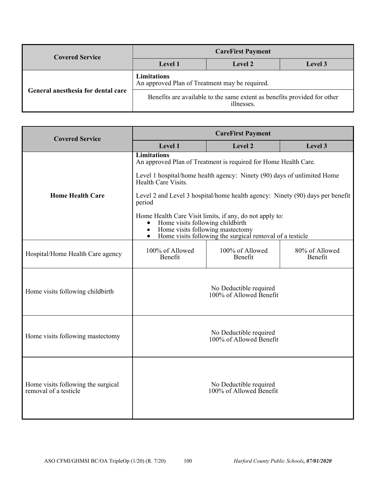| <b>Covered Service</b>             | <b>CareFirst Payment</b>                                                               |                |         |
|------------------------------------|----------------------------------------------------------------------------------------|----------------|---------|
|                                    | <b>Level</b> 1                                                                         | <b>Level 2</b> | Level 3 |
|                                    | Limitations<br>An approved Plan of Treatment may be required.                          |                |         |
| General anesthesia for dental care | Benefits are available to the same extent as benefits provided for other<br>illnesses. |                |         |

| <b>Covered Service</b>                                      | <b>CareFirst Payment</b>                                                                                                                                                                                                           |                                                                               |                           |
|-------------------------------------------------------------|------------------------------------------------------------------------------------------------------------------------------------------------------------------------------------------------------------------------------------|-------------------------------------------------------------------------------|---------------------------|
|                                                             | Level 1                                                                                                                                                                                                                            | Level 2                                                                       | Level 3                   |
|                                                             | <b>Limitations</b>                                                                                                                                                                                                                 | An approved Plan of Treatment is required for Home Health Care.               |                           |
|                                                             | Health Care Visits.                                                                                                                                                                                                                | Level 1 hospital/home health agency: Ninety (90) days of unlimited Home       |                           |
| <b>Home Health Care</b>                                     | period                                                                                                                                                                                                                             | Level 2 and Level 3 hospital/home health agency: Ninety (90) days per benefit |                           |
|                                                             | Home Health Care Visit limits, if any, do not apply to:<br>Home visits following childbirth<br>$\bullet$<br>Home visits following mastectomy<br>$\bullet$<br>Home visits following the surgical removal of a testicle<br>$\bullet$ |                                                                               |                           |
| Hospital/Home Health Care agency                            | 100% of Allowed<br>Benefit                                                                                                                                                                                                         | 100% of Allowed<br>Benefit                                                    | 80% of Allowed<br>Benefit |
| Home visits following childbirth                            |                                                                                                                                                                                                                                    | No Deductible required<br>100% of Allowed Benefit                             |                           |
| Home visits following mastectomy                            | No Deductible required<br>100% of Allowed Benefit                                                                                                                                                                                  |                                                                               |                           |
| Home visits following the surgical<br>removal of a testicle |                                                                                                                                                                                                                                    | No Deductible required<br>100% of Allowed Benefit                             |                           |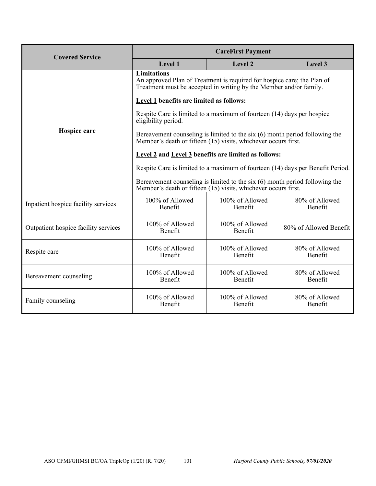| <b>Covered Service</b>               | <b>CareFirst Payment</b>                                                                                                                                            |                                                                                                                                                 |                                  |  |
|--------------------------------------|---------------------------------------------------------------------------------------------------------------------------------------------------------------------|-------------------------------------------------------------------------------------------------------------------------------------------------|----------------------------------|--|
|                                      | Level 1                                                                                                                                                             | Level 2                                                                                                                                         | Level 3                          |  |
|                                      | <b>Limitations</b><br>An approved Plan of Treatment is required for hospice care; the Plan of<br>Treatment must be accepted in writing by the Member and/or family. |                                                                                                                                                 |                                  |  |
|                                      | Level 1 benefits are limited as follows:                                                                                                                            |                                                                                                                                                 |                                  |  |
|                                      | eligibility period.                                                                                                                                                 | Respite Care is limited to a maximum of fourteen (14) days per hospice                                                                          |                                  |  |
| Hospice care                         |                                                                                                                                                                     | Bereavement counseling is limited to the six $(6)$ month period following the<br>Member's death or fifteen (15) visits, whichever occurs first. |                                  |  |
|                                      |                                                                                                                                                                     | <b>Level 2 and Level 3 benefits are limited as follows:</b>                                                                                     |                                  |  |
|                                      | Respite Care is limited to a maximum of fourteen (14) days per Benefit Period.                                                                                      |                                                                                                                                                 |                                  |  |
|                                      | Bereavement counseling is limited to the six $(6)$ month period following the<br>Member's death or fifteen (15) visits, whichever occurs first.                     |                                                                                                                                                 |                                  |  |
| Inpatient hospice facility services  | 100% of Allowed<br>Benefit                                                                                                                                          | 100% of Allowed<br>Benefit                                                                                                                      | 80% of Allowed<br>Benefit        |  |
| Outpatient hospice facility services | 100% of Allowed<br><b>Benefit</b>                                                                                                                                   | 100% of Allowed<br><b>Benefit</b>                                                                                                               | 80% of Allowed Benefit           |  |
| Respite care                         | 100% of Allowed<br>Benefit                                                                                                                                          | 100% of Allowed<br>Benefit                                                                                                                      | 80% of Allowed<br>Benefit        |  |
| Bereavement counseling               | 100% of Allowed<br>Benefit                                                                                                                                          | 100% of Allowed<br>Benefit                                                                                                                      | 80% of Allowed<br>Benefit        |  |
| Family counseling                    | 100% of Allowed<br><b>Benefit</b>                                                                                                                                   | 100% of Allowed<br><b>Benefit</b>                                                                                                               | 80% of Allowed<br><b>Benefit</b> |  |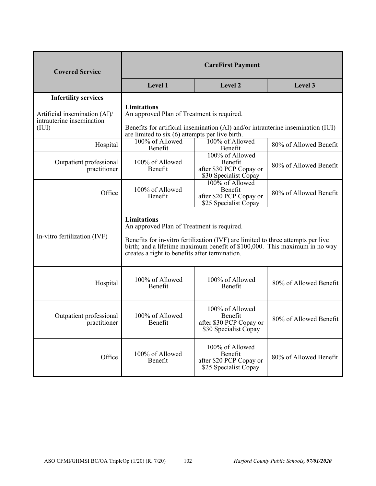| <b>Covered Service</b>                                                 | <b>CareFirst Payment</b>                                                                                                                                                                                                                                                             |                                                                                |                        |
|------------------------------------------------------------------------|--------------------------------------------------------------------------------------------------------------------------------------------------------------------------------------------------------------------------------------------------------------------------------------|--------------------------------------------------------------------------------|------------------------|
|                                                                        | Level 1                                                                                                                                                                                                                                                                              | Level 2                                                                        | Level 3                |
| <b>Infertility services</b>                                            |                                                                                                                                                                                                                                                                                      |                                                                                |                        |
| Artificial insemination $(AI)$ /<br>intrauterine insemination<br>(III) | <b>Limitations</b><br>An approved Plan of Treatment is required.<br>Benefits for artificial insemination (AI) and/or intrauterine insemination (IUI)<br>are limited to $six(6)$ attempts per live birth.                                                                             |                                                                                |                        |
| Hospital                                                               | 100% of Allowed<br>Benefit                                                                                                                                                                                                                                                           | 100% of Allowed<br>Benefit                                                     | 80% of Allowed Benefit |
| Outpatient professional<br>practitioner                                | 100% of Allowed<br>Benefit                                                                                                                                                                                                                                                           | 100% of Allowed<br>Benefit<br>after \$30 PCP Copay or<br>\$30 Specialist Copay | 80% of Allowed Benefit |
| Office                                                                 | 100% of Allowed<br>Benefit                                                                                                                                                                                                                                                           | 100% of Allowed<br>Benefit<br>after \$20 PCP Copay or<br>\$25 Specialist Copay | 80% of Allowed Benefit |
| In-vitro fertilization (IVF)                                           | <b>Limitations</b><br>An approved Plan of Treatment is required.<br>Benefits for in-vitro fertilization (IVF) are limited to three attempts per live<br>birth; and a lifetime maximum benefit of \$100,000. This maximum in no way<br>creates a right to benefits after termination. |                                                                                |                        |
| Hospital                                                               | 100% of Allowed<br>Benefit                                                                                                                                                                                                                                                           | 100% of Allowed<br>Benefit                                                     | 80% of Allowed Benefit |
| Outpatient professional<br>practitioner                                | 100% of Allowed<br>Benefit                                                                                                                                                                                                                                                           | 100% of Allowed<br>Benefit<br>after \$30 PCP Copay or<br>\$30 Specialist Copay | 80% of Allowed Benefit |
| Office                                                                 | 100% of Allowed<br>Benefit                                                                                                                                                                                                                                                           | 100% of Allowed<br>Benefit<br>after \$20 PCP Copay or<br>\$25 Specialist Copay | 80% of Allowed Benefit |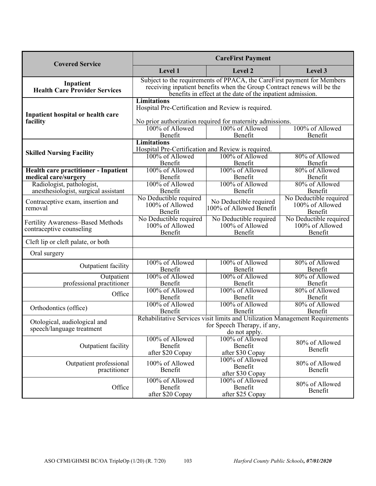| <b>Covered Service</b>                                        | <b>CareFirst Payment</b>                                                                                                                                                                                         |                                                      |                                                      |
|---------------------------------------------------------------|------------------------------------------------------------------------------------------------------------------------------------------------------------------------------------------------------------------|------------------------------------------------------|------------------------------------------------------|
|                                                               | Level 1                                                                                                                                                                                                          | Level 2                                              | Level 3                                              |
| Inpatient<br><b>Health Care Provider Services</b>             | Subject to the requirements of PPACA, the CareFirst payment for Members<br>receiving inpatient benefits when the Group Contract renews will be the<br>benefits in effect at the date of the inpatient admission. |                                                      |                                                      |
| Inpatient hospital or health care<br>facility                 | <b>Limitations</b><br>Hospital Pre-Certification and Review is required.<br>No prior authorization required for maternity admissions.<br>100% of Allowed<br>100% of Allowed<br>100% of Allowed                   |                                                      |                                                      |
|                                                               | Benefit                                                                                                                                                                                                          | Benefit                                              | Benefit                                              |
| <b>Skilled Nursing Facility</b>                               | <b>Limitations</b><br>Hospital Pre-Certification and Review is required.<br>100% of Allowed<br>Benefit                                                                                                           | 100% of Allowed<br>Benefit                           | 80% of Allowed<br>Benefit                            |
| <b>Health care practitioner - Inpatient</b>                   | 100% of Allowed                                                                                                                                                                                                  | 100% of Allowed                                      | 80% of Allowed                                       |
| medical care/surgery                                          | Benefit                                                                                                                                                                                                          | Benefit                                              | Benefit                                              |
| Radiologist, pathologist,                                     | 100% of Allowed                                                                                                                                                                                                  | 100% of Allowed                                      | 80% of Allowed                                       |
| anesthesiologist, surgical assistant                          | Benefit                                                                                                                                                                                                          | Benefit                                              | Benefit                                              |
| Contraceptive exam, insertion and<br>removal                  | No Deductible required<br>100% of Allowed<br>Benefit                                                                                                                                                             | No Deductible required<br>100% of Allowed Benefit    | No Deductible required<br>100% of Allowed<br>Benefit |
| Fertility Awareness-Based Methods<br>contraceptive counseling | No Deductible required<br>100% of Allowed<br>Benefit                                                                                                                                                             | No Deductible required<br>100% of Allowed<br>Benefit | No Deductible required<br>100% of Allowed<br>Benefit |
| Cleft lip or cleft palate, or both                            |                                                                                                                                                                                                                  |                                                      |                                                      |
| Oral surgery                                                  |                                                                                                                                                                                                                  |                                                      |                                                      |
| Outpatient facility                                           | 100% of Allowed<br>Benefit                                                                                                                                                                                       | 100% of Allowed<br>Benefit                           | 80% of Allowed<br>Benefit                            |
| Outpatient<br>professional practitioner                       | 100% of Allowed<br>Benefit                                                                                                                                                                                       | 100% of Allowed<br>Benefit                           | 80% of Allowed<br>Benefit                            |
| Office                                                        | 100% of Allowed<br>Benefit                                                                                                                                                                                       | 100% of Allowed<br>Benefit                           | 80% of Allowed<br>Benefit                            |
| Orthodontics (office)                                         | 100% of Allowed<br>Benefit                                                                                                                                                                                       | 100% of Allowed<br>Benefit                           | 80% of Allowed<br>Benefit                            |
| Otological, audiological and<br>speech/language treatment     | Rehabilitative Services visit limits and Utilization Management Requirements<br>for Speech Therapy, if any,<br>do not apply.                                                                                     |                                                      |                                                      |
| Outpatient facility                                           | 100% of Allowed<br>Benefit<br>after \$20 Copay                                                                                                                                                                   | 100% of Allowed<br>Benefit<br>after \$30 Copay       | 80% of Allowed<br>Benefit                            |
| Outpatient professional<br>practitioner                       | 100% of Allowed<br>Benefit                                                                                                                                                                                       | 100% of Allowed<br>Benefit<br>after \$30 Copay       | 80% of Allowed<br>Benefit                            |
| Office                                                        | 100% of Allowed<br>Benefit<br>after \$20 Copay                                                                                                                                                                   | 100% of Allowed<br>Benefit<br>after \$25 Copay       | 80% of Allowed<br>Benefit                            |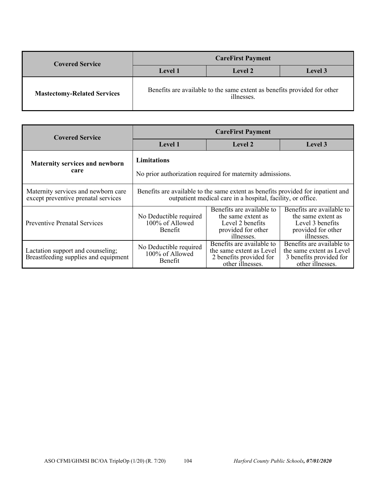| <b>Covered Service</b>             | <b>CareFirst Payment</b>                                                               |         |                |
|------------------------------------|----------------------------------------------------------------------------------------|---------|----------------|
|                                    | <b>Level</b> 1                                                                         | Level 2 | <b>Level 3</b> |
| <b>Mastectomy-Related Services</b> | Benefits are available to the same extent as benefits provided for other<br>illnesses. |         |                |

| <b>Covered Service</b>                                                     | <b>CareFirst Payment</b>                                                                                                                        |                                                                                                         |                                                                                                         |  |
|----------------------------------------------------------------------------|-------------------------------------------------------------------------------------------------------------------------------------------------|---------------------------------------------------------------------------------------------------------|---------------------------------------------------------------------------------------------------------|--|
|                                                                            | Level 1                                                                                                                                         | Level 2                                                                                                 | Level 3                                                                                                 |  |
| <b>Maternity services and newborn</b><br>care                              | <b>Limitations</b><br>No prior authorization required for maternity admissions.                                                                 |                                                                                                         |                                                                                                         |  |
| Maternity services and newborn care<br>except preventive prenatal services | Benefits are available to the same extent as benefits provided for inpatient and<br>outpatient medical care in a hospital, facility, or office. |                                                                                                         |                                                                                                         |  |
| <b>Preventive Prenatal Services</b>                                        | No Deductible required<br>100% of Allowed<br>Benefit                                                                                            | Benefits are available to<br>the same extent as<br>Level 2 benefits<br>provided for other<br>illnesses. | Benefits are available to<br>the same extent as<br>Level 3 benefits<br>provided for other<br>illnesses. |  |
| Lactation support and counseling;<br>Breastfeeding supplies and equipment  | No Deductible required<br>100% of Allowed<br>Benefit                                                                                            | Benefits are available to<br>the same extent as Level<br>2 benefits provided for<br>other illnesses.    | Benefits are available to<br>the same extent as Level<br>3 benefits provided for<br>other illnesses.    |  |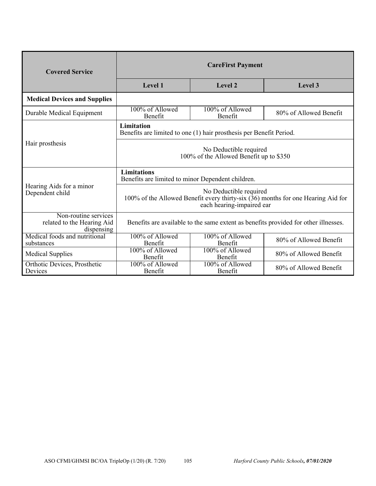| <b>Covered Service</b>                                           | <b>CareFirst Payment</b>                                                                                                                                                                                             |                            |                        |  |  |
|------------------------------------------------------------------|----------------------------------------------------------------------------------------------------------------------------------------------------------------------------------------------------------------------|----------------------------|------------------------|--|--|
|                                                                  | <b>Level 1</b><br>Level 2<br>Level 3                                                                                                                                                                                 |                            |                        |  |  |
| <b>Medical Devices and Supplies</b>                              |                                                                                                                                                                                                                      |                            |                        |  |  |
| Durable Medical Equipment                                        | 100% of Allowed<br>Benefit                                                                                                                                                                                           | 100% of Allowed<br>Benefit | 80% of Allowed Benefit |  |  |
|                                                                  | <b>Limitation</b><br>Benefits are limited to one (1) hair prosthesis per Benefit Period.<br>No Deductible required<br>100% of the Allowed Benefit up to \$350                                                        |                            |                        |  |  |
| Hair prosthesis                                                  |                                                                                                                                                                                                                      |                            |                        |  |  |
|                                                                  | <b>Limitations</b><br>Benefits are limited to minor Dependent children.<br>No Deductible required<br>100% of the Allowed Benefit every thirty-six $(36)$ months for one Hearing Aid for<br>each hearing-impaired ear |                            |                        |  |  |
| Hearing Aids for a minor<br>Dependent child                      |                                                                                                                                                                                                                      |                            |                        |  |  |
| Non-routine services<br>related to the Hearing Aid<br>dispensing | Benefits are available to the same extent as benefits provided for other illnesses.                                                                                                                                  |                            |                        |  |  |
| Medical foods and nutritional<br>substances                      | 100% of Allowed<br>Benefit                                                                                                                                                                                           | 100% of Allowed<br>Benefit | 80% of Allowed Benefit |  |  |
| <b>Medical Supplies</b>                                          | 100% of Allowed<br>Benefit                                                                                                                                                                                           | 100% of Allowed<br>Benefit | 80% of Allowed Benefit |  |  |
| Orthotic Devices, Prosthetic<br>Devices                          | 100% of Allowed<br>Benefit                                                                                                                                                                                           | 100% of Allowed<br>Benefit | 80% of Allowed Benefit |  |  |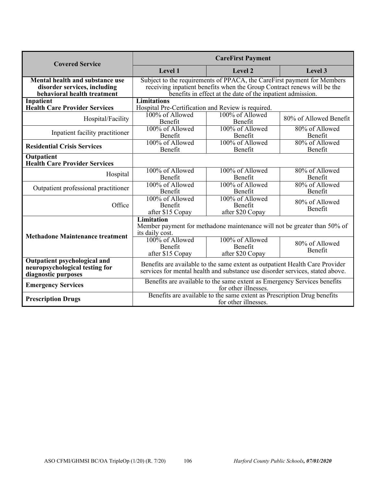| <b>Covered Service</b>                                                                         | <b>CareFirst Payment</b>                                                                                                                                                                                         |                                                                          |                           |
|------------------------------------------------------------------------------------------------|------------------------------------------------------------------------------------------------------------------------------------------------------------------------------------------------------------------|--------------------------------------------------------------------------|---------------------------|
|                                                                                                | Level 1                                                                                                                                                                                                          | Level 2                                                                  | Level 3                   |
| Mental health and substance use<br>disorder services, including<br>behavioral health treatment | Subject to the requirements of PPACA, the CareFirst payment for Members<br>receiving inpatient benefits when the Group Contract renews will be the<br>benefits in effect at the date of the inpatient admission. |                                                                          |                           |
| Inpatient                                                                                      | <b>Limitations</b>                                                                                                                                                                                               |                                                                          |                           |
| <b>Health Care Provider Services</b>                                                           | Hospital Pre-Certification and Review is required.                                                                                                                                                               |                                                                          |                           |
| Hospital/Facility                                                                              | 100% of Allowed<br>Benefit                                                                                                                                                                                       | 100% of Allowed<br>Benefit                                               | 80% of Allowed Benefit    |
| Inpatient facility practitioner                                                                | 100% of Allowed<br>Benefit                                                                                                                                                                                       | 100% of Allowed<br>Benefit                                               | 80% of Allowed<br>Benefit |
| <b>Residential Crisis Services</b>                                                             | 100% of Allowed<br>Benefit                                                                                                                                                                                       | 100% of Allowed<br>Benefit                                               | 80% of Allowed<br>Benefit |
| Outpatient<br><b>Health Care Provider Services</b>                                             |                                                                                                                                                                                                                  |                                                                          |                           |
| Hospital                                                                                       | 100% of Allowed<br>Benefit                                                                                                                                                                                       | 100% of Allowed<br>Benefit                                               | 80% of Allowed<br>Benefit |
| Outpatient professional practitioner                                                           | 100% of Allowed<br>Benefit                                                                                                                                                                                       | 100% of Allowed<br>Benefit                                               | 80% of Allowed<br>Benefit |
| Office                                                                                         | 100% of Allowed<br>Benefit<br>after \$15 Copay                                                                                                                                                                   | 100% of Allowed<br>Benefit<br>after \$20 Copay                           | 80% of Allowed<br>Benefit |
| <b>Methadone Maintenance treatment</b>                                                         | <b>Limitation</b><br>its daily cost.                                                                                                                                                                             | Member payment for methadone maintenance will not be greater than 50% of |                           |
|                                                                                                | 100% of Allowed<br>Benefit<br>after \$15 Copay                                                                                                                                                                   | 100% of Allowed<br>Benefit<br>after \$20 Copay                           | 80% of Allowed<br>Benefit |
| Outpatient psychological and<br>neuropsychological testing for<br>diagnostic purposes          | Benefits are available to the same extent as outpatient Health Care Provider<br>services for mental health and substance use disorder services, stated above.                                                    |                                                                          |                           |
| <b>Emergency Services</b>                                                                      | Benefits are available to the same extent as Emergency Services benefits<br>for other illnesses.                                                                                                                 |                                                                          |                           |
| <b>Prescription Drugs</b>                                                                      | Benefits are available to the same extent as Prescription Drug benefits<br>for other illnesses.                                                                                                                  |                                                                          |                           |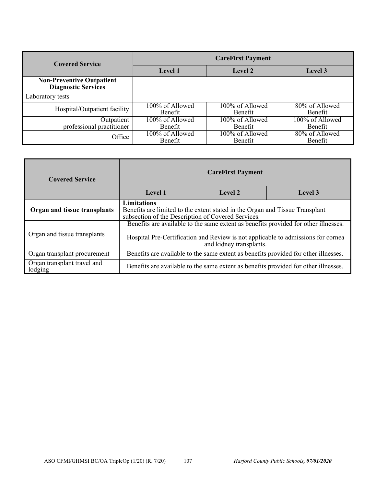| <b>Covered Service</b>                                         | <b>CareFirst Payment</b>   |                                   |                                     |
|----------------------------------------------------------------|----------------------------|-----------------------------------|-------------------------------------|
|                                                                | Level 1                    | Level 2                           | Level 3                             |
| <b>Non-Preventive Outpatient</b><br><b>Diagnostic Services</b> |                            |                                   |                                     |
| Laboratory tests                                               |                            |                                   |                                     |
| Hospital/Outpatient facility                                   | 100% of Allowed<br>Benefit | 100% of Allowed<br>Benefit        | 80% of Allowed<br>Benefit           |
| Outpatient<br>professional practitioner                        | 100% of Allowed<br>Benefit | 100% of Allowed<br><b>Benefit</b> | 100% of Allowed<br>Benefit          |
| Office                                                         | 100% of Allowed<br>Benefit | 100% of Allowed<br>Benefit        | $\sqrt{80\%}$ of Allowed<br>Benefit |

| <b>Covered Service</b>                 |                                                                                                                                                                                                    |  |                                                                                     |  |  |
|----------------------------------------|----------------------------------------------------------------------------------------------------------------------------------------------------------------------------------------------------|--|-------------------------------------------------------------------------------------|--|--|
|                                        | Level 1<br>Level 2<br>Level 3                                                                                                                                                                      |  |                                                                                     |  |  |
| Organ and tissue transplants           | <b>Limitations</b><br>Benefits are limited to the extent stated in the Organ and Tissue Transplant<br>subsection of the Description of Covered Services.                                           |  |                                                                                     |  |  |
| Organ and tissue transplants           | Benefits are available to the same extent as benefits provided for other illnesses.<br>Hospital Pre-Certification and Review is not applicable to admissions for cornea<br>and kidney transplants. |  |                                                                                     |  |  |
| Organ transplant procurement           | Benefits are available to the same extent as benefits provided for other illnesses.                                                                                                                |  |                                                                                     |  |  |
| Organ transplant travel and<br>lodging |                                                                                                                                                                                                    |  | Benefits are available to the same extent as benefits provided for other illnesses. |  |  |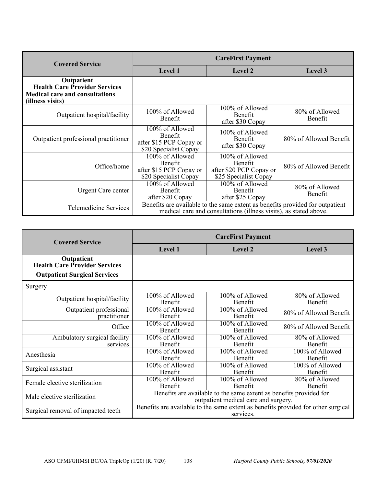| <b>Covered Service</b>                                    | <b>CareFirst Payment</b>                                                                                                                           |                                                                                |                                  |
|-----------------------------------------------------------|----------------------------------------------------------------------------------------------------------------------------------------------------|--------------------------------------------------------------------------------|----------------------------------|
|                                                           | <b>Level 1</b>                                                                                                                                     | Level 2                                                                        | Level 3                          |
| Outpatient<br><b>Health Care Provider Services</b>        |                                                                                                                                                    |                                                                                |                                  |
| <b>Medical care and consultations</b><br>(illness visits) |                                                                                                                                                    |                                                                                |                                  |
| Outpatient hospital/facility                              | 100% of Allowed<br><b>Benefit</b>                                                                                                                  | 100% of Allowed<br>Benefit<br>after \$30 Copay                                 | 80% of Allowed<br><b>Benefit</b> |
| Outpatient professional practitioner                      | 100% of Allowed<br>Benefit<br>after \$15 PCP Copay or<br>\$20 Specialist Copay                                                                     | 100% of Allowed<br>Benefit<br>after \$30 Copay                                 | 80% of Allowed Benefit           |
| Office/home                                               | 100% of Allowed<br>Benefit<br>after \$15 PCP Copay or<br>\$20 Specialist Copay                                                                     | 100% of Allowed<br>Benefit<br>after \$20 PCP Copay or<br>\$25 Specialist Copay | 80% of Allowed Benefit           |
| Urgent Care center                                        | 100% of Allowed<br>Benefit<br>after \$20 Copay                                                                                                     | 100% of Allowed<br><b>Benefit</b><br>after \$25 Copay                          | 80% of Allowed<br><b>Benefit</b> |
| <b>Telemedicine Services</b>                              | Benefits are available to the same extent as benefits provided for outpatient<br>medical care and consultations (illness visits), as stated above. |                                                                                |                                  |

| <b>Covered Service</b>                             | <b>CareFirst Payment</b>                                                                                   |                                                 |                                  |  |
|----------------------------------------------------|------------------------------------------------------------------------------------------------------------|-------------------------------------------------|----------------------------------|--|
|                                                    | Level 1                                                                                                    | <b>Level 2</b>                                  | Level 3                          |  |
| Outpatient<br><b>Health Care Provider Services</b> |                                                                                                            |                                                 |                                  |  |
| <b>Outpatient Surgical Services</b>                |                                                                                                            |                                                 |                                  |  |
| Surgery                                            |                                                                                                            |                                                 |                                  |  |
| Outpatient hospital/facility                       | 100% of Allowed<br><b>Benefit</b>                                                                          | $\overline{100\%}$ of Allowed<br><b>Benefit</b> | 80% of Allowed<br><b>Benefit</b> |  |
| Outpatient professional<br>practitioner            | 100% of Allowed<br>Benefit                                                                                 | 100% of Allowed<br>Benefit                      | 80% of Allowed Benefit           |  |
| Office                                             | 100% of Allowed<br><b>Benefit</b>                                                                          | 100% of Allowed<br><b>Benefit</b>               | 80% of Allowed Benefit           |  |
| Ambulatory surgical facility<br>services           | 100% of Allowed<br>Benefit                                                                                 | 100% of Allowed<br>Benefit                      | 80% of Allowed<br>Benefit        |  |
| Anesthesia                                         | 100% of Allowed<br>Benefit                                                                                 | 100% of Allowed<br><b>Benefit</b>               | 100% of Allowed<br>Benefit       |  |
| Surgical assistant                                 | 100% of Allowed<br>Benefit                                                                                 | 100% of Allowed<br>Benefit                      | 100% of Allowed<br>Benefit       |  |
| Female elective sterilization                      | 100% of Allowed<br>Benefit                                                                                 | 100% of Allowed<br>Benefit                      | 80% of Allowed<br>Benefit        |  |
| Male elective sterilization                        | Benefits are available to the same extent as benefits provided for<br>outpatient medical care and surgery. |                                                 |                                  |  |
| Surgical removal of impacted teeth                 | Benefits are available to the same extent as benefits provided for other surgical<br>services.             |                                                 |                                  |  |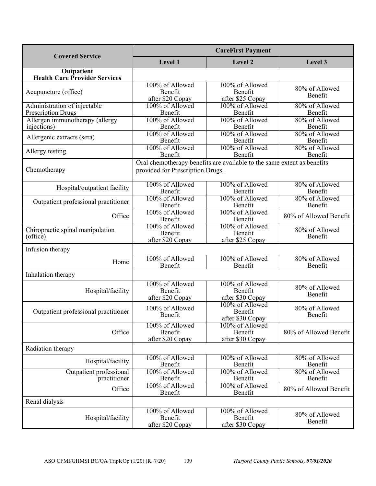|                                                           | <b>CareFirst Payment</b>                       |                                                                         |                                             |
|-----------------------------------------------------------|------------------------------------------------|-------------------------------------------------------------------------|---------------------------------------------|
| <b>Covered Service</b>                                    | Level 1                                        | Level 2                                                                 | Level 3                                     |
| Outpatient<br><b>Health Care Provider Services</b>        |                                                |                                                                         |                                             |
| Acupuncture (office)                                      | 100% of Allowed<br>Benefit<br>after \$20 Copay | 100% of Allowed<br>Benefit<br>after \$25 Copay                          | 80% of Allowed<br>Benefit                   |
| Administration of injectable<br><b>Prescription Drugs</b> | 100% of Allowed<br>Benefit                     | 100% of Allowed<br>Benefit                                              | 80% of Allowed<br>Benefit                   |
| Allergen immunotherapy (allergy<br>injections)            | 100% of Allowed<br>Benefit                     | 100% of Allowed<br>Benefit                                              | 80% of Allowed<br>Benefit                   |
| Allergenic extracts (sera)                                | 100% of Allowed<br>Benefit<br>100% of Allowed  | 100% of Allowed<br>Benefit<br>100% of Allowed                           | 80% of Allowed<br>Benefit<br>80% of Allowed |
| Allergy testing                                           | Benefit                                        | Benefit                                                                 | Benefit                                     |
| Chemotherapy                                              | provided for Prescription Drugs.               | Oral chemotherapy benefits are available to the same extent as benefits |                                             |
| Hospital/outpatient facility                              | 100% of Allowed<br>Benefit                     | 100% of Allowed<br>Benefit                                              | 80% of Allowed<br>Benefit                   |
| Outpatient professional practitioner                      | 100% of Allowed<br>Benefit                     | 100% of Allowed<br>Benefit                                              | 80% of Allowed<br>Benefit                   |
| Office                                                    | 100% of Allowed<br>Benefit                     | 100% of Allowed<br>Benefit                                              | 80% of Allowed Benefit                      |
| Chiropractic spinal manipulation<br>(office)              | 100% of Allowed<br>Benefit<br>after \$20 Copay | 100% of Allowed<br>Benefit<br>after \$25 Copay                          | 80% of Allowed<br>Benefit                   |
| Infusion therapy                                          |                                                |                                                                         |                                             |
| Home                                                      | 100% of Allowed<br>Benefit                     | 100% of Allowed<br>Benefit                                              | 80% of Allowed<br>Benefit                   |
| Inhalation therapy                                        |                                                |                                                                         |                                             |
| Hospital/facility                                         | 100% of Allowed<br>Benefit<br>after \$20 Copay | 100% of Allowed<br>Benefit<br>after \$30 Copay                          | 80% of Allowed<br>Benefit                   |
| Outpatient professional practitioner                      | 100% of Allowed<br>Benefit                     | 100% of Allowed<br>Benefit<br>after \$30 Copay                          | 80% of Allowed<br>Benefit                   |
| Office                                                    | 100% of Allowed<br>Benefit<br>after \$20 Copay | 100% of Allowed<br>Benefit<br>after \$30 Copay                          | 80% of Allowed Benefit                      |
| Radiation therapy                                         |                                                |                                                                         |                                             |
| Hospital/facility                                         | 100% of Allowed<br>Benefit                     | 100% of Allowed<br>Benefit                                              | 80% of Allowed<br>Benefit                   |
| Outpatient professional<br>practitioner                   | 100% of Allowed<br>Benefit                     | 100% of Allowed<br>Benefit                                              | 80% of Allowed<br>Benefit                   |
| Office                                                    | 100% of Allowed<br>Benefit                     | 100% of Allowed<br>Benefit                                              | 80% of Allowed Benefit                      |
| Renal dialysis                                            |                                                |                                                                         |                                             |
| Hospital/facility                                         | 100% of Allowed<br>Benefit<br>after \$20 Copay | 100% of Allowed<br>Benefit<br>after \$30 Copay                          | 80% of Allowed<br>Benefit                   |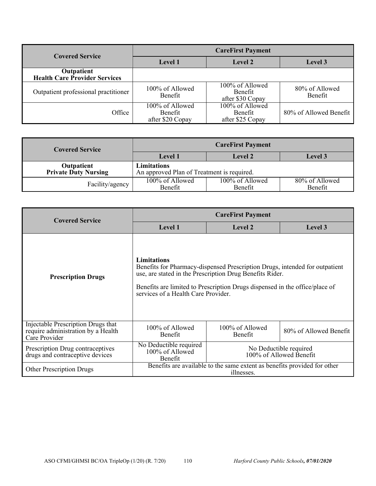| <b>Covered Service</b>                             | <b>CareFirst Payment</b>                       |                                                |                           |
|----------------------------------------------------|------------------------------------------------|------------------------------------------------|---------------------------|
|                                                    | <b>Level 1</b>                                 | Level 2                                        | Level 3                   |
| Outpatient<br><b>Health Care Provider Services</b> |                                                |                                                |                           |
| Outpatient professional practitioner               | 100% of Allowed<br>Benefit                     | 100% of Allowed<br>Benefit<br>after \$30 Copay | 80% of Allowed<br>Benefit |
| Office                                             | 100% of Allowed<br>Benefit<br>after \$20 Copay | 100% of Allowed<br>Benefit<br>after \$25 Copay | 80% of Allowed Benefit    |

| <b>Covered Service</b>      |                                            | <b>CareFirst Payment</b> |                |
|-----------------------------|--------------------------------------------|--------------------------|----------------|
|                             | <b>Level 1</b>                             | Level 2                  | <b>Level 3</b> |
| Outpatient                  | Limitations                                |                          |                |
| <b>Private Duty Nursing</b> | An approved Plan of Treatment is required. |                          |                |
| Facility/agency             | 100% of Allowed                            | 100% of Allowed          | 80% of Allowed |
|                             | <b>Benefit</b>                             | Benefit                  | Benefit        |

| <b>Covered Service</b>                                                                    | <b>CareFirst Payment</b>                                                               |                                                                                                                                                                                                                        |                                                   |
|-------------------------------------------------------------------------------------------|----------------------------------------------------------------------------------------|------------------------------------------------------------------------------------------------------------------------------------------------------------------------------------------------------------------------|---------------------------------------------------|
|                                                                                           | Level 1                                                                                | Level 2                                                                                                                                                                                                                | Level 3                                           |
| <b>Prescription Drugs</b>                                                                 | <b>Limitations</b><br>services of a Health Care Provider.                              | Benefits for Pharmacy-dispensed Prescription Drugs, intended for outpatient<br>use, are stated in the Prescription Drug Benefits Rider.<br>Benefits are limited to Prescription Drugs dispensed in the office/place of |                                                   |
| Injectable Prescription Drugs that<br>require administration by a Health<br>Care Provider | 100% of Allowed<br><b>Benefit</b>                                                      | 100% of Allowed<br>Benefit                                                                                                                                                                                             | 80% of Allowed Benefit                            |
| Prescription Drug contraceptives<br>drugs and contraceptive devices                       | No Deductible required<br>100% of Allowed<br>Benefit                                   |                                                                                                                                                                                                                        | No Deductible required<br>100% of Allowed Benefit |
| <b>Other Prescription Drugs</b>                                                           | Benefits are available to the same extent as benefits provided for other<br>illnesses. |                                                                                                                                                                                                                        |                                                   |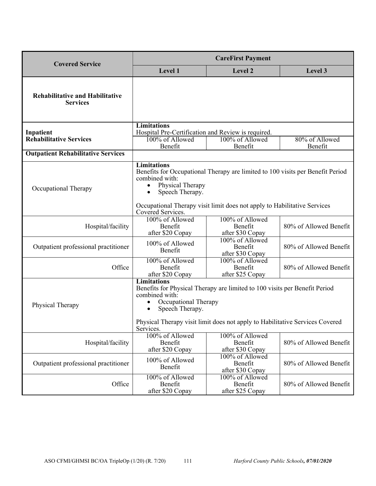| <b>Covered Service</b>                                    | <b>CareFirst Payment</b>                                                                                                                                                                                                                                                |                                                                                                                                                            |                           |
|-----------------------------------------------------------|-------------------------------------------------------------------------------------------------------------------------------------------------------------------------------------------------------------------------------------------------------------------------|------------------------------------------------------------------------------------------------------------------------------------------------------------|---------------------------|
|                                                           | Level 1                                                                                                                                                                                                                                                                 | Level 2                                                                                                                                                    | Level 3                   |
| <b>Rehabilitative and Habilitative</b><br><b>Services</b> |                                                                                                                                                                                                                                                                         |                                                                                                                                                            |                           |
|                                                           | <b>Limitations</b>                                                                                                                                                                                                                                                      |                                                                                                                                                            |                           |
| Inpatient<br><b>Rehabilitative Services</b>               | Hospital Pre-Certification and Review is required.<br>100% of Allowed<br>Benefit                                                                                                                                                                                        | 100% of Allowed<br>Benefit                                                                                                                                 | 80% of Allowed<br>Benefit |
| <b>Outpatient Rehabilitative Services</b>                 |                                                                                                                                                                                                                                                                         |                                                                                                                                                            |                           |
| Occupational Therapy                                      | Limitations<br>combined with:<br>Physical Therapy<br>Speech Therapy.<br>$\bullet$<br>Covered Services.                                                                                                                                                                  | Benefits for Occupational Therapy are limited to 100 visits per Benefit Period<br>Occupational Therapy visit limit does not apply to Habilitative Services |                           |
| Hospital/facility                                         | 100% of Allowed<br>Benefit<br>after \$20 Copay                                                                                                                                                                                                                          | 100% of Allowed<br>Benefit<br>after \$30 Copay                                                                                                             | 80% of Allowed Benefit    |
| Outpatient professional practitioner                      | 100% of Allowed<br>Benefit                                                                                                                                                                                                                                              | 100% of Allowed<br>Benefit<br>after \$30 Copay                                                                                                             | 80% of Allowed Benefit    |
| Office                                                    | 100% of Allowed<br>Benefit<br>after \$20 Copay                                                                                                                                                                                                                          | 100% of Allowed<br>Benefit<br>after \$25 Copay                                                                                                             | 80% of Allowed Benefit    |
| Physical Therapy                                          | <b>Limitations</b><br>Benefits for Physical Therapy are limited to 100 visits per Benefit Period<br>combined with:<br>Occupational Therapy<br>Speech Therapy.<br>$\bullet$<br>Physical Therapy visit limit does not apply to Habilitative Services Covered<br>Services. |                                                                                                                                                            |                           |
| Hospital/facility                                         | 100% of Allowed<br>Benefit<br>after \$20 Copay                                                                                                                                                                                                                          | 100% of Allowed<br>Benefit<br>after \$30 Copay                                                                                                             | 80% of Allowed Benefit    |
| Outpatient professional practitioner                      | 100% of Allowed<br>Benefit                                                                                                                                                                                                                                              | 100% of Allowed<br>Benefit<br>after \$30 Copay                                                                                                             | 80% of Allowed Benefit    |
| Office                                                    | 100% of Allowed<br>Benefit<br>after \$20 Copay                                                                                                                                                                                                                          | 100% of Allowed<br>Benefit<br>after \$25 Copay                                                                                                             | 80% of Allowed Benefit    |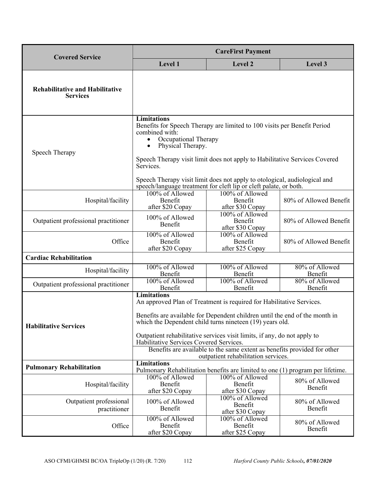| <b>Covered Service</b>                                    | <b>CareFirst Payment</b>                                                                                                                                                                                                                                                                                                                                                                                                                                                        |                                                                                                                                                                                                                                                                                                          |                           |
|-----------------------------------------------------------|---------------------------------------------------------------------------------------------------------------------------------------------------------------------------------------------------------------------------------------------------------------------------------------------------------------------------------------------------------------------------------------------------------------------------------------------------------------------------------|----------------------------------------------------------------------------------------------------------------------------------------------------------------------------------------------------------------------------------------------------------------------------------------------------------|---------------------------|
|                                                           | Level 1                                                                                                                                                                                                                                                                                                                                                                                                                                                                         | Level 2                                                                                                                                                                                                                                                                                                  | Level 3                   |
| <b>Rehabilitative and Habilitative</b><br><b>Services</b> |                                                                                                                                                                                                                                                                                                                                                                                                                                                                                 |                                                                                                                                                                                                                                                                                                          |                           |
| Speech Therapy                                            | <b>Limitations</b><br>combined with:<br>Occupational Therapy<br>Physical Therapy.<br>$\bullet$<br>Services.                                                                                                                                                                                                                                                                                                                                                                     | Benefits for Speech Therapy are limited to 100 visits per Benefit Period<br>Speech Therapy visit limit does not apply to Habilitative Services Covered<br>Speech Therapy visit limit does not apply to otological, audiological and<br>speech/language treatment for cleft lip or cleft palate, or both. |                           |
| Hospital/facility                                         | 100% of Allowed<br>Benefit<br>after \$20 Copay                                                                                                                                                                                                                                                                                                                                                                                                                                  | 100% of Allowed<br>Benefit<br>after \$30 Copay                                                                                                                                                                                                                                                           | 80% of Allowed Benefit    |
| Outpatient professional practitioner                      | 100% of Allowed<br>Benefit                                                                                                                                                                                                                                                                                                                                                                                                                                                      | 100% of Allowed<br>Benefit<br>after \$30 Copay                                                                                                                                                                                                                                                           | 80% of Allowed Benefit    |
| Office                                                    | 100% of Allowed<br>Benefit<br>after \$20 Copay                                                                                                                                                                                                                                                                                                                                                                                                                                  | 100% of Allowed<br>Benefit<br>after \$25 Copay                                                                                                                                                                                                                                                           | 80% of Allowed Benefit    |
| <b>Cardiac Rehabilitation</b>                             |                                                                                                                                                                                                                                                                                                                                                                                                                                                                                 |                                                                                                                                                                                                                                                                                                          |                           |
| Hospital/facility                                         | 100% of Allowed<br>Benefit                                                                                                                                                                                                                                                                                                                                                                                                                                                      | 100% of Allowed<br>Benefit                                                                                                                                                                                                                                                                               | 80% of Allowed<br>Benefit |
| Outpatient professional practitioner                      | 100% of Allowed<br>Benefit                                                                                                                                                                                                                                                                                                                                                                                                                                                      | 100% of Allowed<br>Benefit                                                                                                                                                                                                                                                                               | 80% of Allowed<br>Benefit |
| <b>Habilitative Services</b>                              | <b>Limitations</b><br>An approved Plan of Treatment is required for Habilitative Services.<br>Benefits are available for Dependent children until the end of the month in<br>which the Dependent child turns nineteen (19) years old.<br>Outpatient rehabilitative services visit limits, if any, do not apply to<br>Habilitative Services Covered Services.<br>Benefits are available to the same extent as benefits provided for other<br>outpatient rehabilitation services. |                                                                                                                                                                                                                                                                                                          |                           |
| <b>Pulmonary Rehabilitation</b>                           | <b>Limitations</b><br>Pulmonary Rehabilitation benefits are limited to one (1) program per lifetime.                                                                                                                                                                                                                                                                                                                                                                            |                                                                                                                                                                                                                                                                                                          |                           |
| Hospital/facility                                         | 100% of Allowed<br>Benefit<br>after \$20 Copay                                                                                                                                                                                                                                                                                                                                                                                                                                  | 100% of Allowed<br>Benefit<br>after \$30 Copay                                                                                                                                                                                                                                                           | 80% of Allowed<br>Benefit |
| Outpatient professional<br>practitioner                   | 100% of Allowed<br>Benefit                                                                                                                                                                                                                                                                                                                                                                                                                                                      | 100% of Allowed<br>Benefit<br>after \$30 Copay                                                                                                                                                                                                                                                           | 80% of Allowed<br>Benefit |
| Office                                                    | 100% of Allowed<br>Benefit<br>after \$20 Copay                                                                                                                                                                                                                                                                                                                                                                                                                                  | 100% of Allowed<br>Benefit<br>after \$25 Copay                                                                                                                                                                                                                                                           | 80% of Allowed<br>Benefit |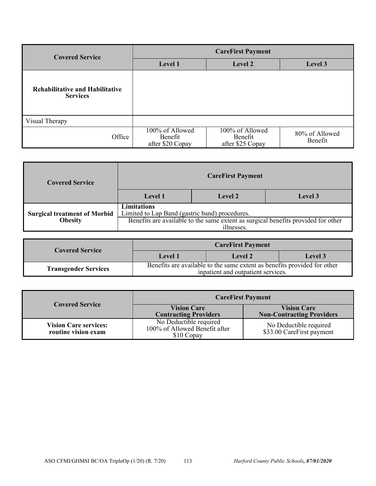| <b>Covered Service</b>                                    | <b>CareFirst Payment</b>                       |                                                |                           |
|-----------------------------------------------------------|------------------------------------------------|------------------------------------------------|---------------------------|
|                                                           | Level 1                                        | Level 2                                        | Level 3                   |
| <b>Rehabilitative and Habilitative</b><br><b>Services</b> |                                                |                                                |                           |
| Visual Therapy                                            |                                                |                                                |                           |
| Office                                                    | 100% of Allowed<br>Benefit<br>after \$20 Copay | 100% of Allowed<br>Benefit<br>after \$25 Copay | 80% of Allowed<br>Benefit |

| <b>Covered Service</b>              | <b>CareFirst Payment</b>                                                                        |                |         |
|-------------------------------------|-------------------------------------------------------------------------------------------------|----------------|---------|
|                                     | Level 1                                                                                         | <b>Level 2</b> | Level 3 |
| <b>Surgical treatment of Morbid</b> | <b>Limitations</b><br>Limited to Lap Band (gastric band) procedures.                            |                |         |
| <b>Obesity</b>                      | Benefits are available to the same extent as surgical benefits provided for other<br>illnesses. |                |         |

| <b>Covered Service</b>      |         | <b>CareFirst Payment</b>                                                                                       |                |
|-----------------------------|---------|----------------------------------------------------------------------------------------------------------------|----------------|
|                             | Level 1 | Level 2                                                                                                        | <b>Level</b> 3 |
| <b>Transgender Services</b> |         | Benefits are available to the same extent as benefits provided for other<br>inpatient and outpatient services. |                |

| <b>Covered Service</b>                              | <b>CareFirst Payment</b>                                              |                                                        |
|-----------------------------------------------------|-----------------------------------------------------------------------|--------------------------------------------------------|
|                                                     | <b>Vision Care</b><br><b>Contracting Providers</b>                    | <b>Vision Care</b><br><b>Non-Contracting Providers</b> |
| <b>Vision Care services:</b><br>routine vision exam | No Deductible required<br>100% of Allowed Benefit after<br>\$10 Copay | No Deductible required<br>\$33.00 CareFirst payment    |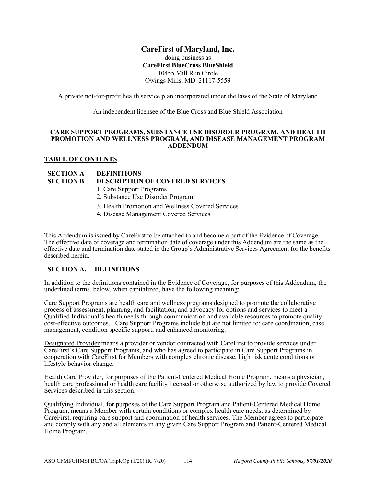# **CareFirst of Maryland, Inc.**

doing business as **CareFirst BlueCross BlueShield**  10455 Mill Run Circle Owings Mills, MD 21117-5559

A private not-for-profit health service plan incorporated under the laws of the State of Maryland

An independent licensee of the Blue Cross and Blue Shield Association

#### **CARE SUPPORT PROGRAMS, SUBSTANCE USE DISORDER PROGRAM, AND HEALTH PROMOTION AND WELLNESS PROGRAM, AND DISEASE MANAGEMENT PROGRAM ADDENDUM**

#### **TABLE OF CONTENTS**

# **SECTION A DEFINITIONS SECTION B DESCRIPTION OF COVERED SERVICES**

- 1. Care Support Programs
- 2. Substance Use Disorder Program
- 3. Health Promotion and Wellness Covered Services
- 4. Disease Management Covered Services

This Addendum is issued by CareFirst to be attached to and become a part of the Evidence of Coverage. The effective date of coverage and termination date of coverage under this Addendum are the same as the effective date and termination date stated in the Group's Administrative Services Agreement for the benefits described herein.

#### **SECTION A. DEFINITIONS**

In addition to the definitions contained in the Evidence of Coverage, for purposes of this Addendum, the underlined terms, below, when capitalized, have the following meaning:

Care Support Programs are health care and wellness programs designed to promote the collaborative process of assessment, planning, and facilitation, and advocacy for options and services to meet a Qualified Individual's health needs through communication and available resources to promote quality cost-effective outcomes. Care Support Programs include but are not limited to; care coordination, case management, condition specific support, and enhanced monitoring.

Designated Provider means a provider or vendor contracted with CareFirst to provide services under CareFirst's Care Support Programs, and who has agreed to participate in Care Support Programs in cooperation with CareFirst for Members with complex chronic disease, high risk acute conditions or lifestyle behavior change.

Health Care Provider, for purposes of the Patient-Centered Medical Home Program, means a physician, health care professional or health care facility licensed or otherwise authorized by law to provide Covered Services described in this section.

Qualifying Individual, for purposes of the Care Support Program and Patient-Centered Medical Home Program, means a Member with certain conditions or complex health care needs, as determined by CareFirst, requiring care support and coordination of health services. The Member agrees to participate and comply with any and all elements in any given Care Support Program and Patient-Centered Medical Home Program.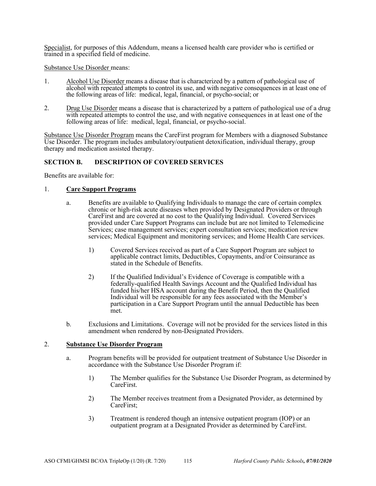Specialist, for purposes of this Addendum, means a licensed health care provider who is certified or trained in a specified field of medicine.

Substance Use Disorder means:

- 1. Alcohol Use Disorder means a disease that is characterized by a pattern of pathological use of alcohol with repeated attempts to control its use, and with negative consequences in at least one of the following areas of life: medical, legal, financial, or psycho-social; or
- 2. Drug Use Disorder means a disease that is characterized by a pattern of pathological use of a drug with repeated attempts to control the use, and with negative consequences in at least one of the following areas of life: medical, legal, financial, or psycho-social.

Substance Use Disorder Program means the CareFirst program for Members with a diagnosed Substance Use Disorder. The program includes ambulatory/outpatient detoxification, individual therapy, group therapy and medication assisted therapy.

#### **SECTION B. DESCRIPTION OF COVERED SERVICES**

Benefits are available for:

### 1. **Care Support Programs**

- a. Benefits are available to Qualifying Individuals to manage the care of certain complex chronic or high-risk acute diseases when provided by Designated Providers or through CareFirst and are covered at no cost to the Qualifying Individual. Covered Services provided under Care Support Programs can include but are not limited to Telemedicine Services; case management services; expert consultation services; medication review services; Medical Equipment and monitoring services; and Home Health Care services.
	- 1) Covered Services received as part of a Care Support Program are subject to applicable contract limits, Deductibles, Copayments, and/or Coinsurance as stated in the Schedule of Benefits.
	- 2) If the Qualified Individual's Evidence of Coverage is compatible with a federally-qualified Health Savings Account and the Qualified Individual has funded his/her HSA account during the Benefit Period, then the Qualified Individual will be responsible for any fees associated with the Member's participation in a Care Support Program until the annual Deductible has been met.
- b. Exclusions and Limitations. Coverage will not be provided for the services listed in this amendment when rendered by non-Designated Providers.

#### 2. **Substance Use Disorder Program**

- a. Program benefits will be provided for outpatient treatment of Substance Use Disorder in accordance with the Substance Use Disorder Program if:
	- 1) The Member qualifies for the Substance Use Disorder Program, as determined by CareFirst.
	- 2) The Member receives treatment from a Designated Provider, as determined by CareFirst;
	- 3) Treatment is rendered though an intensive outpatient program (IOP) or an outpatient program at a Designated Provider as determined by CareFirst.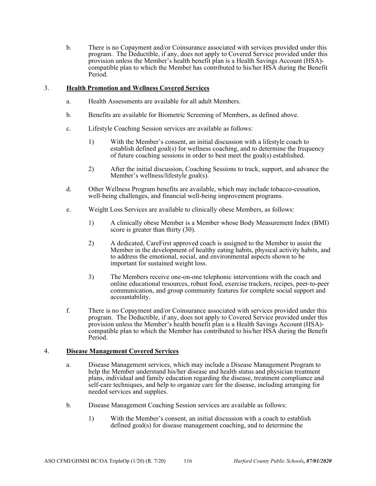b. There is no Copayment and/or Coinsurance associated with services provided under this program. The Deductible, if any, does not apply to Covered Service provided under this provision unless the Member's health benefit plan is a Health Savings Account (HSA) compatible plan to which the Member has contributed to his/her HSA during the Benefit Period.

### 3. **Health Promotion and Wellness Covered Services**

- a. Health Assessments are available for all adult Members.
- b. Benefits are available for Biometric Screening of Members, as defined above.
- c. Lifestyle Coaching Session services are available as follows:
	- 1) With the Member's consent, an initial discussion with a lifestyle coach to establish defined goal(s) for wellness coaching, and to determine the frequency of future coaching sessions in order to best meet the goal(s) established.
	- 2) After the initial discussion, Coaching Sessions to track, support, and advance the Member's wellness/lifestyle goal(s).
- d. Other Wellness Program benefits are available, which may include tobacco-cessation, well-being challenges, and financial well-being improvement programs.
- e. Weight Loss Services are available to clinically obese Members, as follows:
	- 1) A clinically obese Member is a Member whose Body Measurement Index (BMI) score is greater than thirty  $(30)$ .
	- 2) A dedicated, CareFirst approved coach is assigned to the Member to assist the Member in the development of healthy eating habits, physical activity habits, and to address the emotional, social, and environmental aspects shown to be important for sustained weight loss.
	- 3) The Members receive one-on-one telephonic interventions with the coach and online educational resources, robust food, exercise trackers, recipes, peer-to-peer communication, and group community features for complete social support and accountability.
- f. There is no Copayment and/or Coinsurance associated with services provided under this program. The Deductible, if any, does not apply to Covered Service provided under this provision unless the Member's health benefit plan is a Health Savings Account (HSA) compatible plan to which the Member has contributed to his/her HSA during the Benefit Period.

#### 4. **Disease Management Covered Services**

- a. Disease Management services, which may include a Disease Management Program to help the Member understand his/her disease and health status and physician treatment plans, individual and family education regarding the disease, treatment compliance and self-care techniques, and help to organize care for the disease, including arranging for needed services and supplies.
- b. Disease Management Coaching Session services are available as follows:
	- 1) With the Member's consent, an initial discussion with a coach to establish defined goal(s) for disease management coaching, and to determine the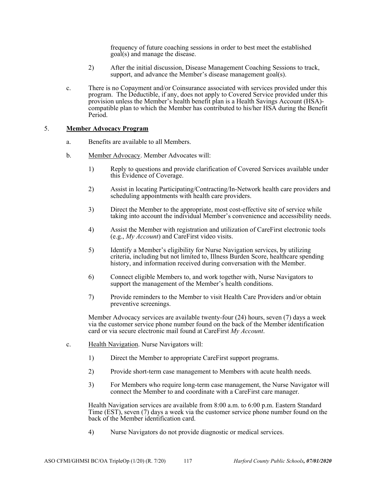frequency of future coaching sessions in order to best meet the established goal(s) and manage the disease.

- 2) After the initial discussion, Disease Management Coaching Sessions to track, support, and advance the Member's disease management goal(s).
- c. There is no Copayment and/or Coinsurance associated with services provided under this program. The Deductible, if any, does not apply to Covered Service provided under this provision unless the Member's health benefit plan is a Health Savings Account (HSA) compatible plan to which the Member has contributed to his/her HSA during the Benefit Period.

#### 5. **Member Advocacy Program**

- a. Benefits are available to all Members.
- b. Member Advocacy. Member Advocates will:
	- 1) Reply to questions and provide clarification of Covered Services available under this Evidence of Coverage.
	- 2) Assist in locating Participating/Contracting/In-Network health care providers and scheduling appointments with health care providers.
	- 3) Direct the Member to the appropriate, most cost-effective site of service while taking into account the individual Member's convenience and accessibility needs.
	- 4) Assist the Member with registration and utilization of CareFirst electronic tools (e.g., *My Account*) and CareFirst video visits.
	- 5) Identify a Member's eligibility for Nurse Navigation services, by utilizing criteria, including but not limited to, Illness Burden Score, healthcare spending history, and information received during conversation with the Member.
	- 6) Connect eligible Members to, and work together with, Nurse Navigators to support the management of the Member's health conditions.
	- 7) Provide reminders to the Member to visit Health Care Providers and/or obtain preventive screenings.

Member Advocacy services are available twenty-four (24) hours, seven (7) days a week via the customer service phone number found on the back of the Member identification card or via secure electronic mail found at CareFirst *My Account*.

- c. Health Navigation. Nurse Navigators will:
	- 1) Direct the Member to appropriate CareFirst support programs.
	- 2) Provide short-term case management to Members with acute health needs.
	- 3) For Members who require long-term case management, the Nurse Navigator will connect the Member to and coordinate with a CareFirst care manager.

Health Navigation services are available from 8:00 a.m. to 6:00 p.m. Eastern Standard Time (EST), seven (7) days a week via the customer service phone number found on the back of the Member identification card.

4) Nurse Navigators do not provide diagnostic or medical services.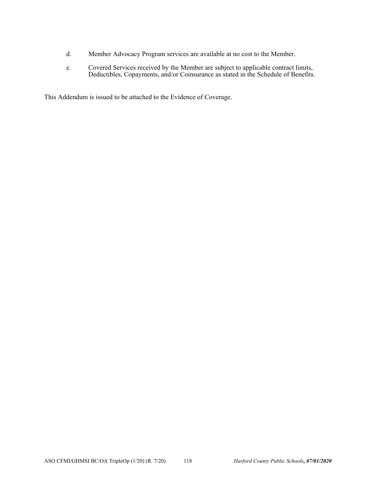- d. Member Advocacy Program services are available at no cost to the Member.
- e. Covered Services received by the Member are subject to applicable contract limits, Deductibles, Copayments, and/or Coinsurance as stated in the Schedule of Benefits.

This Addendum is issued to be attached to the Evidence of Coverage.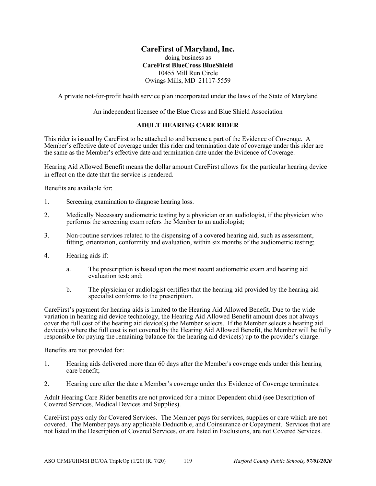# **CareFirst of Maryland, Inc.**

#### doing business as **CareFirst BlueCross BlueShield**  10455 Mill Run Circle Owings Mills, MD 21117-5559

A private not-for-profit health service plan incorporated under the laws of the State of Maryland

An independent licensee of the Blue Cross and Blue Shield Association

#### **ADULT HEARING CARE RIDER**

This rider is issued by CareFirst to be attached to and become a part of the Evidence of Coverage. A Member's effective date of coverage under this rider and termination date of coverage under this rider are the same as the Member's effective date and termination date under the Evidence of Coverage.

Hearing Aid Allowed Benefit means the dollar amount CareFirst allows for the particular hearing device in effect on the date that the service is rendered.

Benefits are available for:

- 1. Screening examination to diagnose hearing loss.
- 2. Medically Necessary audiometric testing by a physician or an audiologist, if the physician who performs the screening exam refers the Member to an audiologist;
- 3. Non-routine services related to the dispensing of a covered hearing aid, such as assessment, fitting, orientation, conformity and evaluation, within six months of the audiometric testing;
- 4. Hearing aids if:
	- a. The prescription is based upon the most recent audiometric exam and hearing aid evaluation test; and;
	- b. The physician or audiologist certifies that the hearing aid provided by the hearing aid specialist conforms to the prescription.

CareFirst's payment for hearing aids is limited to the Hearing Aid Allowed Benefit. Due to the wide variation in hearing aid device technology, the Hearing Aid Allowed Benefit amount does not always cover the full cost of the hearing aid device(s) the Member selects. If the Member selects a hearing aid device(s) where the full cost is not covered by the Hearing Aid Allowed Benefit, the Member will be fully responsible for paying the remaining balance for the hearing aid device(s) up to the provider's charge.

Benefits are not provided for:

- 1. Hearing aids delivered more than 60 days after the Member's coverage ends under this hearing care benefit;
- 2. Hearing care after the date a Member's coverage under this Evidence of Coverage terminates.

Adult Hearing Care Rider benefits are not provided for a minor Dependent child (see Description of Covered Services, Medical Devices and Supplies).

CareFirst pays only for Covered Services. The Member pays for services, supplies or care which are not covered. The Member pays any applicable Deductible, and Coinsurance or Copayment. Services that are not listed in the Description of Covered Services, or are listed in Exclusions, are not Covered Services.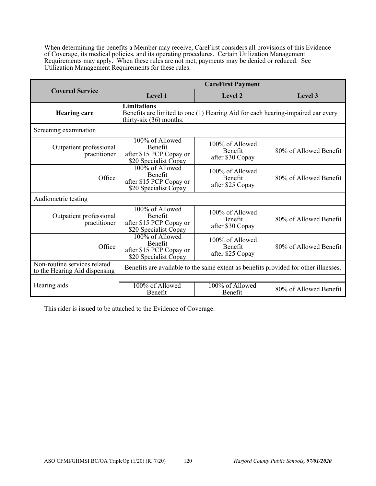When determining the benefits a Member may receive, CareFirst considers all provisions of this Evidence of Coverage, its medical policies, and its operating procedures. Certain Utilization Management Requirements may apply. When these rules are not met, payments may be denied or reduced. See Utilization Management Requirements for these rules.

|                                                               | <b>CareFirst Payment</b>                                                              |                                                                                     |                        |
|---------------------------------------------------------------|---------------------------------------------------------------------------------------|-------------------------------------------------------------------------------------|------------------------|
| <b>Covered Service</b>                                        | Level 1                                                                               | Level 2                                                                             | Level 3                |
| <b>Hearing care</b>                                           | <b>Limitations</b><br>thirty-six $(36)$ months.                                       | Benefits are limited to one (1) Hearing Aid for each hearing-impaired ear every     |                        |
| Screening examination                                         |                                                                                       |                                                                                     |                        |
| Outpatient professional<br>practitioner                       | 100% of Allowed<br><b>Benefit</b><br>after \$15 PCP Copay or<br>\$20 Specialist Copay | 100% of Allowed<br>Benefit<br>after \$30 Copay                                      | 80% of Allowed Benefit |
| Office                                                        | 100% of Allowed<br>Benefit<br>after \$15 PCP Copay or<br>\$20 Specialist Copay        | 100% of Allowed<br><b>Benefit</b><br>after \$25 Copay                               | 80% of Allowed Benefit |
| Audiometric testing                                           |                                                                                       |                                                                                     |                        |
| Outpatient professional<br>practitioner                       | 100% of Allowed<br>Benefit<br>after \$15 PCP Copay or<br>\$20 Specialist Copay        | 100% of Allowed<br>Benefit<br>after \$30 Copay                                      | 80% of Allowed Benefit |
| Office                                                        | 100% of Allowed<br><b>Benefit</b><br>after \$15 PCP Copay or<br>\$20 Specialist Copay | 100% of Allowed<br>Benefit<br>after \$25 Copay                                      | 80% of Allowed Benefit |
| Non-routine services related<br>to the Hearing Aid dispensing |                                                                                       | Benefits are available to the same extent as benefits provided for other illnesses. |                        |
|                                                               |                                                                                       |                                                                                     |                        |
| Hearing aids                                                  | 100% of Allowed<br>Benefit                                                            | 100% of Allowed<br>Benefit                                                          | 80% of Allowed Benefit |

This rider is issued to be attached to the Evidence of Coverage.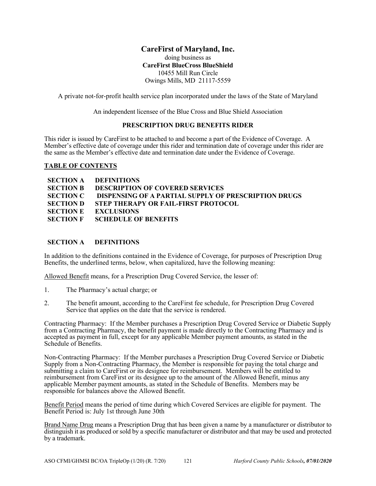# **CareFirst of Maryland, Inc.**

doing business as **CareFirst BlueCross BlueShield**  10455 Mill Run Circle Owings Mills, MD 21117-5559

A private not-for-profit health service plan incorporated under the laws of the State of Maryland

An independent licensee of the Blue Cross and Blue Shield Association

#### **PRESCRIPTION DRUG BENEFITS RIDER**

This rider is issued by CareFirst to be attached to and become a part of the Evidence of Coverage. A Member's effective date of coverage under this rider and termination date of coverage under this rider are the same as the Member's effective date and termination date under the Evidence of Coverage.

#### **TABLE OF CONTENTS**

|                  | <b>SECTION A DEFINITIONS</b>                         |
|------------------|------------------------------------------------------|
| <b>SECTION B</b> | DESCRIPTION OF COVERED SERVICES                      |
| <b>SECTION C</b> | DISPENSING OF A PARTIAL SUPPLY OF PRESCRIPTION DRUGS |
|                  | <b>SECTION D STEP THERAPY OR FAIL-FIRST PROTOCOL</b> |
|                  | <b>SECTION E EXCLUSIONS</b>                          |
|                  | <b>SECTION F SCHEDULE OF BENEFITS</b>                |

#### **SECTION A DEFINITIONS**

In addition to the definitions contained in the Evidence of Coverage, for purposes of Prescription Drug Benefits, the underlined terms, below, when capitalized, have the following meaning:

Allowed Benefit means, for a Prescription Drug Covered Service, the lesser of:

- 1. The Pharmacy's actual charge; or
- 2. The benefit amount, according to the CareFirst fee schedule, for Prescription Drug Covered Service that applies on the date that the service is rendered.

Contracting Pharmacy: If the Member purchases a Prescription Drug Covered Service or Diabetic Supply from a Contracting Pharmacy, the benefit payment is made directly to the Contracting Pharmacy and is accepted as payment in full, except for any applicable Member payment amounts, as stated in the Schedule of Benefits.

Non-Contracting Pharmacy: If the Member purchases a Prescription Drug Covered Service or Diabetic Supply from a Non-Contracting Pharmacy, the Member is responsible for paying the total charge and submitting a claim to CareFirst or its designee for reimbursement. Members will be entitled to reimbursement from CareFirst or its designee up to the amount of the Allowed Benefit, minus any applicable Member payment amounts, as stated in the Schedule of Benefits. Members may be responsible for balances above the Allowed Benefit.

Benefit Period means the period of time during which Covered Services are eligible for payment. The Benefit Period is: July 1st through June 30th

Brand Name Drug means a Prescription Drug that has been given a name by a manufacturer or distributor to distinguish it as produced or sold by a specific manufacturer or distributor and that may be used and protected by a trademark.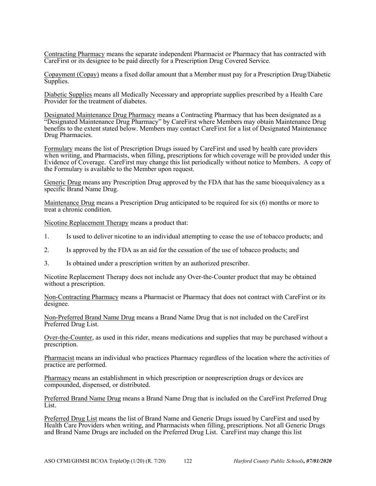Contracting Pharmacy means the separate independent Pharmacist or Pharmacy that has contracted with CareFirst or its designee to be paid directly for a Prescription Drug Covered Service.

Copayment (Copay) means a fixed dollar amount that a Member must pay for a Prescription Drug/Diabetic Supplies.

Diabetic Supplies means all Medically Necessary and appropriate supplies prescribed by a Health Care Provider for the treatment of diabetes.

Designated Maintenance Drug Pharmacy means a Contracting Pharmacy that has been designated as a "Designated Maintenance Drug Pharmacy" by CareFirst where Members may obtain Maintenance Drug benefits to the extent stated below. Members may contact CareFirst for a list of Designated Maintenance Drug Pharmacies.

Formulary means the list of Prescription Drugs issued by CareFirst and used by health care providers when writing, and Pharmacists, when filling, prescriptions for which coverage will be provided under this Evidence of Coverage. CareFirst may change this list periodically without notice to Members. A copy of the Formulary is available to the Member upon request.

Generic Drug means any Prescription Drug approved by the FDA that has the same bioequivalency as a specific Brand Name Drug.

Maintenance Drug means a Prescription Drug anticipated to be required for six (6) months or more to treat a chronic condition.

Nicotine Replacement Therapy means a product that:

- 1. Is used to deliver nicotine to an individual attempting to cease the use of tobacco products; and
- 2. Is approved by the FDA as an aid for the cessation of the use of tobacco products; and
- 3. Is obtained under a prescription written by an authorized prescriber.

Nicotine Replacement Therapy does not include any Over-the-Counter product that may be obtained without a prescription.

Non-Contracting Pharmacy means a Pharmacist or Pharmacy that does not contract with CareFirst or its designee.

Non-Preferred Brand Name Drug means a Brand Name Drug that is not included on the CareFirst Preferred Drug List.

Over-the-Counter, as used in this rider, means medications and supplies that may be purchased without a prescription.

Pharmacist means an individual who practices Pharmacy regardless of the location where the activities of practice are performed.

Pharmacy means an establishment in which prescription or nonprescription drugs or devices are compounded, dispensed, or distributed.

Preferred Brand Name Drug means a Brand Name Drug that is included on the CareFirst Preferred Drug List.

Preferred Drug List means the list of Brand Name and Generic Drugs issued by CareFirst and used by Health Care Providers when writing, and Pharmacists when filling, prescriptions. Not all Generic Drugs and Brand Name Drugs are included on the Preferred Drug List. CareFirst may change this list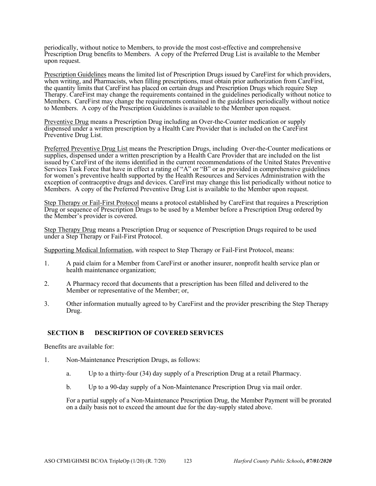periodically, without notice to Members, to provide the most cost-effective and comprehensive Prescription Drug benefits to Members. A copy of the Preferred Drug List is available to the Member upon request.

Prescription Guidelines means the limited list of Prescription Drugs issued by CareFirst for which providers, when writing, and Pharmacists, when filling prescriptions, must obtain prior authorization from CareFirst, the quantity limits that CareFirst has placed on certain drugs and Prescription Drugs which require Step Therapy. CareFirst may change the requirements contained in the guidelines periodically without notice to Members. CareFirst may change the requirements contained in the guidelines periodically without notice to Members. A copy of the Prescription Guidelines is available to the Member upon request.

Preventive Drug means a Prescription Drug including an Over-the-Counter medication or supply dispensed under a written prescription by a Health Care Provider that is included on the CareFirst Preventive Drug List.

Preferred Preventive Drug List means the Prescription Drugs, including Over-the-Counter medications or supplies, dispensed under a written prescription by a Health Care Provider that are included on the list issued by CareFirst of the items identified in the current recommendations of the United States Preventive Services Task Force that have in effect a rating of "A" or "B" or as provided in comprehensive guidelines for women's preventive health supported by the Health Resources and Services Administration with the exception of contraceptive drugs and devices. CareFirst may change this list periodically without notice to Members. A copy of the Preferred Preventive Drug List is available to the Member upon request.

Step Therapy or Fail-First Protocol means a protocol established by CareFirst that requires a Prescription Drug or sequence of Prescription Drugs to be used by a Member before a Prescription Drug ordered by the Member's provider is covered.

Step Therapy Drug means a Prescription Drug or sequence of Prescription Drugs required to be used under a Step Therapy or Fail-First Protocol.

Supporting Medical Information, with respect to Step Therapy or Fail-First Protocol, means:

- 1. A paid claim for a Member from CareFirst or another insurer, nonprofit health service plan or health maintenance organization;
- 2. A Pharmacy record that documents that a prescription has been filled and delivered to the Member or representative of the Member; or,
- 3. Other information mutually agreed to by CareFirst and the provider prescribing the Step Therapy Drug.

#### **SECTION B DESCRIPTION OF COVERED SERVICES**

Benefits are available for:

- 1. Non-Maintenance Prescription Drugs, as follows:
	- a. Up to a thirty-four (34) day supply of a Prescription Drug at a retail Pharmacy.
	- b. Up to a 90-day supply of a Non-Maintenance Prescription Drug via mail order.

For a partial supply of a Non-Maintenance Prescription Drug, the Member Payment will be prorated on a daily basis not to exceed the amount due for the day-supply stated above.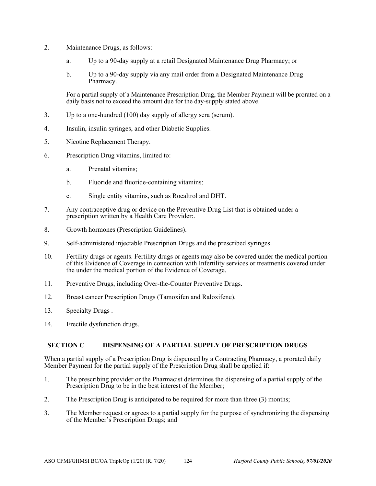- 2. Maintenance Drugs, as follows:
	- a. Up to a 90-day supply at a retail Designated Maintenance Drug Pharmacy; or
	- b. Up to a 90-day supply via any mail order from a Designated Maintenance Drug Pharmacy.

For a partial supply of a Maintenance Prescription Drug, the Member Payment will be prorated on a daily basis not to exceed the amount due for the day-supply stated above.

- 3. Up to a one-hundred (100) day supply of allergy sera (serum).
- 4. Insulin, insulin syringes, and other Diabetic Supplies.
- 5. Nicotine Replacement Therapy.
- 6. Prescription Drug vitamins, limited to:
	- a. Prenatal vitamins;
	- b. Fluoride and fluoride-containing vitamins;
	- c. Single entity vitamins, such as Rocaltrol and DHT.
- 7. Any contraceptive drug or device on the Preventive Drug List that is obtained under a prescription written by a Health Care Provider:.
- 8. Growth hormones (Prescription Guidelines).
- 9. Self-administered injectable Prescription Drugs and the prescribed syringes.
- 10. Fertility drugs or agents. Fertility drugs or agents may also be covered under the medical portion of this Evidence of Coverage in connection with Infertility services or treatments covered under the under the medical portion of the Evidence of Coverage.
- 11. Preventive Drugs, including Over-the-Counter Preventive Drugs.
- 12. Breast cancer Prescription Drugs (Tamoxifen and Raloxifene).
- 13. Specialty Drugs .
- 14. Erectile dysfunction drugs.

#### **SECTION C DISPENSING OF A PARTIAL SUPPLY OF PRESCRIPTION DRUGS**

When a partial supply of a Prescription Drug is dispensed by a Contracting Pharmacy, a prorated daily Member Payment for the partial supply of the Prescription Drug shall be applied if:

- 1. The prescribing provider or the Pharmacist determines the dispensing of a partial supply of the Prescription Drug to be in the best interest of the Member;
- 2. The Prescription Drug is anticipated to be required for more than three (3) months;
- 3. The Member request or agrees to a partial supply for the purpose of synchronizing the dispensing of the Member's Prescription Drugs; and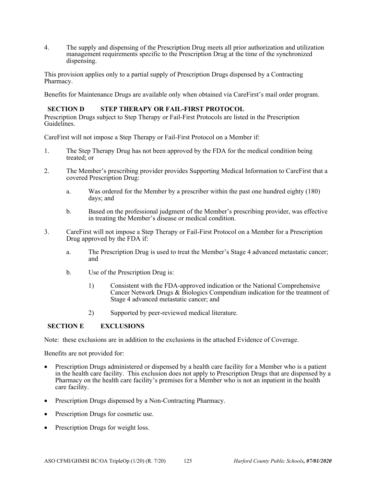4. The supply and dispensing of the Prescription Drug meets all prior authorization and utilization management requirements specific to the Prescription Drug at the time of the synchronized dispensing.

This provision applies only to a partial supply of Prescription Drugs dispensed by a Contracting Pharmacy.

Benefits for Maintenance Drugs are available only when obtained via CareFirst's mail order program.

#### **SECTION D STEP THERAPY OR FAIL-FIRST PROTOCOL**

Prescription Drugs subject to Step Therapy or Fail-First Protocols are listed in the Prescription Guidelines.

CareFirst will not impose a Step Therapy or Fail-First Protocol on a Member if:

- 1. The Step Therapy Drug has not been approved by the FDA for the medical condition being treated; or
- 2. The Member's prescribing provider provides Supporting Medical Information to CareFirst that a covered Prescription Drug:
	- a. Was ordered for the Member by a prescriber within the past one hundred eighty (180) days; and
	- b. Based on the professional judgment of the Member's prescribing provider, was effective in treating the Member's disease or medical condition.
- 3. CareFirst will not impose a Step Therapy or Fail-First Protocol on a Member for a Prescription Drug approved by the FDA if:
	- a. The Prescription Drug is used to treat the Member's Stage 4 advanced metastatic cancer; and
	- b. Use of the Prescription Drug is:
		- 1) Consistent with the FDA-approved indication or the National Comprehensive Cancer Network Drugs & Biologics Compendium indication for the treatment of Stage 4 advanced metastatic cancer; and
		- 2) Supported by peer-reviewed medical literature.

#### **SECTION E EXCLUSIONS**

Note: these exclusions are in addition to the exclusions in the attached Evidence of Coverage.

Benefits are not provided for:

- Prescription Drugs administered or dispensed by a health care facility for a Member who is a patient in the health care facility. This exclusion does not apply to Prescription Drugs that are dispensed by a Pharmacy on the health care facility's premises for a Member who is not an inpatient in the health care facility.
- Prescription Drugs dispensed by a Non-Contracting Pharmacy.
- Prescription Drugs for cosmetic use.
- Prescription Drugs for weight loss.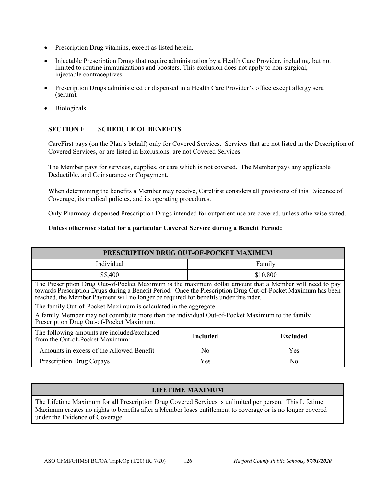- Prescription Drug vitamins, except as listed herein.
- Injectable Prescription Drugs that require administration by a Health Care Provider, including, but not limited to routine immunizations and boosters. This exclusion does not apply to non-surgical, injectable contraceptives.
- Prescription Drugs administered or dispensed in a Health Care Provider's office except allergy sera (serum).
- Biologicals.

## **SECTION F SCHEDULE OF BENEFITS**

CareFirst pays (on the Plan's behalf) only for Covered Services. Services that are not listed in the Description of Covered Services, or are listed in Exclusions, are not Covered Services.

The Member pays for services, supplies, or care which is not covered. The Member pays any applicable Deductible, and Coinsurance or Copayment.

When determining the benefits a Member may receive, CareFirst considers all provisions of this Evidence of Coverage, its medical policies, and its operating procedures.

Only Pharmacy-dispensed Prescription Drugs intended for outpatient use are covered, unless otherwise stated.

**Unless otherwise stated for a particular Covered Service during a Benefit Period:** 

| PRESCRIPTION DRUG OUT-OF-POCKET MAXIMUM                                                                                                                                                                                                                                                                           |                 |                 |  |  |  |  |
|-------------------------------------------------------------------------------------------------------------------------------------------------------------------------------------------------------------------------------------------------------------------------------------------------------------------|-----------------|-----------------|--|--|--|--|
| Individual                                                                                                                                                                                                                                                                                                        |                 | Family          |  |  |  |  |
| \$5,400                                                                                                                                                                                                                                                                                                           |                 | \$10,800        |  |  |  |  |
| The Prescription Drug Out-of-Pocket Maximum is the maximum dollar amount that a Member will need to pay<br>towards Prescription Drugs during a Benefit Period. Once the Prescription Drug Out-of-Pocket Maximum has been<br>reached, the Member Payment will no longer be required for benefits under this rider. |                 |                 |  |  |  |  |
| The family Out-of-Pocket Maximum is calculated in the aggregate.<br>A family Member may not contribute more than the individual Out-of-Pocket Maximum to the family<br>Prescription Drug Out-of-Pocket Maximum.                                                                                                   |                 |                 |  |  |  |  |
| The following amounts are included/excluded<br>from the Out-of-Pocket Maximum:                                                                                                                                                                                                                                    | <b>Included</b> | <b>Excluded</b> |  |  |  |  |
| Amounts in excess of the Allowed Benefit                                                                                                                                                                                                                                                                          | N <sub>0</sub>  | Yes             |  |  |  |  |
| <b>Prescription Drug Copays</b>                                                                                                                                                                                                                                                                                   | Yes             | N <sub>0</sub>  |  |  |  |  |

#### **LIFETIME MAXIMUM**

The Lifetime Maximum for all Prescription Drug Covered Services is unlimited per person. This Lifetime Maximum creates no rights to benefits after a Member loses entitlement to coverage or is no longer covered under the Evidence of Coverage.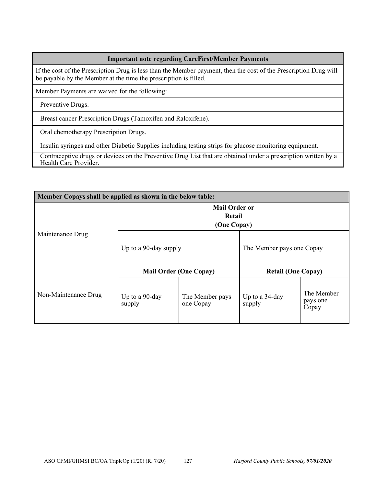# **Important note regarding CareFirst/Member Payments**

If the cost of the Prescription Drug is less than the Member payment, then the cost of the Prescription Drug will be payable by the Member at the time the prescription is filled.

Member Payments are waived for the following:

Preventive Drugs.

Breast cancer Prescription Drugs (Tamoxifen and Raloxifene).

Oral chemotherapy Prescription Drugs.

Insulin syringes and other Diabetic Supplies including testing strips for glucose monitoring equipment.

Contraceptive drugs or devices on the Preventive Drug List that are obtained under a prescription written by a Health Care Provider.

| Member Copays shall be applied as shown in the below table: |                                               |                              |                           |                                 |  |  |
|-------------------------------------------------------------|-----------------------------------------------|------------------------------|---------------------------|---------------------------------|--|--|
|                                                             | <b>Mail Order or</b><br>Retail<br>(One Copay) |                              |                           |                                 |  |  |
| Maintenance Drug                                            | Up to a 90-day supply                         |                              | The Member pays one Copay |                                 |  |  |
| Non-Maintenance Drug                                        | <b>Mail Order (One Copay)</b>                 |                              | <b>Retail (One Copay)</b> |                                 |  |  |
|                                                             | Up to a 90-day<br>supply                      | The Member pays<br>one Copay | Up to a 34-day<br>supply  | The Member<br>pays one<br>Copay |  |  |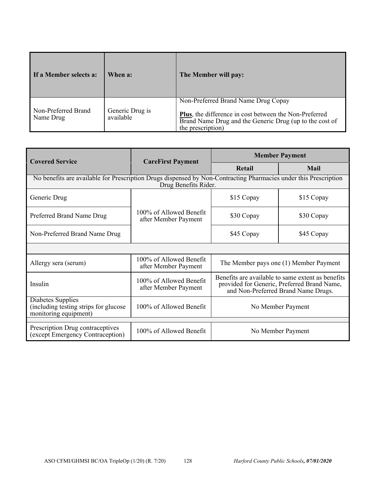| If a Member selects a:           | When a:                      | The Member will pay:                                                                                                                                                          |
|----------------------------------|------------------------------|-------------------------------------------------------------------------------------------------------------------------------------------------------------------------------|
| Non-Preferred Brand<br>Name Drug | Generic Drug is<br>available | Non-Preferred Brand Name Drug Copay<br>Plus, the difference in cost between the Non-Preferred<br>Brand Name Drug and the Generic Drug (up to the cost of<br>the prescription) |

| <b>Covered Service</b>                                                                                                                   | <b>CareFirst Payment</b>                        | <b>Member Payment</b>                                                                                                                   |             |  |  |  |  |
|------------------------------------------------------------------------------------------------------------------------------------------|-------------------------------------------------|-----------------------------------------------------------------------------------------------------------------------------------------|-------------|--|--|--|--|
|                                                                                                                                          |                                                 | Retail                                                                                                                                  | <b>Mail</b> |  |  |  |  |
| No benefits are available for Prescription Drugs dispensed by Non-Contracting Pharmacies under this Prescription<br>Drug Benefits Rider. |                                                 |                                                                                                                                         |             |  |  |  |  |
| Generic Drug                                                                                                                             |                                                 | \$15 Copay                                                                                                                              | \$15 Copay  |  |  |  |  |
| Preferred Brand Name Drug                                                                                                                | 100% of Allowed Benefit<br>after Member Payment | \$30 Copay                                                                                                                              | \$30 Copay  |  |  |  |  |
| Non-Preferred Brand Name Drug                                                                                                            |                                                 | \$45 Copay                                                                                                                              | \$45 Copay  |  |  |  |  |
|                                                                                                                                          |                                                 |                                                                                                                                         |             |  |  |  |  |
| Allergy sera (serum)                                                                                                                     | 100% of Allowed Benefit<br>after Member Payment | The Member pays one (1) Member Payment                                                                                                  |             |  |  |  |  |
| Insulin                                                                                                                                  | 100% of Allowed Benefit<br>after Member Payment | Benefits are available to same extent as benefits<br>provided for Generic, Preferred Brand Name,<br>and Non-Preferred Brand Name Drugs. |             |  |  |  |  |
| Diabetes Supplies<br>(including testing strips for glucose<br>monitoring equipment)                                                      | 100% of Allowed Benefit                         | No Member Payment                                                                                                                       |             |  |  |  |  |
| Prescription Drug contraceptives<br>(except Emergency Contraception)                                                                     | 100% of Allowed Benefit                         | No Member Payment                                                                                                                       |             |  |  |  |  |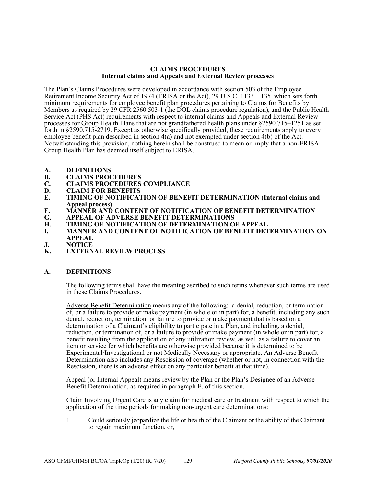#### **CLAIMS PROCEDURES Internal claims and Appeals and External Review processes**

The Plan's Claims Procedures were developed in accordance with section 503 of the Employee Retirement Income Security Act of 1974 (ERISA or the Act), 29 U.S.C. 1133, 1135, which sets forth minimum requirements for employee benefit plan procedures pertaining to Claims for Benefits by Members as required by 29 CFR 2560.503-1 (the DOL claims procedure regulation), and the Public Health Service Act (PHS Act) requirements with respect to internal claims and Appeals and External Review processes for Group Health Plans that are not grandfathered health plans under §2590.715–1251 as set forth in §2590.715-2719. Except as otherwise specifically provided, these requirements apply to every employee benefit plan described in section 4(a) and not exempted under section 4(b) of the Act. Notwithstanding this provision, nothing herein shall be construed to mean or imply that a non-ERISA Group Health Plan has deemed itself subject to ERISA.

- **A. DEFINITIONS**
- **B. CLAIMS PROCEDURES**
- **C. CLAIMS PROCEDURES COMPLIANCE**
- **D. CLAIM FOR BENEFITS**
- **E. TIMING OF NOTIFICATION OF BENEFIT DETERMINATION (Internal claims and Appeal process)**
- **F. MANNER AND CONTENT OF NOTIFICATION OF BENEFIT DETERMINATION**
- **G. APPEAL OF ADVERSE BENEFIT DETERMINATIONS**
- **H. TIMING OF NOTIFICATION OF DETERMINATION OF APPEAL**
- **I. MANNER AND CONTENT OF NOTIFICATION OF BENEFIT DETERMINATION ON APPEAL**
- **J. NOTICE**
- **K. EXTERNAL REVIEW PROCESS**

#### **A. DEFINITIONS**

The following terms shall have the meaning ascribed to such terms whenever such terms are used in these Claims Procedures.

Adverse Benefit Determination means any of the following: a denial, reduction, or termination of, or a failure to provide or make payment (in whole or in part) for, a benefit, including any such denial, reduction, termination, or failure to provide or make payment that is based on a determination of a Claimant's eligibility to participate in a Plan, and including, a denial, reduction, or termination of, or a failure to provide or make payment (in whole or in part) for, a benefit resulting from the application of any utilization review, as well as a failure to cover an item or service for which benefits are otherwise provided because it is determined to be Experimental/Investigational or not Medically Necessary or appropriate. An Adverse Benefit Determination also includes any Rescission of coverage (whether or not, in connection with the Rescission, there is an adverse effect on any particular benefit at that time).

Appeal (or Internal Appeal) means review by the Plan or the Plan's Designee of an Adverse Benefit Determination, as required in paragraph E. of this section.

Claim Involving Urgent Care is any claim for medical care or treatment with respect to which the application of the time periods for making non-urgent care determinations:

1. Could seriously jeopardize the life or health of the Claimant or the ability of the Claimant to regain maximum function, or,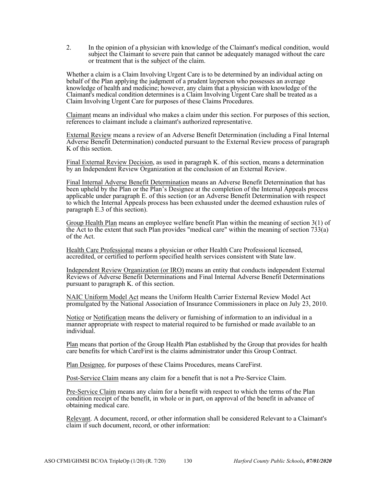2. In the opinion of a physician with knowledge of the Claimant's medical condition, would subject the Claimant to severe pain that cannot be adequately managed without the care or treatment that is the subject of the claim.

Whether a claim is a Claim Involving Urgent Care is to be determined by an individual acting on behalf of the Plan applying the judgment of a prudent layperson who possesses an average knowledge of health and medicine; however, any claim that a physician with knowledge of the Claimant's medical condition determines is a Claim Involving Urgent Care shall be treated as a Claim Involving Urgent Care for purposes of these Claims Procedures.

Claimant means an individual who makes a claim under this section. For purposes of this section, references to claimant include a claimant's authorized representative.

External Review means a review of an Adverse Benefit Determination (including a Final Internal Adverse Benefit Determination) conducted pursuant to the External Review process of paragraph K of this section.

Final External Review Decision, as used in paragraph K. of this section, means a determination by an Independent Review Organization at the conclusion of an External Review.

Final Internal Adverse Benefit Determination means an Adverse Benefit Determination that has been upheld by the Plan or the Plan's Designee at the completion of the Internal Appeals process applicable under paragraph E. of this section (or an Adverse Benefit Determination with respect to which the Internal Appeals process has been exhausted under the deemed exhaustion rules of paragraph E.3 of this section).

Group Health Plan means an employee welfare benefit Plan within the meaning of section 3(1) of the Act to the extent that such Plan provides "medical care" within the meaning of section  $\frac{733}{a}$ ) of the Act.

Health Care Professional means a physician or other Health Care Professional licensed, accredited, or certified to perform specified health services consistent with State law.

Independent Review Organization (or IRO) means an entity that conducts independent External Reviews of Adverse Benefit Determinations and Final Internal Adverse Benefit Determinations pursuant to paragraph K. of this section.

NAIC Uniform Model Act means the Uniform Health Carrier External Review Model Act promulgated by the National Association of Insurance Commissioners in place on July 23, 2010.

Notice or Notification means the delivery or furnishing of information to an individual in a manner appropriate with respect to material required to be furnished or made available to an individual.

Plan means that portion of the Group Health Plan established by the Group that provides for health care benefits for which CareFirst is the claims administrator under this Group Contract.

Plan Designee, for purposes of these Claims Procedures, means CareFirst.

Post-Service Claim means any claim for a benefit that is not a Pre-Service Claim.

Pre-Service Claim means any claim for a benefit with respect to which the terms of the Plan condition receipt of the benefit, in whole or in part, on approval of the benefit in advance of obtaining medical care.

Relevant. A document, record, or other information shall be considered Relevant to a Claimant's claim if such document, record, or other information: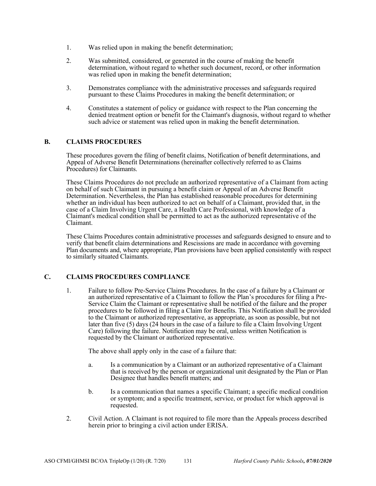- 1. Was relied upon in making the benefit determination;
- 2. Was submitted, considered, or generated in the course of making the benefit determination, without regard to whether such document, record, or other information was relied upon in making the benefit determination;
- 3. Demonstrates compliance with the administrative processes and safeguards required pursuant to these Claims Procedures in making the benefit determination; or
- 4. Constitutes a statement of policy or guidance with respect to the Plan concerning the denied treatment option or benefit for the Claimant's diagnosis, without regard to whether such advice or statement was relied upon in making the benefit determination.

#### **B. CLAIMS PROCEDURES**

These procedures govern the filing of benefit claims, Notification of benefit determinations, and Appeal of Adverse Benefit Determinations (hereinafter collectively referred to as Claims Procedures) for Claimants.

These Claims Procedures do not preclude an authorized representative of a Claimant from acting on behalf of such Claimant in pursuing a benefit claim or Appeal of an Adverse Benefit Determination. Nevertheless, the Plan has established reasonable procedures for determining whether an individual has been authorized to act on behalf of a Claimant, provided that, in the case of a Claim Involving Urgent Care, a Health Care Professional, with knowledge of a Claimant's medical condition shall be permitted to act as the authorized representative of the Claimant.

These Claims Procedures contain administrative processes and safeguards designed to ensure and to verify that benefit claim determinations and Rescissions are made in accordance with governing Plan documents and, where appropriate, Plan provisions have been applied consistently with respect to similarly situated Claimants.

#### **C. CLAIMS PROCEDURES COMPLIANCE**

1. Failure to follow Pre-Service Claims Procedures. In the case of a failure by a Claimant or an authorized representative of a Claimant to follow the Plan's procedures for filing a Pre-Service Claim the Claimant or representative shall be notified of the failure and the proper procedures to be followed in filing a Claim for Benefits. This Notification shall be provided to the Claimant or authorized representative, as appropriate, as soon as possible, but not later than five (5) days (24 hours in the case of a failure to file a Claim Involving Urgent Care) following the failure. Notification may be oral, unless written Notification is requested by the Claimant or authorized representative.

The above shall apply only in the case of a failure that:

- a. Is a communication by a Claimant or an authorized representative of a Claimant that is received by the person or organizational unit designated by the Plan or Plan Designee that handles benefit matters; and
- b. Is a communication that names a specific Claimant; a specific medical condition or symptom; and a specific treatment, service, or product for which approval is requested.
- 2. Civil Action. A Claimant is not required to file more than the Appeals process described herein prior to bringing a civil action under ERISA.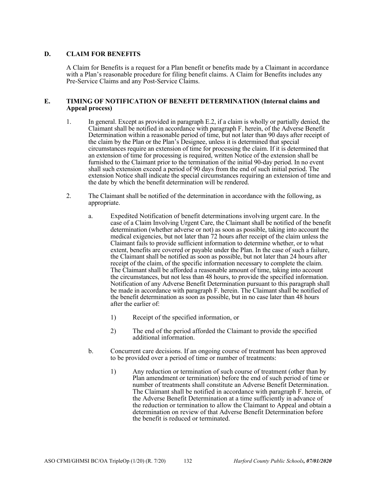#### **D. CLAIM FOR BENEFITS**

A Claim for Benefits is a request for a Plan benefit or benefits made by a Claimant in accordance with a Plan's reasonable procedure for filing benefit claims. A Claim for Benefits includes any Pre-Service Claims and any Post-Service Claims.

#### **E. TIMING OF NOTIFICATION OF BENEFIT DETERMINATION (Internal claims and Appeal process)**

- 1. In general. Except as provided in paragraph E.2, if a claim is wholly or partially denied, the Claimant shall be notified in accordance with paragraph F. herein, of the Adverse Benefit Determination within a reasonable period of time, but not later than 90 days after receipt of the claim by the Plan or the Plan's Designee, unless it is determined that special circumstances require an extension of time for processing the claim. If it is determined that an extension of time for processing is required, written Notice of the extension shall be furnished to the Claimant prior to the termination of the initial 90-day period. In no event shall such extension exceed a period of 90 days from the end of such initial period. The extension Notice shall indicate the special circumstances requiring an extension of time and the date by which the benefit determination will be rendered.
- 2. The Claimant shall be notified of the determination in accordance with the following, as appropriate.
	- a. Expedited Notification of benefit determinations involving urgent care. In the case of a Claim Involving Urgent Care, the Claimant shall be notified of the benefit determination (whether adverse or not) as soon as possible, taking into account the medical exigencies, but not later than  $\overline{72}$  hours after receipt of the claim unless the Claimant fails to provide sufficient information to determine whether, or to what extent, benefits are covered or payable under the Plan. In the case of such a failure, the Claimant shall be notified as soon as possible, but not later than 24 hours after receipt of the claim, of the specific information necessary to complete the claim. The Claimant shall be afforded a reasonable amount of time, taking into account the circumstances, but not less than 48 hours, to provide the specified information. Notification of any Adverse Benefit Determination pursuant to this paragraph shall be made in accordance with paragraph F. herein. The Claimant shall be notified of the benefit determination as soon as possible, but in no case later than 48 hours after the earlier of:
		- 1) Receipt of the specified information, or
		- 2) The end of the period afforded the Claimant to provide the specified additional information.
	- b. Concurrent care decisions. If an ongoing course of treatment has been approved to be provided over a period of time or number of treatments:
		- 1) Any reduction or termination of such course of treatment (other than by Plan amendment or termination) before the end of such period of time or number of treatments shall constitute an Adverse Benefit Determination. The Claimant shall be notified in accordance with paragraph F. herein, of the Adverse Benefit Determination at a time sufficiently in advance of the reduction or termination to allow the Claimant to Appeal and obtain a determination on review of that Adverse Benefit Determination before the benefit is reduced or terminated.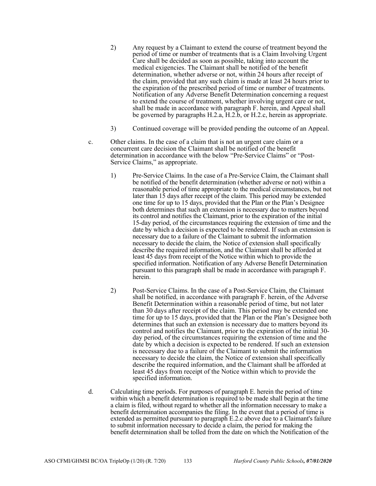- 2) Any request by a Claimant to extend the course of treatment beyond the period of time or number of treatments that is a Claim Involving Urgent Care shall be decided as soon as possible, taking into account the medical exigencies. The Claimant shall be notified of the benefit determination, whether adverse or not, within 24 hours after receipt of the claim, provided that any such claim is made at least 24 hours prior to the expiration of the prescribed period of time or number of treatments. Notification of any Adverse Benefit Determination concerning a request to extend the course of treatment, whether involving urgent care or not, shall be made in accordance with paragraph F. herein, and Appeal shall be governed by paragraphs H.2.a, H.2.b, or H.2.c, herein as appropriate.
- 3) Continued coverage will be provided pending the outcome of an Appeal.
- c. Other claims. In the case of a claim that is not an urgent care claim or a concurrent care decision the Claimant shall be notified of the benefit determination in accordance with the below "Pre-Service Claims" or "Post-Service Claims," as appropriate.
	- 1) Pre-Service Claims. In the case of a Pre-Service Claim, the Claimant shall be notified of the benefit determination (whether adverse or not) within a reasonable period of time appropriate to the medical circumstances, but not later than 15 days after receipt of the claim. This period may be extended one time for up to 15 days, provided that the Plan or the Plan's Designee both determines that such an extension is necessary due to matters beyond its control and notifies the Claimant, prior to the expiration of the initial 15-day period, of the circumstances requiring the extension of time and the date by which a decision is expected to be rendered. If such an extension is necessary due to a failure of the Claimant to submit the information necessary to decide the claim, the Notice of extension shall specifically describe the required information, and the Claimant shall be afforded at least 45 days from receipt of the Notice within which to provide the specified information. Notification of any Adverse Benefit Determination pursuant to this paragraph shall be made in accordance with paragraph F. herein.
	- 2) Post-Service Claims. In the case of a Post-Service Claim, the Claimant shall be notified, in accordance with paragraph F. herein, of the Adverse Benefit Determination within a reasonable period of time, but not later than 30 days after receipt of the claim. This period may be extended one time for up to 15 days, provided that the Plan or the Plan's Designee both determines that such an extension is necessary due to matters beyond its control and notifies the Claimant, prior to the expiration of the initial 30 day period, of the circumstances requiring the extension of time and the date by which a decision is expected to be rendered. If such an extension is necessary due to a failure of the Claimant to submit the information necessary to decide the claim, the Notice of extension shall specifically describe the required information, and the Claimant shall be afforded at least 45 days from receipt of the Notice within which to provide the specified information.
- d. Calculating time periods. For purposes of paragraph E. herein the period of time within which a benefit determination is required to be made shall begin at the time a claim is filed, without regard to whether all the information necessary to make a benefit determination accompanies the filing. In the event that a period of time is extended as permitted pursuant to paragraph E.2.c above due to a Claimant's failure to submit information necessary to decide a claim, the period for making the benefit determination shall be tolled from the date on which the Notification of the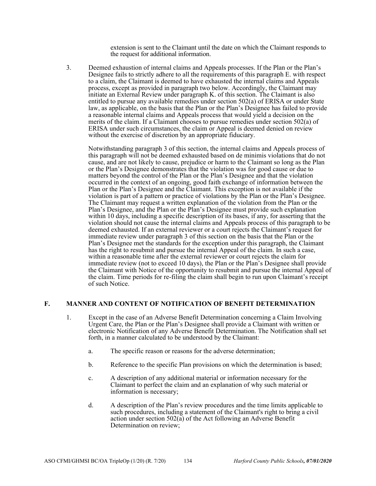extension is sent to the Claimant until the date on which the Claimant responds to the request for additional information.

3. Deemed exhaustion of internal claims and Appeals processes. If the Plan or the Plan's Designee fails to strictly adhere to all the requirements of this paragraph E. with respect to a claim, the Claimant is deemed to have exhausted the internal claims and Appeals process, except as provided in paragraph two below. Accordingly, the Claimant may initiate an External Review under paragraph K. of this section. The Claimant is also entitled to pursue any available remedies under section 502(a) of ERISA or under State law, as applicable, on the basis that the Plan or the Plan's Designee has failed to provide a reasonable internal claims and Appeals process that would yield a decision on the merits of the claim. If a Claimant chooses to pursue remedies under section 502(a) of ERISA under such circumstances, the claim or Appeal is deemed denied on review without the exercise of discretion by an appropriate fiduciary.

Notwithstanding paragraph 3 of this section, the internal claims and Appeals process of this paragraph will not be deemed exhausted based on de minimis violations that do not cause, and are not likely to cause, prejudice or harm to the Claimant so long as the Plan or the Plan's Designee demonstrates that the violation was for good cause or due to matters beyond the control of the Plan or the Plan's Designee and that the violation occurred in the context of an ongoing, good faith exchange of information between the Plan or the Plan's Designee and the Claimant. This exception is not available if the violation is part of a pattern or practice of violations by the Plan or the Plan's Designee. The Claimant may request a written explanation of the violation from the Plan or the Plan's Designee, and the Plan or the Plan's Designee must provide such explanation within 10 days, including a specific description of its bases, if any, for asserting that the violation should not cause the internal claims and Appeals process of this paragraph to be deemed exhausted. If an external reviewer or a court rejects the Claimant's request for immediate review under paragraph 3 of this section on the basis that the Plan or the Plan's Designee met the standards for the exception under this paragraph, the Claimant has the right to resubmit and pursue the internal Appeal of the claim. In such a case, within a reasonable time after the external reviewer or court rejects the claim for immediate review (not to exceed 10 days), the Plan or the Plan's Designee shall provide the Claimant with Notice of the opportunity to resubmit and pursue the internal Appeal of the claim. Time periods for re-filing the claim shall begin to run upon Claimant's receipt of such Notice.

#### **F. MANNER AND CONTENT OF NOTIFICATION OF BENEFIT DETERMINATION**

- 1. Except in the case of an Adverse Benefit Determination concerning a Claim Involving Urgent Care, the Plan or the Plan's Designee shall provide a Claimant with written or electronic Notification of any Adverse Benefit Determination. The Notification shall set forth, in a manner calculated to be understood by the Claimant:
	- a. The specific reason or reasons for the adverse determination;
	- b. Reference to the specific Plan provisions on which the determination is based;
	- c. A description of any additional material or information necessary for the Claimant to perfect the claim and an explanation of why such material or information is necessary;
	- d. A description of the Plan's review procedures and the time limits applicable to such procedures, including a statement of the Claimant's right to bring a civil action under section  $502(a)$  of the Act following an Adverse Benefit Determination on review;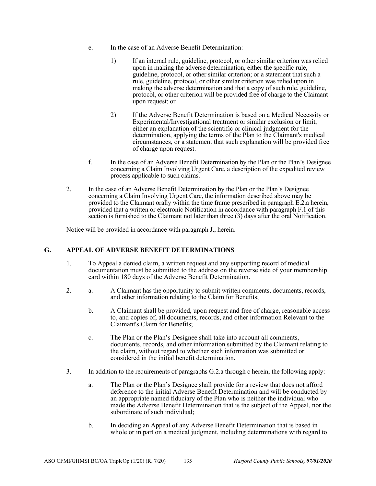- e. In the case of an Adverse Benefit Determination:
	- 1) If an internal rule, guideline, protocol, or other similar criterion was relied upon in making the adverse determination, either the specific rule, guideline, protocol, or other similar criterion; or a statement that such a rule, guideline, protocol, or other similar criterion was relied upon in making the adverse determination and that a copy of such rule, guideline, protocol, or other criterion will be provided free of charge to the Claimant upon request; or
	- 2) If the Adverse Benefit Determination is based on a Medical Necessity or Experimental/Investigational treatment or similar exclusion or limit, either an explanation of the scientific or clinical judgment for the determination, applying the terms of the Plan to the Claimant's medical circumstances, or a statement that such explanation will be provided free of charge upon request.
- f. In the case of an Adverse Benefit Determination by the Plan or the Plan's Designee concerning a Claim Involving Urgent Care, a description of the expedited review process applicable to such claims.
- 2. In the case of an Adverse Benefit Determination by the Plan or the Plan's Designee concerning a Claim Involving Urgent Care, the information described above may be provided to the Claimant orally within the time frame prescribed in paragraph E.2.a herein, provided that a written or electronic Notification in accordance with paragraph F.1 of this section is furnished to the Claimant not later than three (3) days after the oral Notification.

Notice will be provided in accordance with paragraph J., herein.

#### **G. APPEAL OF ADVERSE BENEFIT DETERMINATIONS**

- 1. To Appeal a denied claim, a written request and any supporting record of medical documentation must be submitted to the address on the reverse side of your membership card within 180 days of the Adverse Benefit Determination.
- 2. a. A Claimant has the opportunity to submit written comments, documents, records, and other information relating to the Claim for Benefits;
	- b. A Claimant shall be provided, upon request and free of charge, reasonable access to, and copies of, all documents, records, and other information Relevant to the Claimant's Claim for Benefits;
	- c. The Plan or the Plan's Designee shall take into account all comments, documents, records, and other information submitted by the Claimant relating to the claim, without regard to whether such information was submitted or considered in the initial benefit determination.
- 3. In addition to the requirements of paragraphs G.2.a through c herein, the following apply:
	- a. The Plan or the Plan's Designee shall provide for a review that does not afford deference to the initial Adverse Benefit Determination and will be conducted by an appropriate named fiduciary of the Plan who is neither the individual who made the Adverse Benefit Determination that is the subject of the Appeal, nor the subordinate of such individual;
	- b. In deciding an Appeal of any Adverse Benefit Determination that is based in whole or in part on a medical judgment, including determinations with regard to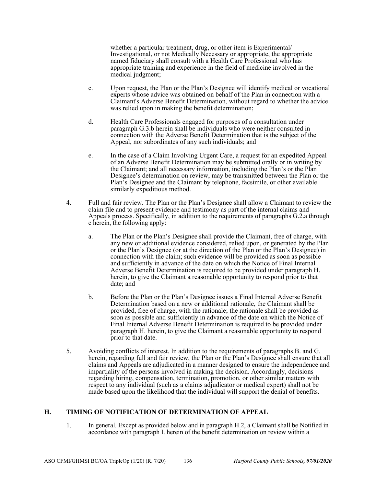whether a particular treatment, drug, or other item is Experimental/ Investigational, or not Medically Necessary or appropriate, the appropriate named fiduciary shall consult with a Health Care Professional who has appropriate training and experience in the field of medicine involved in the medical judgment;

- c. Upon request, the Plan or the Plan's Designee will identify medical or vocational experts whose advice was obtained on behalf of the Plan in connection with a Claimant's Adverse Benefit Determination, without regard to whether the advice was relied upon in making the benefit determination;
- d. Health Care Professionals engaged for purposes of a consultation under paragraph G.3.b herein shall be individuals who were neither consulted in connection with the Adverse Benefit Determination that is the subject of the Appeal, nor subordinates of any such individuals; and
- e. In the case of a Claim Involving Urgent Care, a request for an expedited Appeal of an Adverse Benefit Determination may be submitted orally or in writing by the Claimant; and all necessary information, including the Plan's or the Plan Designee's determination on review, may be transmitted between the Plan or the Plan's Designee and the Claimant by telephone, facsimile, or other available similarly expeditious method.
- 4. Full and fair review. The Plan or the Plan's Designee shall allow a Claimant to review the claim file and to present evidence and testimony as part of the internal claims and Appeals process. Specifically, in addition to the requirements of paragraphs G.2.a through c herein, the following apply:
	- a. The Plan or the Plan's Designee shall provide the Claimant, free of charge, with any new or additional evidence considered, relied upon, or generated by the Plan or the Plan's Designee (or at the direction of the Plan or the Plan's Designee) in connection with the claim; such evidence will be provided as soon as possible and sufficiently in advance of the date on which the Notice of Final Internal Adverse Benefit Determination is required to be provided under paragraph H. herein, to give the Claimant a reasonable opportunity to respond prior to that date; and
	- b. Before the Plan or the Plan's Designee issues a Final Internal Adverse Benefit Determination based on a new or additional rationale, the Claimant shall be provided, free of charge, with the rationale; the rationale shall be provided as soon as possible and sufficiently in advance of the date on which the Notice of Final Internal Adverse Benefit Determination is required to be provided under paragraph H. herein, to give the Claimant a reasonable opportunity to respond prior to that date.
- 5. Avoiding conflicts of interest. In addition to the requirements of paragraphs B. and G. herein, regarding full and fair review, the Plan or the Plan's Designee shall ensure that all claims and Appeals are adjudicated in a manner designed to ensure the independence and impartiality of the persons involved in making the decision. Accordingly, decisions regarding hiring, compensation, termination, promotion, or other similar matters with respect to any individual (such as a claims adjudicator or medical expert) shall not be made based upon the likelihood that the individual will support the denial of benefits.

#### **H. TIMING OF NOTIFICATION OF DETERMINATION OF APPEAL**

1. In general. Except as provided below and in paragraph H.2, a Claimant shall be Notified in accordance with paragraph I. herein of the benefit determination on review within a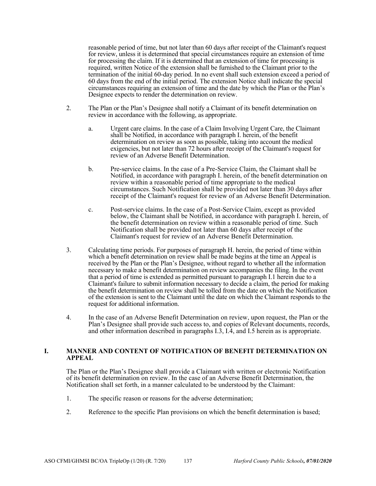reasonable period of time, but not later than 60 days after receipt of the Claimant's request for review, unless it is determined that special circumstances require an extension of time for processing the claim. If it is determined that an extension of time for processing is required, written Notice of the extension shall be furnished to the Claimant prior to the termination of the initial 60-day period. In no event shall such extension exceed a period of 60 days from the end of the initial period. The extension Notice shall indicate the special circumstances requiring an extension of time and the date by which the Plan or the Plan's Designee expects to render the determination on review.

- 2. The Plan or the Plan's Designee shall notify a Claimant of its benefit determination on review in accordance with the following, as appropriate.
	- a. Urgent care claims. In the case of a Claim Involving Urgent Care, the Claimant shall be Notified, in accordance with paragraph I. herein, of the benefit determination on review as soon as possible, taking into account the medical exigencies, but not later than 72 hours after receipt of the Claimant's request for review of an Adverse Benefit Determination.
	- b. Pre-service claims. In the case of a Pre-Service Claim, the Claimant shall be Notified, in accordance with paragraph I. herein, of the benefit determination on review within a reasonable period of time appropriate to the medical circumstances. Such Notification shall be provided not later than 30 days after receipt of the Claimant's request for review of an Adverse Benefit Determination.
	- c. Post-service claims. In the case of a Post-Service Claim, except as provided below, the Claimant shall be Notified, in accordance with paragraph I. herein, of the benefit determination on review within a reasonable period of time. Such Notification shall be provided not later than 60 days after receipt of the Claimant's request for review of an Adverse Benefit Determination.
- 3. Calculating time periods. For purposes of paragraph H. herein, the period of time within which a benefit determination on review shall be made begins at the time an Appeal is received by the Plan or the Plan's Designee, without regard to whether all the information necessary to make a benefit determination on review accompanies the filing. In the event that a period of time is extended as permitted pursuant to paragraph I.1 herein due to a Claimant's failure to submit information necessary to decide a claim, the period for making the benefit determination on review shall be tolled from the date on which the Notification of the extension is sent to the Claimant until the date on which the Claimant responds to the request for additional information.
- 4. In the case of an Adverse Benefit Determination on review, upon request, the Plan or the Plan's Designee shall provide such access to, and copies of Relevant documents, records, and other information described in paragraphs I.3, I.4, and I.5 herein as is appropriate.

#### **I. MANNER AND CONTENT OF NOTIFICATION OF BENEFIT DETERMINATION ON APPEAL**

The Plan or the Plan's Designee shall provide a Claimant with written or electronic Notification of its benefit determination on review. In the case of an Adverse Benefit Determination, the Notification shall set forth, in a manner calculated to be understood by the Claimant:

- 1. The specific reason or reasons for the adverse determination;
- 2. Reference to the specific Plan provisions on which the benefit determination is based;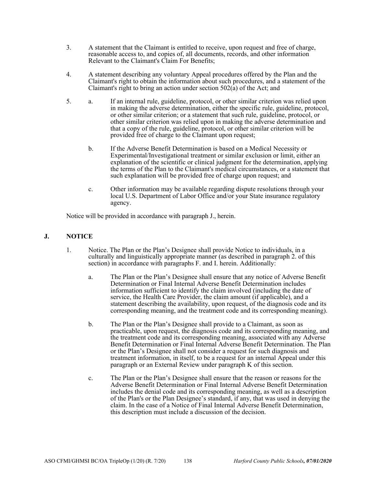- 3. A statement that the Claimant is entitled to receive, upon request and free of charge, reasonable access to, and copies of, all documents, records, and other information Relevant to the Claimant's Claim For Benefits;
- 4. A statement describing any voluntary Appeal procedures offered by the Plan and the Claimant's right to obtain the information about such procedures, and a statement of the Claimant's right to bring an action under section  $502(a)$  of the Act; and
- 5. a. If an internal rule, guideline, protocol, or other similar criterion was relied upon in making the adverse determination, either the specific rule, guideline, protocol, or other similar criterion; or a statement that such rule, guideline, protocol, or other similar criterion was relied upon in making the adverse determination and that a copy of the rule, guideline, protocol, or other similar criterion will be provided free of charge to the Claimant upon request;
	- b. If the Adverse Benefit Determination is based on a Medical Necessity or Experimental/Investigational treatment or similar exclusion or limit, either an explanation of the scientific or clinical judgment for the determination, applying the terms of the Plan to the Claimant's medical circumstances, or a statement that such explanation will be provided free of charge upon request; and
	- c. Other information may be available regarding dispute resolutions through your local U.S. Department of Labor Office and/or your State insurance regulatory agency.

Notice will be provided in accordance with paragraph J., herein.

## **J. NOTICE**

- 1. Notice. The Plan or the Plan's Designee shall provide Notice to individuals, in a culturally and linguistically appropriate manner (as described in paragraph 2. of this section) in accordance with paragraphs F. and I. herein. Additionally:
	- a. The Plan or the Plan's Designee shall ensure that any notice of Adverse Benefit Determination or Final Internal Adverse Benefit Determination includes information sufficient to identify the claim involved (including the date of service, the Health Care Provider, the claim amount (if applicable), and a statement describing the availability, upon request, of the diagnosis code and its corresponding meaning, and the treatment code and its corresponding meaning).
	- b. The Plan or the Plan's Designee shall provide to a Claimant, as soon as practicable, upon request, the diagnosis code and its corresponding meaning, and the treatment code and its corresponding meaning, associated with any Adverse Benefit Determination or Final Internal Adverse Benefit Determination. The Plan or the Plan's Designee shall not consider a request for such diagnosis and treatment information, in itself, to be a request for an internal Appeal under this paragraph or an External Review under paragraph K of this section.
	- c. The Plan or the Plan's Designee shall ensure that the reason or reasons for the Adverse Benefit Determination or Final Internal Adverse Benefit Determination includes the denial code and its corresponding meaning, as well as a description of the Plan's or the Plan Designee's standard, if any, that was used in denying the claim. In the case of a Notice of Final Internal Adverse Benefit Determination, this description must include a discussion of the decision.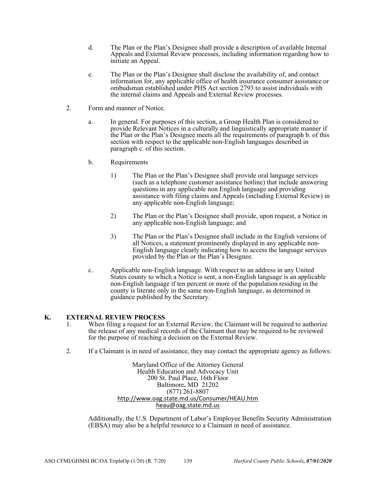- d. The Plan or the Plan's Designee shall provide a description of available Internal Appeals and External Review processes, including information regarding how to initiate an Appeal.
- e. The Plan or the Plan's Designee shall disclose the availability of, and contact information for, any applicable office of health insurance consumer assistance or ombudsman established under PHS Act section 2793 to assist individuals with the internal claims and Appeals and External Review processes.
- 2. Form and manner of Notice.
	- a. In general. For purposes of this section, a Group Health Plan is considered to provide Relevant Notices in a culturally and linguistically appropriate manner if the Plan or the Plan's Designee meets all the requirements of paragraph b. of this section with respect to the applicable non-English languages described in paragraph c. of this section.
	- b. Requirements
		- 1) The Plan or the Plan's Designee shall provide oral language services (such as a telephone customer assistance hotline) that include answering questions in any applicable non English language and providing assistance with filing claims and Appeals (including External Review) in any applicable non-English language;
		- 2) The Plan or the Plan's Designee shall provide, upon request, a Notice in any applicable non-English language; and
		- 3) The Plan or the Plan's Designee shall include in the English versions of all Notices, a statement prominently displayed in any applicable non-English language clearly indicating how to access the language services provided by the Plan or the Plan's Designee.
	- c. Applicable non-English language. With respect to an address in any United States county to which a Notice is sent, a non-English language is an applicable non-English language if ten percent or more of the population residing in the county is literate only in the same non-English language, as determined in guidance published by the Secretary.

#### **K. EXTERNAL REVIEW PROCESS**

- 1. When filing a request for an External Review, the Claimant will be required to authorize the release of any medical records of the Claimant that may be required to be reviewed for the purpose of reaching a decision on the External Review.
- 2. If a Claimant is in need of assistance, they may contact the appropriate agency as follows:

Maryland Office of the Attorney General Health Education and Advocacy Unit 200 St. Paul Place, 16th Floor Baltimore, MD 21202 (877) 261-8807 http://www.oag.state.md.us/Consumer/HEAU.htm heau@oag.state.md.us

Additionally, the U.S. Department of Labor's Employee Benefits Security Administration (EBSA) may also be a helpful resource to a Claimant in need of assistance.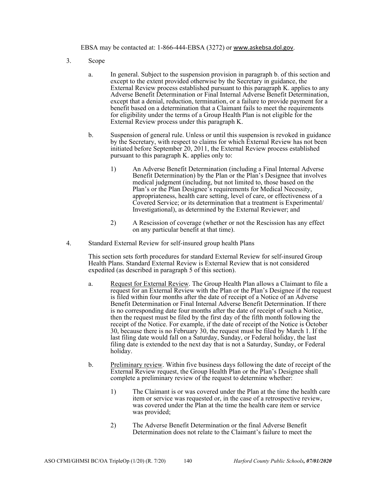EBSA may be contacted at: 1-866-444-EBSA (3272) or www.askebsa.dol.gov.

- 3. Scope
	- a. In general. Subject to the suspension provision in paragraph b. of this section and except to the extent provided otherwise by the Secretary in guidance, the External Review process established pursuant to this paragraph K. applies to any Adverse Benefit Determination or Final Internal Adverse Benefit Determination, except that a denial, reduction, termination, or a failure to provide payment for a benefit based on a determination that a Claimant fails to meet the requirements for eligibility under the terms of a Group Health Plan is not eligible for the External Review process under this paragraph K.
	- b. Suspension of general rule. Unless or until this suspension is revoked in guidance by the Secretary, with respect to claims for which External Review has not been initiated before September 20, 2011, the External Review process established pursuant to this paragraph K. applies only to:
		- 1) An Adverse Benefit Determination (including a Final Internal Adverse Benefit Determination) by the Plan or the Plan's Designee that involves medical judgment (including, but not limited to, those based on the Plan's or the Plan Designee's requirements for Medical Necessity, appropriateness, health care setting, level of care, or effectiveness of a Covered Service; or its determination that a treatment is Experimental/ Investigational), as determined by the External Reviewer; and
		- 2) A Rescission of coverage (whether or not the Rescission has any effect on any particular benefit at that time).
- 4. Standard External Review for self-insured group health Plans

This section sets forth procedures for standard External Review for self-insured Group Health Plans. Standard External Review is External Review that is not considered expedited (as described in paragraph 5 of this section).

- a. Request for External Review. The Group Health Plan allows a Claimant to file a request for an External Review with the Plan or the Plan's Designee if the request is filed within four months after the date of receipt of a Notice of an Adverse Benefit Determination or Final Internal Adverse Benefit Determination. If there is no corresponding date four months after the date of receipt of such a Notice, then the request must be filed by the first day of the fifth month following the receipt of the Notice. For example, if the date of receipt of the Notice is October 30, because there is no February 30, the request must be filed by March 1. If the last filing date would fall on a Saturday, Sunday, or Federal holiday, the last filing date is extended to the next day that is not a Saturday, Sunday, or Federal holiday.
- b. Preliminary review. Within five business days following the date of receipt of the External Review request, the Group Health Plan or the Plan's Designee shall complete a preliminary review of the request to determine whether:
	- 1) The Claimant is or was covered under the Plan at the time the health care item or service was requested or, in the case of a retrospective review, was covered under the Plan at the time the health care item or service was provided;
	- 2) The Adverse Benefit Determination or the final Adverse Benefit Determination does not relate to the Claimant's failure to meet the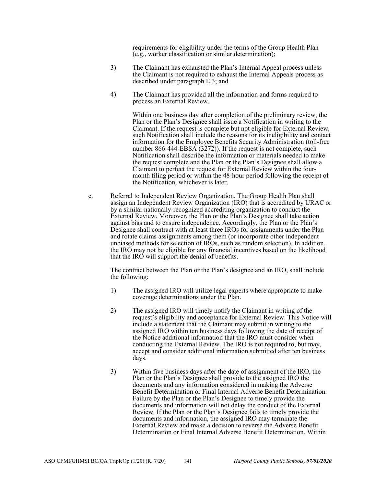requirements for eligibility under the terms of the Group Health Plan (e.g., worker classification or similar determination);

- 3) The Claimant has exhausted the Plan's Internal Appeal process unless the Claimant is not required to exhaust the Internal Appeals process as described under paragraph E.3; and
- 4) The Claimant has provided all the information and forms required to process an External Review.

Within one business day after completion of the preliminary review, the Plan or the Plan's Designee shall issue a Notification in writing to the Claimant. If the request is complete but not eligible for External Review, such Notification shall include the reasons for its ineligibility and contact information for the Employee Benefits Security Administration (toll-free number 866-444-EBSA (3272)). If the request is not complete, such Notification shall describe the information or materials needed to make the request complete and the Plan or the Plan's Designee shall allow a Claimant to perfect the request for External Review within the fourmonth filing period or within the 48-hour period following the receipt of the Notification, whichever is later.

c. Referral to Independent Review Organization. The Group Health Plan shall assign an Independent Review Organization (IRO) that is accredited by URAC or by a similar nationally-recognized accrediting organization to conduct the External Review. Moreover, the Plan or the Plan's Designee shall take action against bias and to ensure independence. Accordingly, the Plan or the Plan's Designee shall contract with at least three IROs for assignments under the Plan and rotate claims assignments among them (or incorporate other independent unbiased methods for selection of IROs, such as random selection). In addition, the IRO may not be eligible for any financial incentives based on the likelihood that the IRO will support the denial of benefits.

The contract between the Plan or the Plan's designee and an IRO, shall include the following:

- 1) The assigned IRO will utilize legal experts where appropriate to make coverage determinations under the Plan.
- 2) The assigned IRO will timely notify the Claimant in writing of the request's eligibility and acceptance for External Review. This Notice will include a statement that the Claimant may submit in writing to the assigned IRO within ten business days following the date of receipt of the Notice additional information that the IRO must consider when conducting the External Review. The IRO is not required to, but may, accept and consider additional information submitted after ten business days.
- 3) Within five business days after the date of assignment of the IRO, the Plan or the Plan's Designee shall provide to the assigned IRO the documents and any information considered in making the Adverse Benefit Determination or Final Internal Adverse Benefit Determination. Failure by the Plan or the Plan's Designee to timely provide the documents and information will not delay the conduct of the External Review. If the Plan or the Plan's Designee fails to timely provide the documents and information, the assigned IRO may terminate the External Review and make a decision to reverse the Adverse Benefit Determination or Final Internal Adverse Benefit Determination. Within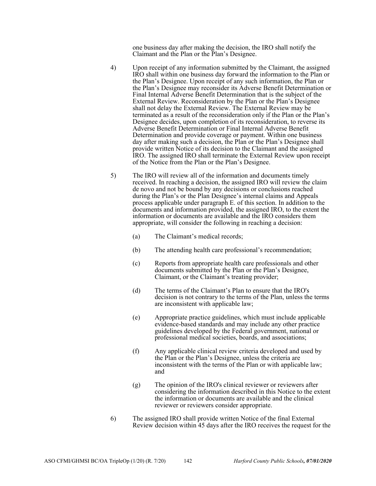one business day after making the decision, the IRO shall notify the Claimant and the Plan or the Plan's Designee.

- 4) Upon receipt of any information submitted by the Claimant, the assigned IRO shall within one business day forward the information to the Plan or the Plan's Designee. Upon receipt of any such information, the Plan or the Plan's Designee may reconsider its Adverse Benefit Determination or Final Internal Adverse Benefit Determination that is the subject of the External Review. Reconsideration by the Plan or the Plan's Designee shall not delay the External Review. The External Review may be terminated as a result of the reconsideration only if the Plan or the Plan's Designee decides, upon completion of its reconsideration, to reverse its Adverse Benefit Determination or Final Internal Adverse Benefit Determination and provide coverage or payment. Within one business day after making such a decision, the Plan or the Plan's Designee shall provide written Notice of its decision to the Claimant and the assigned IRO. The assigned IRO shall terminate the External Review upon receipt of the Notice from the Plan or the Plan's Designee.
- 5) The IRO will review all of the information and documents timely received. In reaching a decision, the assigned IRO will review the claim de novo and not be bound by any decisions or conclusions reached during the Plan's or the Plan Designee's internal claims and Appeals process applicable under paragraph E. of this section. In addition to the documents and information provided, the assigned IRO, to the extent the information or documents are available and the IRO considers them appropriate, will consider the following in reaching a decision:
	- (a) The Claimant's medical records;
	- (b) The attending health care professional's recommendation;
	- (c) Reports from appropriate health care professionals and other documents submitted by the Plan or the Plan's Designee, Claimant, or the Claimant's treating provider;
	- (d) The terms of the Claimant's Plan to ensure that the IRO's decision is not contrary to the terms of the Plan, unless the terms are inconsistent with applicable law;
	- (e) Appropriate practice guidelines, which must include applicable evidence-based standards and may include any other practice guidelines developed by the Federal government, national or professional medical societies, boards, and associations;
	- (f) Any applicable clinical review criteria developed and used by the Plan or the Plan's Designee, unless the criteria are inconsistent with the terms of the Plan or with applicable law; and
	- (g) The opinion of the IRO's clinical reviewer or reviewers after considering the information described in this Notice to the extent the information or documents are available and the clinical reviewer or reviewers consider appropriate.
- 6) The assigned IRO shall provide written Notice of the final External Review decision within 45 days after the IRO receives the request for the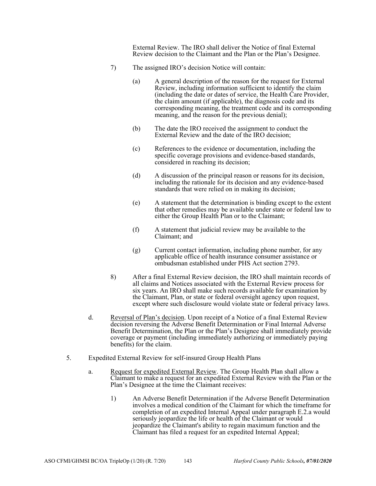External Review. The IRO shall deliver the Notice of final External Review decision to the Claimant and the Plan or the Plan's Designee.

- 7) The assigned IRO's decision Notice will contain:
	- (a) A general description of the reason for the request for External Review, including information sufficient to identify the claim (including the date or dates of service, the Health Care Provider, the claim amount (if applicable), the diagnosis code and its corresponding meaning, the treatment code and its corresponding meaning, and the reason for the previous denial);
	- (b) The date the IRO received the assignment to conduct the External Review and the date of the IRO decision;
	- (c) References to the evidence or documentation, including the specific coverage provisions and evidence-based standards, considered in reaching its decision;
	- (d) A discussion of the principal reason or reasons for its decision, including the rationale for its decision and any evidence-based standards that were relied on in making its decision;
	- (e) A statement that the determination is binding except to the extent that other remedies may be available under state or federal law to either the Group Health Plan or to the Claimant;
	- (f) A statement that judicial review may be available to the Claimant; and
	- (g) Current contact information, including phone number, for any applicable office of health insurance consumer assistance or ombudsman established under PHS Act section 2793.
- 8) After a final External Review decision, the IRO shall maintain records of all claims and Notices associated with the External Review process for six years. An IRO shall make such records available for examination by the Claimant, Plan, or state or federal oversight agency upon request, except where such disclosure would violate state or federal privacy laws.
- d. Reversal of Plan's decision. Upon receipt of a Notice of a final External Review decision reversing the Adverse Benefit Determination or Final Internal Adverse Benefit Determination, the Plan or the Plan's Designee shall immediately provide coverage or payment (including immediately authorizing or immediately paying benefits) for the claim.
- 5. Expedited External Review for self-insured Group Health Plans
	- a. Request for expedited External Review. The Group Health Plan shall allow a Claimant to make a request for an expedited External Review with the Plan or the Plan's Designee at the time the Claimant receives:
		- 1) An Adverse Benefit Determination if the Adverse Benefit Determination involves a medical condition of the Claimant for which the timeframe for completion of an expedited Internal Appeal under paragraph E.2.a would seriously jeopardize the life or health of the Claimant or would jeopardize the Claimant's ability to regain maximum function and the Claimant has filed a request for an expedited Internal Appeal;